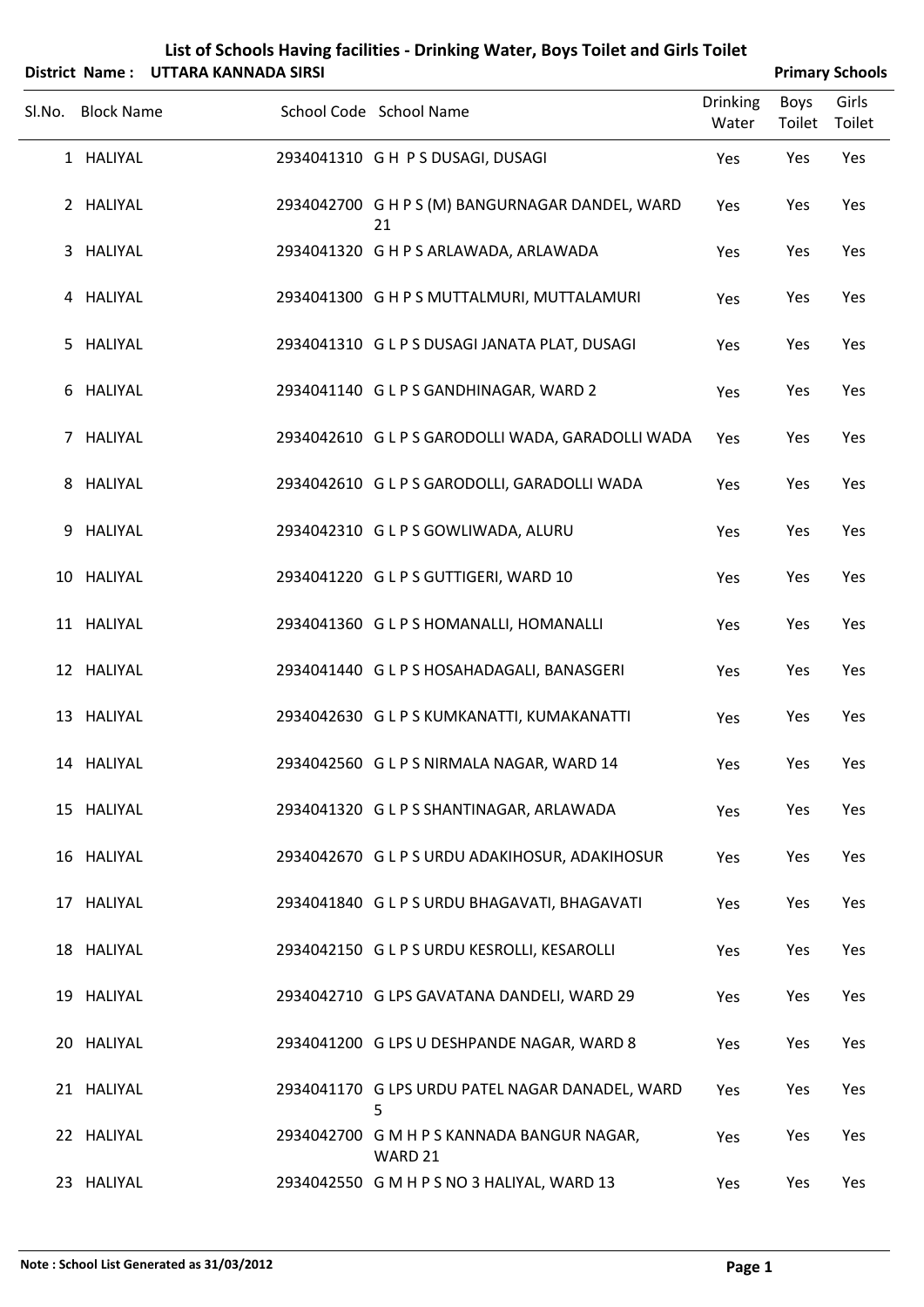|        |                   | District Name: UTTARA KANNADA SIRSI |                                                       |                          |                       | <b>Primary Schools</b> |
|--------|-------------------|-------------------------------------|-------------------------------------------------------|--------------------------|-----------------------|------------------------|
| Sl.No. | <b>Block Name</b> |                                     | School Code School Name                               | <b>Drinking</b><br>Water | <b>Boys</b><br>Toilet | Girls<br>Toilet        |
|        | 1 HALIYAL         |                                     | 2934041310 GH PS DUSAGI, DUSAGI                       | Yes                      | Yes                   | Yes                    |
|        | 2 HALIYAL         |                                     | 2934042700 G H P S (M) BANGURNAGAR DANDEL, WARD<br>21 | Yes                      | Yes                   | Yes                    |
|        | 3 HALIYAL         |                                     | 2934041320 G H P S ARLAWADA, ARLAWADA                 | Yes                      | Yes                   | Yes                    |
|        | 4 HALIYAL         |                                     | 2934041300 G H P S MUTTALMURI, MUTTALAMURI            | Yes                      | Yes                   | Yes                    |
| 5      | HALIYAL           |                                     | 2934041310 G L P S DUSAGI JANATA PLAT, DUSAGI         | Yes                      | Yes                   | Yes                    |
|        | 6 HALIYAL         |                                     | 2934041140 GLPS GANDHINAGAR, WARD 2                   | Yes                      | Yes                   | Yes                    |
|        | 7 HALIYAL         |                                     | 2934042610 G L P S GARODOLLI WADA, GARADOLLI WADA     | Yes                      | Yes                   | Yes                    |
|        | 8 HALIYAL         |                                     | 2934042610 GLPS GARODOLLI, GARADOLLI WADA             | Yes                      | Yes                   | Yes                    |
| 9      | HALIYAL           |                                     | 2934042310 GLPS GOWLIWADA, ALURU                      | Yes                      | Yes                   | Yes                    |
|        | 10 HALIYAL        |                                     | 2934041220 GLPS GUTTIGERI, WARD 10                    | Yes                      | Yes                   | Yes                    |
|        | 11 HALIYAL        |                                     | 2934041360 GLPS HOMANALLI, HOMANALLI                  | Yes                      | Yes                   | Yes                    |
|        | 12 HALIYAL        |                                     | 2934041440 G L P S HOSAHADAGALI, BANASGERI            | Yes                      | Yes                   | Yes                    |
|        | 13 HALIYAL        |                                     | 2934042630 GLPS KUMKANATTI, KUMAKANATTI               | Yes                      | Yes                   | Yes                    |
|        | 14 HALIYAL        |                                     | 2934042560 G L P S NIRMALA NAGAR, WARD 14             | Yes                      | Yes                   | Yes                    |
|        | 15 HALIYAL        |                                     | 2934041320 GLPS SHANTINAGAR, ARLAWADA                 | Yes                      | Yes                   | Yes                    |
|        | 16 HALIYAL        |                                     | 2934042670 G L P S URDU ADAKIHOSUR, ADAKIHOSUR        | Yes                      | Yes                   | Yes                    |
|        | 17 HALIYAL        |                                     | 2934041840 GLPS URDU BHAGAVATI, BHAGAVATI             | Yes                      | Yes                   | Yes                    |
|        | 18 HALIYAL        |                                     | 2934042150 GLPS URDU KESROLLI, KESAROLLI              | Yes                      | Yes                   | Yes                    |
|        | 19 HALIYAL        |                                     | 2934042710 G LPS GAVATANA DANDELI, WARD 29            | Yes                      | Yes                   | Yes                    |
|        | 20 HALIYAL        |                                     | 2934041200 G LPS U DESHPANDE NAGAR, WARD 8            | Yes                      | Yes                   | Yes                    |
|        | 21 HALIYAL        |                                     | 2934041170 G LPS URDU PATEL NAGAR DANADEL, WARD<br>5  | Yes                      | Yes                   | Yes                    |
|        | 22 HALIYAL        |                                     | 2934042700 G M H P S KANNADA BANGUR NAGAR,<br>WARD 21 | Yes                      | Yes                   | Yes                    |
|        | 23 HALIYAL        |                                     | 2934042550 G M H P S NO 3 HALIYAL, WARD 13            | Yes                      | Yes                   | Yes                    |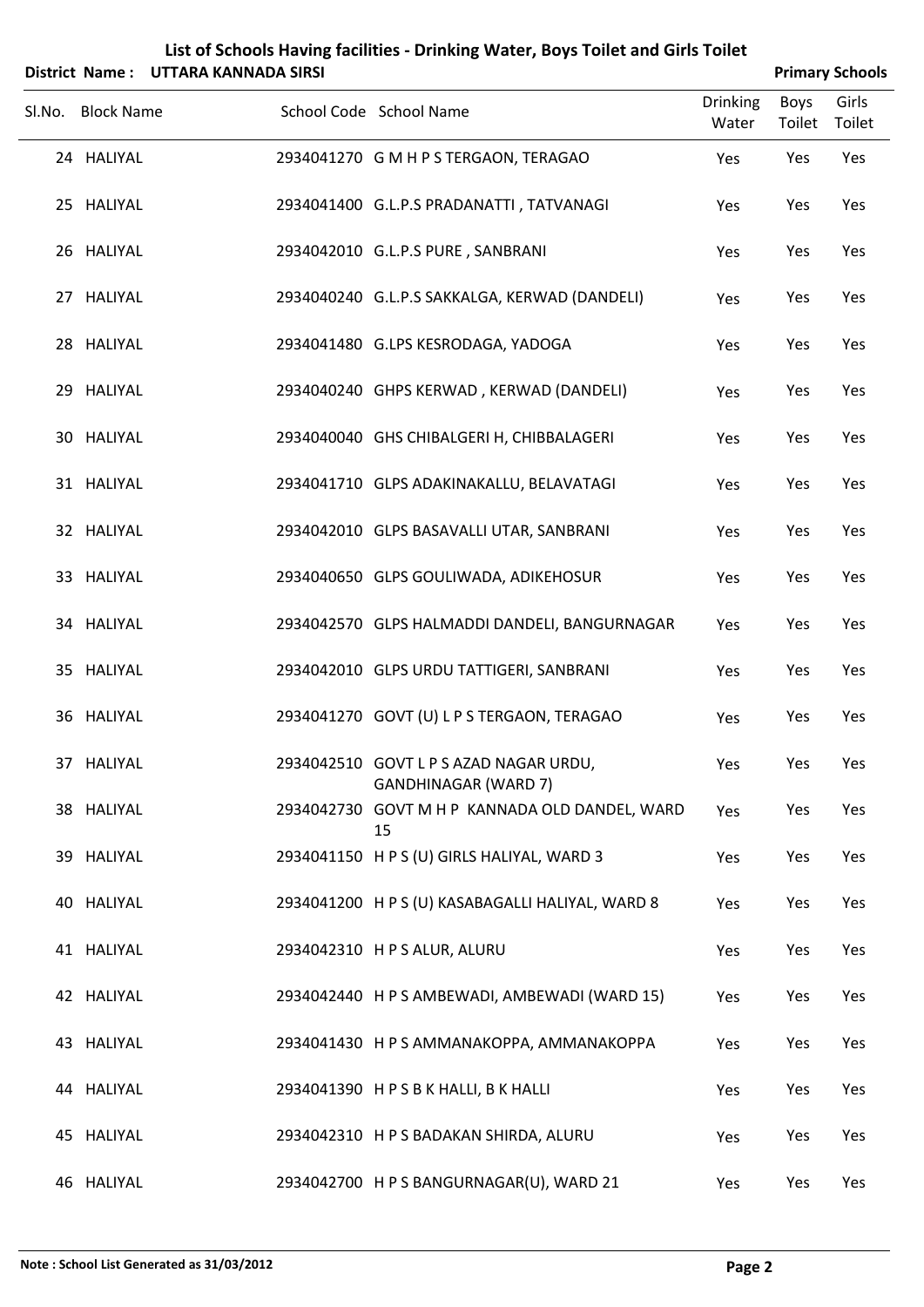|                   | District Name: UTTARA KANNADA SIRSI |                                                                       |                          |                | <b>Primary Schools</b> |
|-------------------|-------------------------------------|-----------------------------------------------------------------------|--------------------------|----------------|------------------------|
| Sl.No. Block Name |                                     | School Code School Name                                               | <b>Drinking</b><br>Water | Boys<br>Toilet | Girls<br>Toilet        |
| 24 HALIYAL        |                                     | 2934041270 G M H P S TERGAON, TERAGAO                                 | Yes                      | Yes            | Yes                    |
| 25 HALIYAL        |                                     | 2934041400 G.L.P.S PRADANATTI, TATVANAGI                              | Yes                      | Yes            | Yes                    |
| 26 HALIYAL        |                                     | 2934042010 G.L.P.S PURE, SANBRANI                                     | Yes                      | Yes            | Yes                    |
| 27 HALIYAL        |                                     | 2934040240 G.L.P.S SAKKALGA, KERWAD (DANDELI)                         | Yes                      | Yes            | Yes                    |
| 28 HALIYAL        |                                     | 2934041480 G.LPS KESRODAGA, YADOGA                                    | Yes                      | Yes            | Yes                    |
| 29 HALIYAL        |                                     | 2934040240 GHPS KERWAD, KERWAD (DANDELI)                              | Yes                      | Yes            | Yes                    |
| 30 HALIYAL        |                                     | 2934040040 GHS CHIBALGERI H, CHIBBALAGERI                             | Yes                      | Yes            | Yes                    |
| 31 HALIYAL        |                                     | 2934041710 GLPS ADAKINAKALLU, BELAVATAGI                              | Yes                      | Yes            | Yes                    |
| 32 HALIYAL        |                                     | 2934042010 GLPS BASAVALLI UTAR, SANBRANI                              | Yes                      | Yes            | Yes                    |
| 33 HALIYAL        |                                     | 2934040650 GLPS GOULIWADA, ADIKEHOSUR                                 | Yes                      | Yes            | Yes                    |
| 34 HALIYAL        |                                     | 2934042570 GLPS HALMADDI DANDELI, BANGURNAGAR                         | Yes                      | Yes            | Yes                    |
| 35 HALIYAL        |                                     | 2934042010 GLPS URDU TATTIGERI, SANBRANI                              | Yes                      | Yes            | Yes                    |
| 36 HALIYAL        |                                     | 2934041270 GOVT (U) L P S TERGAON, TERAGAO                            | Yes                      | Yes            | Yes                    |
| 37 HALIYAL        |                                     | 2934042510 GOVT L P S AZAD NAGAR URDU,<br><b>GANDHINAGAR (WARD 7)</b> | Yes                      | Yes            | Yes                    |
| 38 HALIYAL        |                                     | 2934042730 GOVT M H P KANNADA OLD DANDEL, WARD<br>15                  | Yes                      | Yes            | Yes                    |
| 39 HALIYAL        |                                     | 2934041150 H P S (U) GIRLS HALIYAL, WARD 3                            | Yes                      | Yes            | Yes                    |
| 40 HALIYAL        |                                     | 2934041200 H P S (U) KASABAGALLI HALIYAL, WARD 8                      | Yes                      | Yes            | Yes                    |
| 41 HALIYAL        |                                     | 2934042310 H P S ALUR, ALURU                                          | Yes                      | Yes            | Yes                    |
| 42 HALIYAL        |                                     | 2934042440 H P S AMBEWADI, AMBEWADI (WARD 15)                         | Yes                      | Yes            | Yes                    |
| 43 HALIYAL        |                                     | 2934041430 H P S AMMANAKOPPA, AMMANAKOPPA                             | Yes                      | Yes            | Yes                    |
| 44 HALIYAL        |                                     | 2934041390 HPSBK HALLI, BK HALLI                                      | Yes                      | Yes            | Yes                    |
| 45 HALIYAL        |                                     | 2934042310 H P S BADAKAN SHIRDA, ALURU                                | Yes                      | Yes            | Yes                    |
| 46 HALIYAL        |                                     | 2934042700 H P S BANGURNAGAR(U), WARD 21                              | Yes                      | Yes            | Yes                    |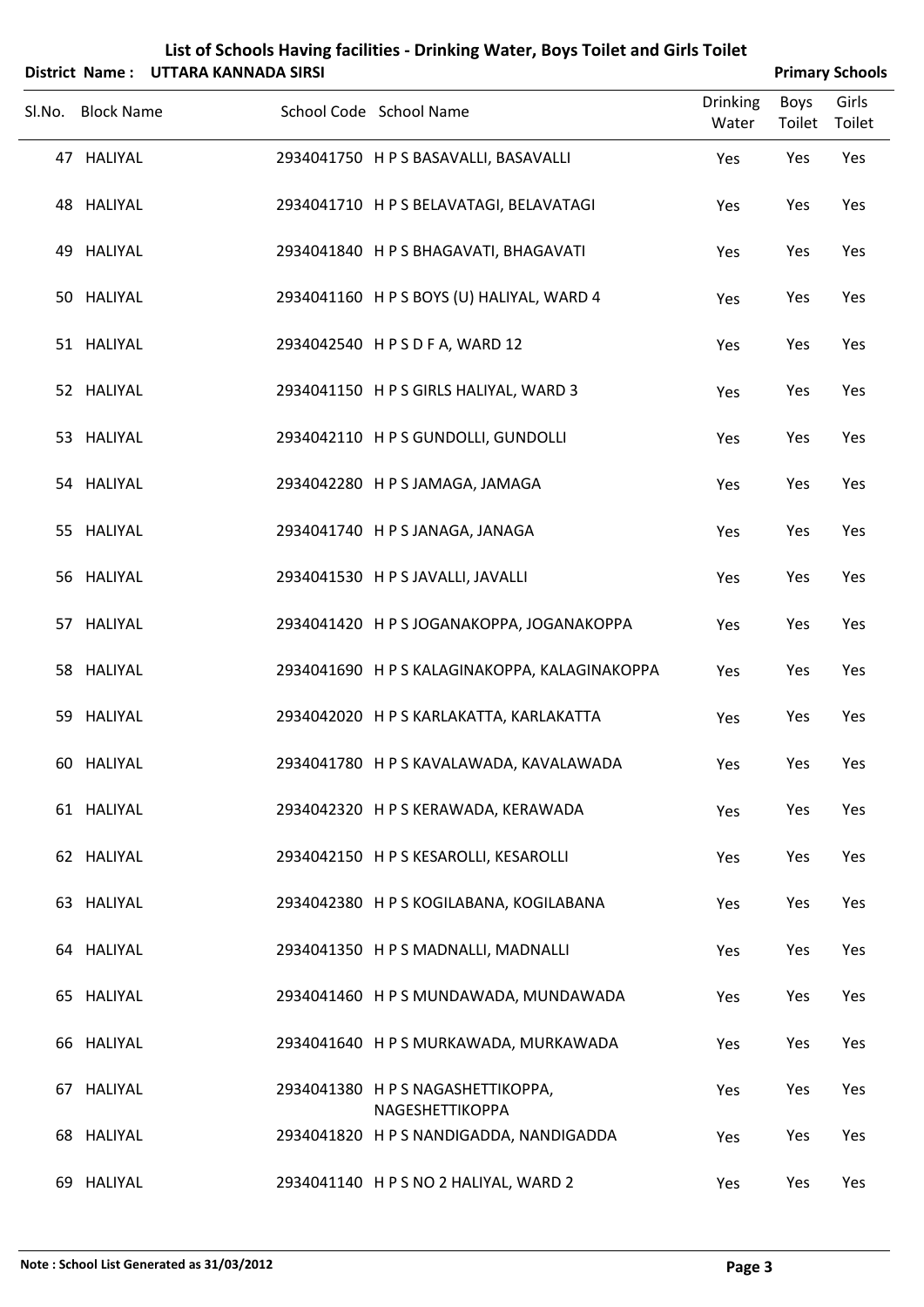|                   | District Name: UTTARA KANNADA SIRSI |                                                      |                          |                | <b>Primary Schools</b> |
|-------------------|-------------------------------------|------------------------------------------------------|--------------------------|----------------|------------------------|
| Sl.No. Block Name |                                     | School Code School Name                              | <b>Drinking</b><br>Water | Boys<br>Toilet | Girls<br>Toilet        |
| 47 HALIYAL        |                                     | 2934041750 H P S BASAVALLI, BASAVALLI                | Yes                      | Yes            | Yes                    |
| 48 HALIYAL        |                                     | 2934041710 H P S BELAVATAGI, BELAVATAGI              | Yes                      | Yes            | Yes                    |
| 49 HALIYAL        |                                     | 2934041840 H P S BHAGAVATI, BHAGAVATI                | Yes                      | Yes            | Yes                    |
| 50 HALIYAL        |                                     | 2934041160 H P S BOYS (U) HALIYAL, WARD 4            | Yes                      | Yes            | Yes                    |
| 51 HALIYAL        |                                     | 2934042540 HPSDFA, WARD 12                           | Yes                      | Yes            | Yes                    |
| 52 HALIYAL        |                                     | 2934041150 H P S GIRLS HALIYAL, WARD 3               | Yes                      | Yes            | Yes                    |
| 53 HALIYAL        |                                     | 2934042110 H P S GUNDOLLI, GUNDOLLI                  | Yes                      | Yes            | Yes                    |
| 54 HALIYAL        |                                     | 2934042280 H P S JAMAGA, JAMAGA                      | Yes                      | Yes            | Yes                    |
| 55 HALIYAL        |                                     | 2934041740 H P S JANAGA, JANAGA                      | Yes                      | Yes            | Yes                    |
| 56 HALIYAL        |                                     | 2934041530 H P S JAVALLI, JAVALLI                    | Yes                      | Yes            | Yes                    |
| 57 HALIYAL        |                                     | 2934041420 H P S JOGANAKOPPA, JOGANAKOPPA            | Yes                      | Yes            | Yes                    |
| 58 HALIYAL        |                                     | 2934041690 H P S KALAGINAKOPPA, KALAGINAKOPPA        | Yes                      | Yes            | Yes                    |
| 59 HALIYAL        |                                     | 2934042020 H P S KARLAKATTA, KARLAKATTA              | Yes                      | Yes            | Yes                    |
| 60 HALIYAL        |                                     | 2934041780 H P S KAVALAWADA, KAVALAWADA              | Yes                      | Yes            | Yes                    |
| 61 HALIYAL        |                                     | 2934042320 H P S KERAWADA, KERAWADA                  | Yes                      | Yes            | Yes                    |
| 62 HALIYAL        |                                     | 2934042150 H P S KESAROLLI, KESAROLLI                | Yes                      | Yes            | Yes                    |
| 63 HALIYAL        |                                     | 2934042380 H P S KOGILABANA, KOGILABANA              | Yes                      | Yes            | Yes                    |
| 64 HALIYAL        |                                     | 2934041350 H P S MADNALLI, MADNALLI                  | Yes                      | Yes            | Yes                    |
| 65 HALIYAL        |                                     | 2934041460 H P S MUNDAWADA, MUNDAWADA                | Yes                      | Yes            | Yes                    |
| 66 HALIYAL        |                                     | 2934041640 H P S MURKAWADA, MURKAWADA                | Yes                      | Yes            | Yes                    |
| 67 HALIYAL        |                                     | 2934041380 H P S NAGASHETTIKOPPA,<br>NAGESHETTIKOPPA | Yes                      | Yes            | Yes                    |
| 68 HALIYAL        |                                     | 2934041820 H P S NANDIGADDA, NANDIGADDA              | Yes                      | Yes            | Yes                    |
| 69 HALIYAL        |                                     | 2934041140 HPS NO 2 HALIYAL, WARD 2                  | Yes                      | Yes            | Yes                    |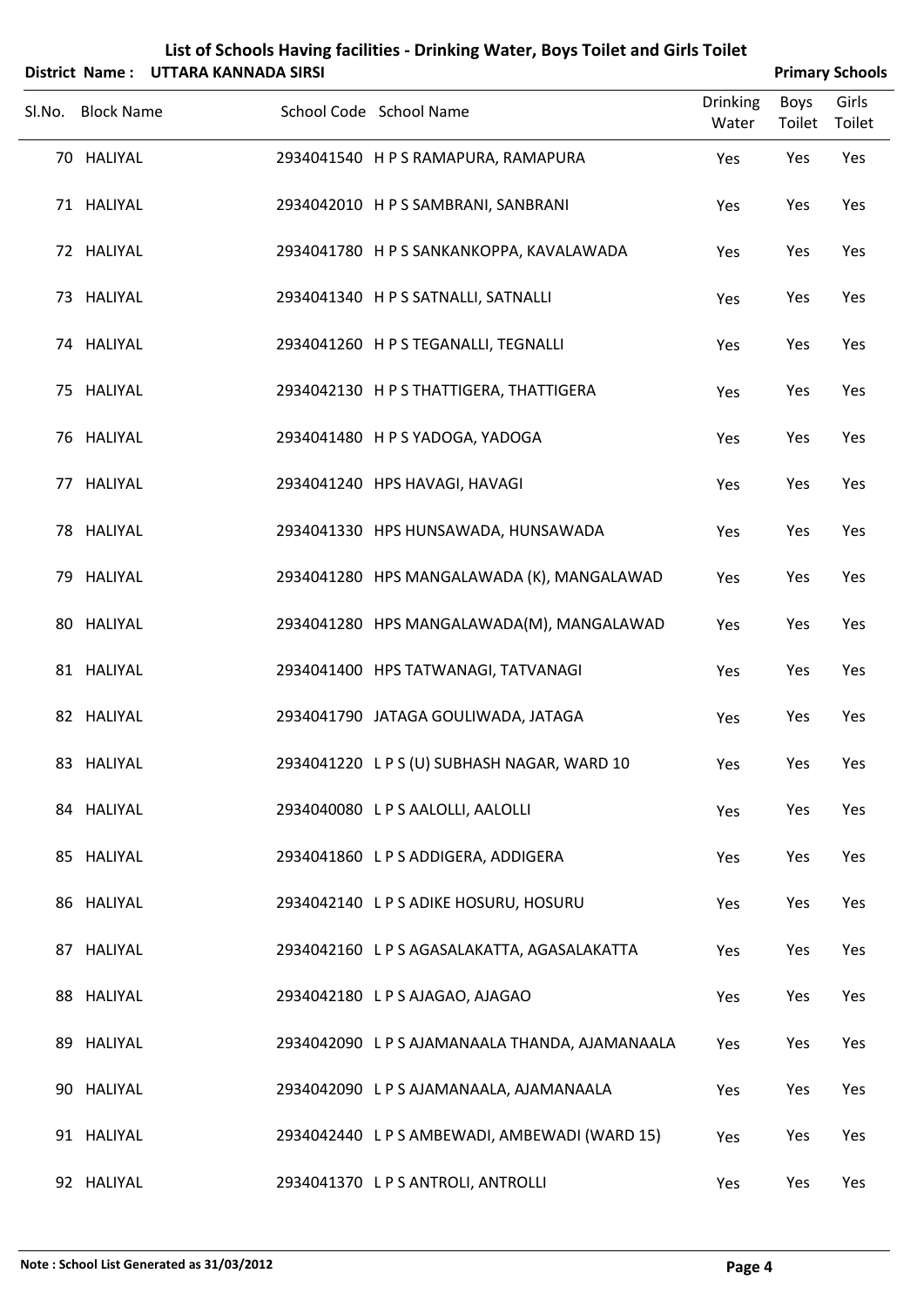|        |                   | District Name: UTTARA KANNADA SIRSI |                                                |                          |                | <b>Primary Schools</b> |
|--------|-------------------|-------------------------------------|------------------------------------------------|--------------------------|----------------|------------------------|
| Sl.No. | <b>Block Name</b> |                                     | School Code School Name                        | <b>Drinking</b><br>Water | Boys<br>Toilet | Girls<br>Toilet        |
|        | 70 HALIYAL        |                                     | 2934041540 H P S RAMAPURA, RAMAPURA            | Yes                      | Yes            | Yes                    |
|        | 71 HALIYAL        |                                     | 2934042010 H P S SAMBRANI, SANBRANI            | Yes                      | Yes            | Yes                    |
|        | 72 HALIYAL        |                                     | 2934041780 H P S SANKANKOPPA, KAVALAWADA       | Yes                      | Yes            | Yes                    |
|        | 73 HALIYAL        |                                     | 2934041340 H P S SATNALLI, SATNALLI            | Yes                      | Yes            | Yes                    |
|        | 74 HALIYAL        |                                     | 2934041260 H P S TEGANALLI, TEGNALLI           | Yes                      | Yes            | Yes                    |
|        | 75 HALIYAL        |                                     | 2934042130 H P S THATTIGERA, THATTIGERA        | Yes                      | Yes            | Yes                    |
|        | 76 HALIYAL        |                                     | 2934041480 H P S YADOGA, YADOGA                | Yes                      | Yes            | Yes                    |
|        | 77 HALIYAL        |                                     | 2934041240 HPS HAVAGI, HAVAGI                  | Yes                      | Yes            | Yes                    |
|        | 78 HALIYAL        |                                     | 2934041330 HPS HUNSAWADA, HUNSAWADA            | Yes                      | Yes            | Yes                    |
|        | 79 HALIYAL        |                                     | 2934041280 HPS MANGALAWADA (K), MANGALAWAD     | Yes                      | Yes            | Yes                    |
|        | 80 HALIYAL        |                                     | 2934041280 HPS MANGALAWADA(M), MANGALAWAD      | Yes                      | Yes            | Yes                    |
|        | 81 HALIYAL        |                                     | 2934041400 HPS TATWANAGI, TATVANAGI            | Yes                      | Yes            | Yes                    |
|        | 82 HALIYAL        |                                     | 2934041790 JATAGA GOULIWADA, JATAGA            | Yes                      | Yes            | Yes                    |
|        | 83 HALIYAL        |                                     | 2934041220 LPS (U) SUBHASH NAGAR, WARD 10      | Yes                      | Yes            | Yes                    |
|        | 84 HALIYAL        |                                     | 2934040080 LPS AALOLLI, AALOLLI                | Yes                      | Yes            | Yes                    |
|        | 85 HALIYAL        |                                     | 2934041860 L P S ADDIGERA, ADDIGERA            | Yes                      | Yes            | Yes                    |
|        | 86 HALIYAL        |                                     | 2934042140 L P S ADIKE HOSURU, HOSURU          | Yes                      | Yes            | Yes                    |
|        | 87 HALIYAL        |                                     | 2934042160 LPS AGASALAKATTA, AGASALAKATTA      | Yes                      | Yes            | Yes                    |
|        | 88 HALIYAL        |                                     | 2934042180 LPS AJAGAO, AJAGAO                  | Yes                      | Yes            | Yes                    |
|        | 89 HALIYAL        |                                     | 2934042090 L P S AJAMANAALA THANDA, AJAMANAALA | Yes                      | Yes            | Yes                    |
|        | 90 HALIYAL        |                                     | 2934042090 LPS AJAMANAALA, AJAMANAALA          | Yes                      | Yes            | Yes                    |
|        | 91 HALIYAL        |                                     | 2934042440 LPS AMBEWADI, AMBEWADI (WARD 15)    | Yes                      | Yes            | Yes                    |
|        | 92 HALIYAL        |                                     | 2934041370 LPS ANTROLI, ANTROLLI               | Yes                      | Yes            | Yes                    |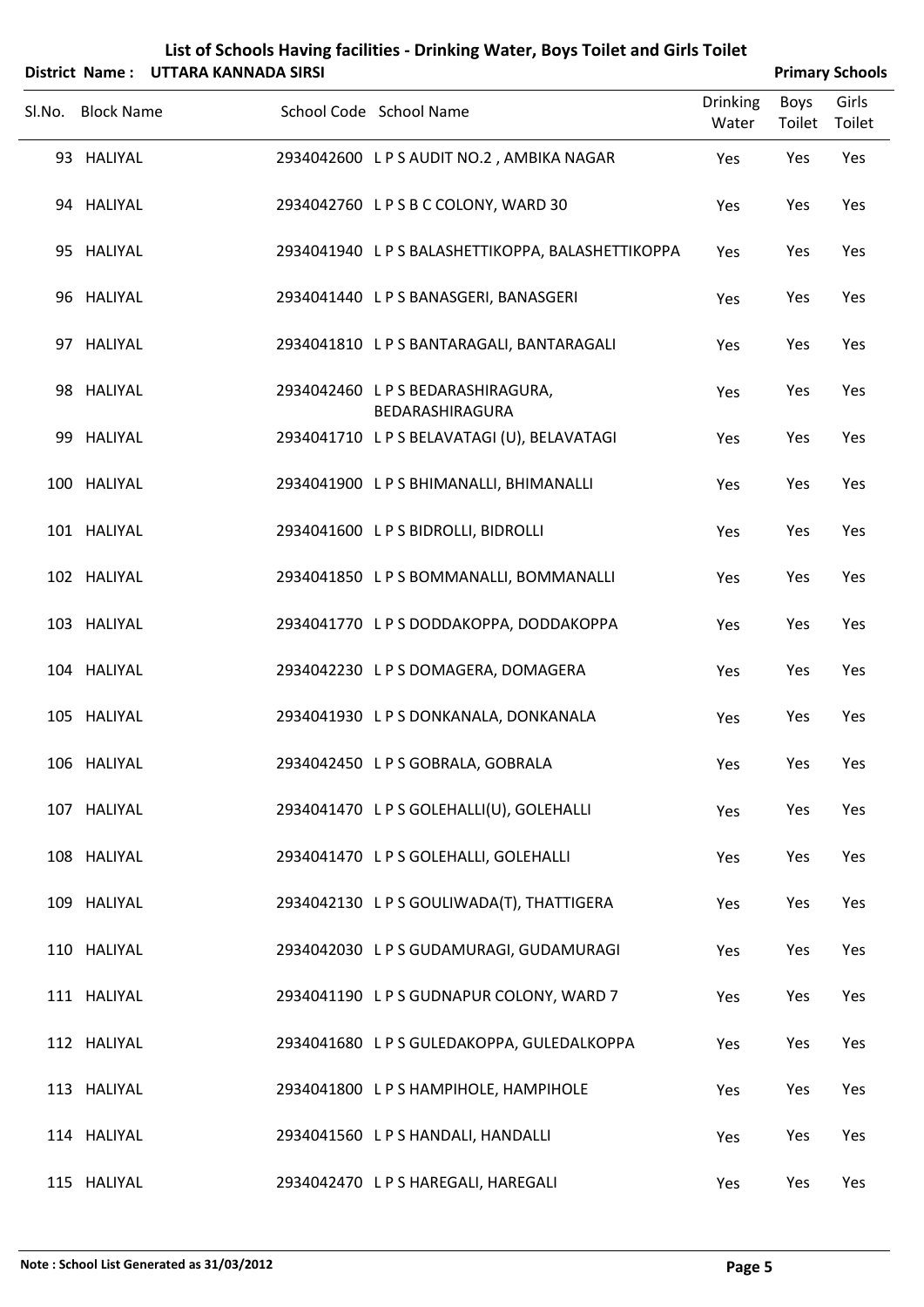|        |                   | District Name: UTTARA KANNADA SIRSI |                                                    |                          |                | <b>Primary Schools</b> |
|--------|-------------------|-------------------------------------|----------------------------------------------------|--------------------------|----------------|------------------------|
| Sl.No. | <b>Block Name</b> |                                     | School Code School Name                            | <b>Drinking</b><br>Water | Boys<br>Toilet | Girls<br>Toilet        |
|        | 93 HALIYAL        |                                     | 2934042600 LPS AUDIT NO.2, AMBIKA NAGAR            | Yes                      | Yes            | Yes                    |
|        | 94 HALIYAL        |                                     | 2934042760 LPSBCCOLONY, WARD 30                    | Yes                      | Yes            | Yes                    |
|        | 95 HALIYAL        |                                     | 2934041940 L P S BALASHETTIKOPPA, BALASHETTIKOPPA  | Yes                      | Yes            | Yes                    |
|        | 96 HALIYAL        |                                     | 2934041440 LPS BANASGERI, BANASGERI                | Yes                      | Yes            | Yes                    |
|        | 97 HALIYAL        |                                     | 2934041810 LPS BANTARAGALI, BANTARAGALI            | Yes                      | Yes            | Yes                    |
|        | 98 HALIYAL        |                                     | 2934042460 LPS BEDARASHIRAGURA,<br>BEDARASHIRAGURA | Yes                      | Yes            | Yes                    |
|        | 99 HALIYAL        |                                     | 2934041710 LPS BELAVATAGI (U), BELAVATAGI          | Yes                      | Yes            | Yes                    |
|        | 100 HALIYAL       |                                     | 2934041900 LPS BHIMANALLI, BHIMANALLI              | Yes                      | Yes            | Yes                    |
|        | 101 HALIYAL       |                                     | 2934041600 LPS BIDROLLI, BIDROLLI                  | Yes                      | Yes            | Yes                    |
|        | 102 HALIYAL       |                                     | 2934041850 LPS BOMMANALLI, BOMMANALLI              | Yes                      | Yes            | Yes                    |
|        | 103 HALIYAL       |                                     | 2934041770 LPSDODDAKOPPA, DODDAKOPPA               | Yes                      | Yes            | Yes                    |
|        | 104 HALIYAL       |                                     | 2934042230 L P S DOMAGERA, DOMAGERA                | Yes                      | Yes            | Yes                    |
|        | 105 HALIYAL       |                                     | 2934041930 LPS DONKANALA, DONKANALA                | Yes                      | Yes            | Yes                    |
|        | 106 HALIYAL       |                                     | 2934042450 LPS GOBRALA, GOBRALA                    | Yes                      | Yes            | Yes                    |
|        | 107 HALIYAL       |                                     | 2934041470 L P S GOLEHALLI(U), GOLEHALLI           | Yes                      | Yes            | Yes                    |
|        | 108 HALIYAL       |                                     | 2934041470 LPS GOLEHALLI, GOLEHALLI                | Yes                      | Yes            | Yes                    |
|        | 109 HALIYAL       |                                     | 2934042130 LPS GOULIWADA(T), THATTIGERA            | Yes                      | Yes            | Yes                    |
|        | 110 HALIYAL       |                                     | 2934042030 LPS GUDAMURAGI, GUDAMURAGI              | Yes                      | Yes            | Yes                    |
|        | 111 HALIYAL       |                                     | 2934041190 LPS GUDNAPUR COLONY, WARD 7             | Yes                      | Yes            | Yes                    |
|        | 112 HALIYAL       |                                     | 2934041680 LPS GULEDAKOPPA, GULEDALKOPPA           | Yes                      | Yes            | Yes                    |
|        | 113 HALIYAL       |                                     | 2934041800 LPS HAMPIHOLE, HAMPIHOLE                | Yes                      | Yes            | Yes                    |
|        | 114 HALIYAL       |                                     | 2934041560 LPS HANDALI, HANDALLI                   | Yes                      | Yes            | Yes                    |
|        | 115 HALIYAL       |                                     | 2934042470 LPS HAREGALI, HAREGALI                  | Yes                      | Yes            | Yes                    |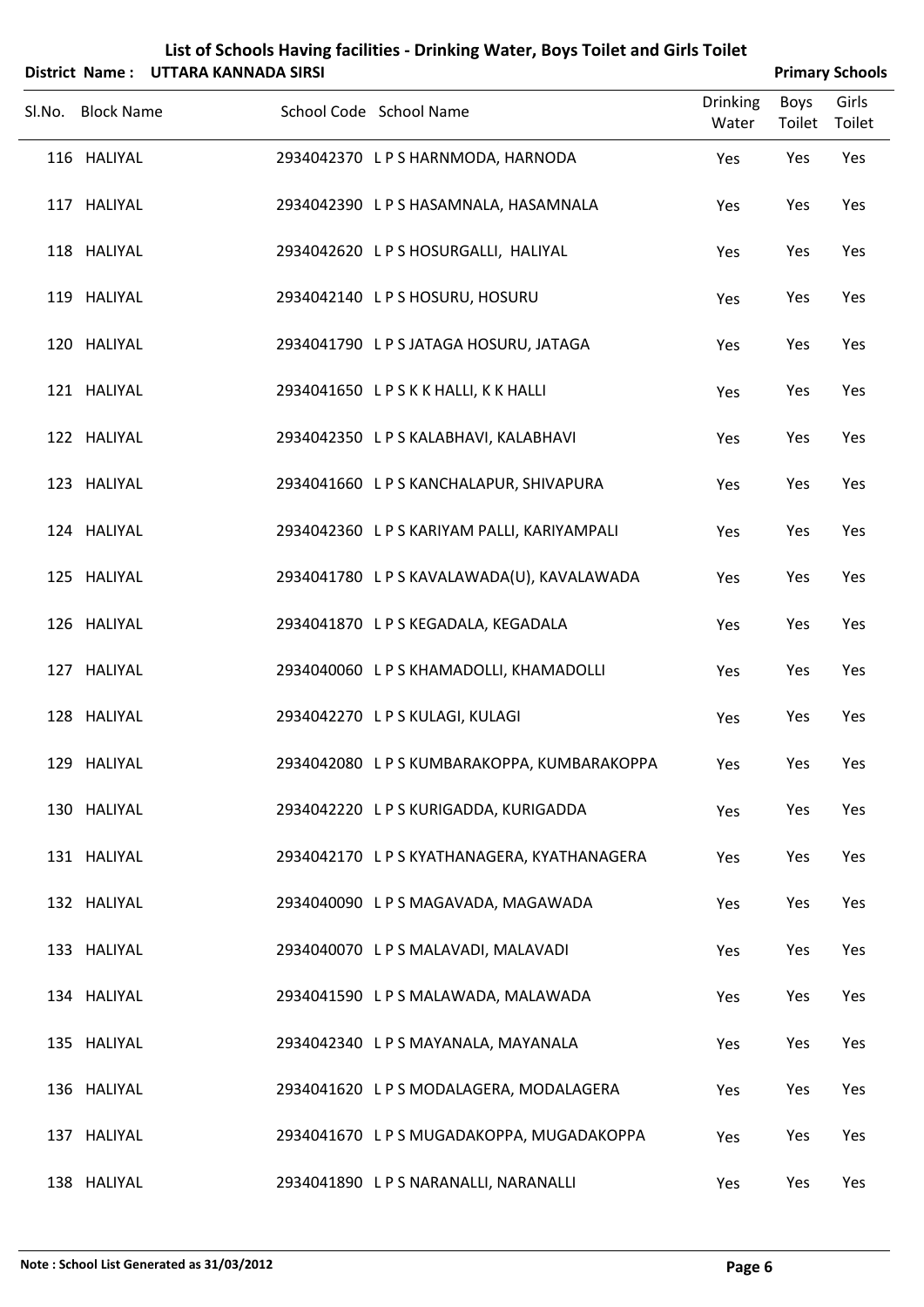|                   | District Name: UTTARA KANNADA SIRSI |                                             |                          |                | <b>Primary Schools</b> |
|-------------------|-------------------------------------|---------------------------------------------|--------------------------|----------------|------------------------|
| Sl.No. Block Name |                                     | School Code School Name                     | <b>Drinking</b><br>Water | Boys<br>Toilet | Girls<br>Toilet        |
| 116 HALIYAL       |                                     | 2934042370 LPS HARNMODA, HARNODA            | Yes                      | Yes            | Yes                    |
| 117 HALIYAL       |                                     | 2934042390 L P S HASAMNALA, HASAMNALA       | Yes                      | Yes            | Yes                    |
| 118 HALIYAL       |                                     | 2934042620 LPS HOSURGALLI, HALIYAL          | Yes                      | Yes            | Yes                    |
| 119 HALIYAL       |                                     | 2934042140 LPS HOSURU, HOSURU               | Yes                      | Yes            | Yes                    |
| 120 HALIYAL       |                                     | 2934041790 LPS JATAGA HOSURU, JATAGA        | Yes                      | Yes            | Yes                    |
| 121 HALIYAL       |                                     | 2934041650 LPSKKHALLI, KKHALLI              | Yes                      | Yes            | Yes                    |
| 122 HALIYAL       |                                     | 2934042350 LPS KALABHAVI, KALABHAVI         | Yes                      | Yes            | Yes                    |
| 123 HALIYAL       |                                     | 2934041660 LPS KANCHALAPUR, SHIVAPURA       | Yes                      | Yes            | Yes                    |
| 124 HALIYAL       |                                     | 2934042360 LPS KARIYAM PALLI, KARIYAMPALI   | Yes                      | Yes            | Yes                    |
| 125 HALIYAL       |                                     | 2934041780 L P S KAVALAWADA(U), KAVALAWADA  | Yes                      | Yes            | Yes                    |
| 126 HALIYAL       |                                     | 2934041870 LPS KEGADALA, KEGADALA           | Yes                      | Yes            | Yes                    |
| 127 HALIYAL       |                                     | 2934040060 L P S KHAMADOLLI, KHAMADOLLI     | Yes                      | Yes            | Yes                    |
| 128 HALIYAL       |                                     | 2934042270 L P S KULAGI, KULAGI             | Yes                      | Yes            | Yes                    |
| 129 HALIYAL       |                                     | 2934042080 L P S KUMBARAKOPPA, KUMBARAKOPPA | Yes                      | Yes            | Yes                    |
| 130 HALIYAL       |                                     | 2934042220 LPS KURIGADDA, KURIGADDA         | Yes                      | Yes            | Yes                    |
| 131 HALIYAL       |                                     | 2934042170 L P S KYATHANAGERA, KYATHANAGERA | Yes                      | Yes            | Yes                    |
| 132 HALIYAL       |                                     | 2934040090 LPS MAGAVADA, MAGAWADA           | Yes                      | Yes            | Yes                    |
| 133 HALIYAL       |                                     | 2934040070 LPS MALAVADI, MALAVADI           | Yes                      | Yes            | Yes                    |
| 134 HALIYAL       |                                     | 2934041590 LPS MALAWADA, MALAWADA           | Yes                      | Yes            | Yes                    |
| 135 HALIYAL       |                                     | 2934042340 LPS MAYANALA, MAYANALA           | Yes                      | Yes            | Yes                    |
| 136 HALIYAL       |                                     | 2934041620 LPS MODALAGERA, MODALAGERA       | Yes                      | Yes            | Yes                    |
| 137 HALIYAL       |                                     | 2934041670 LPS MUGADAKOPPA, MUGADAKOPPA     | Yes                      | Yes            | Yes                    |
| 138 HALIYAL       |                                     | 2934041890 L P S NARANALLI, NARANALLI       | Yes                      | Yes            | Yes                    |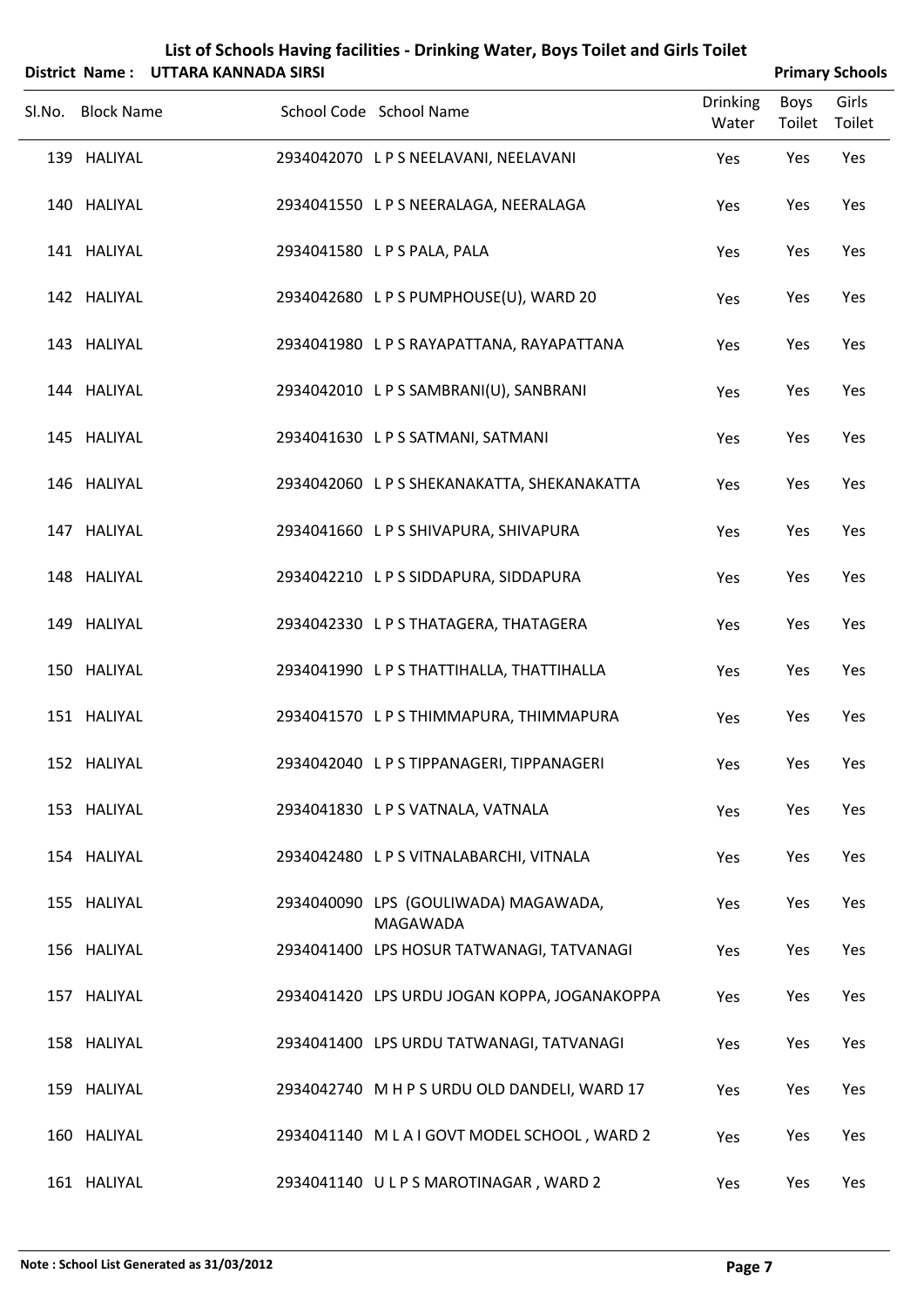|        |                   | District Name: UTTARA KANNADA SIRSI |                                                  |                          |                | <b>Primary Schools</b> |
|--------|-------------------|-------------------------------------|--------------------------------------------------|--------------------------|----------------|------------------------|
| Sl.No. | <b>Block Name</b> |                                     | School Code School Name                          | <b>Drinking</b><br>Water | Boys<br>Toilet | Girls<br>Toilet        |
|        | 139 HALIYAL       |                                     | 2934042070 L P S NEELAVANI, NEELAVANI            | Yes                      | Yes            | Yes                    |
|        | 140 HALIYAL       |                                     | 2934041550 L P S NEERALAGA, NEERALAGA            | Yes                      | Yes            | Yes                    |
|        | 141 HALIYAL       |                                     | 2934041580 LPS PALA, PALA                        | Yes                      | Yes            | Yes                    |
|        | 142 HALIYAL       |                                     | 2934042680 LPS PUMPHOUSE(U), WARD 20             | Yes                      | Yes            | Yes                    |
|        | 143 HALIYAL       |                                     | 2934041980 LPS RAYAPATTANA, RAYAPATTANA          | Yes                      | Yes            | Yes                    |
|        | 144 HALIYAL       |                                     | 2934042010 LPS SAMBRANI(U), SANBRANI             | Yes                      | Yes            | Yes                    |
|        | 145 HALIYAL       |                                     | 2934041630 LPS SATMANI, SATMANI                  | Yes                      | Yes            | Yes                    |
|        | 146 HALIYAL       |                                     | 2934042060 L P S SHEKANAKATTA, SHEKANAKATTA      | Yes                      | Yes            | Yes                    |
|        | 147 HALIYAL       |                                     | 2934041660 LPS SHIVAPURA, SHIVAPURA              | Yes                      | Yes            | Yes                    |
|        | 148 HALIYAL       |                                     | 2934042210 LPS SIDDAPURA, SIDDAPURA              | Yes                      | Yes            | Yes                    |
|        | 149 HALIYAL       |                                     | 2934042330 LPS THATAGERA, THATAGERA              | Yes                      | Yes            | Yes                    |
|        | 150 HALIYAL       |                                     | 2934041990 L P S THATTIHALLA, THATTIHALLA        | Yes                      | Yes            | Yes                    |
|        | 151 HALIYAL       |                                     | 2934041570 LPS THIMMAPURA, THIMMAPURA            | Yes                      | Yes            | Yes                    |
|        | 152 HALIYAL       |                                     | 2934042040 LPSTIPPANAGERI, TIPPANAGERI           | Yes                      | Yes            | Yes                    |
|        | 153 HALIYAL       |                                     | 2934041830 LPS VATNALA, VATNALA                  | Yes                      | Yes            | Yes                    |
|        | 154 HALIYAL       |                                     | 2934042480 LPS VITNALABARCHI, VITNALA            | Yes                      | Yes            | Yes                    |
|        | 155 HALIYAL       |                                     | 2934040090 LPS (GOULIWADA) MAGAWADA,<br>MAGAWADA | Yes                      | Yes            | Yes                    |
|        | 156 HALIYAL       |                                     | 2934041400 LPS HOSUR TATWANAGI, TATVANAGI        | Yes                      | Yes            | Yes                    |
|        | 157 HALIYAL       |                                     | 2934041420 LPS URDU JOGAN KOPPA, JOGANAKOPPA     | Yes                      | Yes            | Yes                    |
|        | 158 HALIYAL       |                                     | 2934041400 LPS URDU TATWANAGI, TATVANAGI         | Yes                      | Yes            | Yes                    |
|        | 159 HALIYAL       |                                     | 2934042740 M H P S URDU OLD DANDELI, WARD 17     | Yes                      | Yes            | Yes                    |
|        | 160 HALIYAL       |                                     | 2934041140 MLAIGOVT MODEL SCHOOL, WARD 2         | Yes                      | Yes            | Yes                    |
|        | 161 HALIYAL       |                                     | 2934041140 ULPS MAROTINAGAR, WARD 2              | Yes                      | Yes            | Yes                    |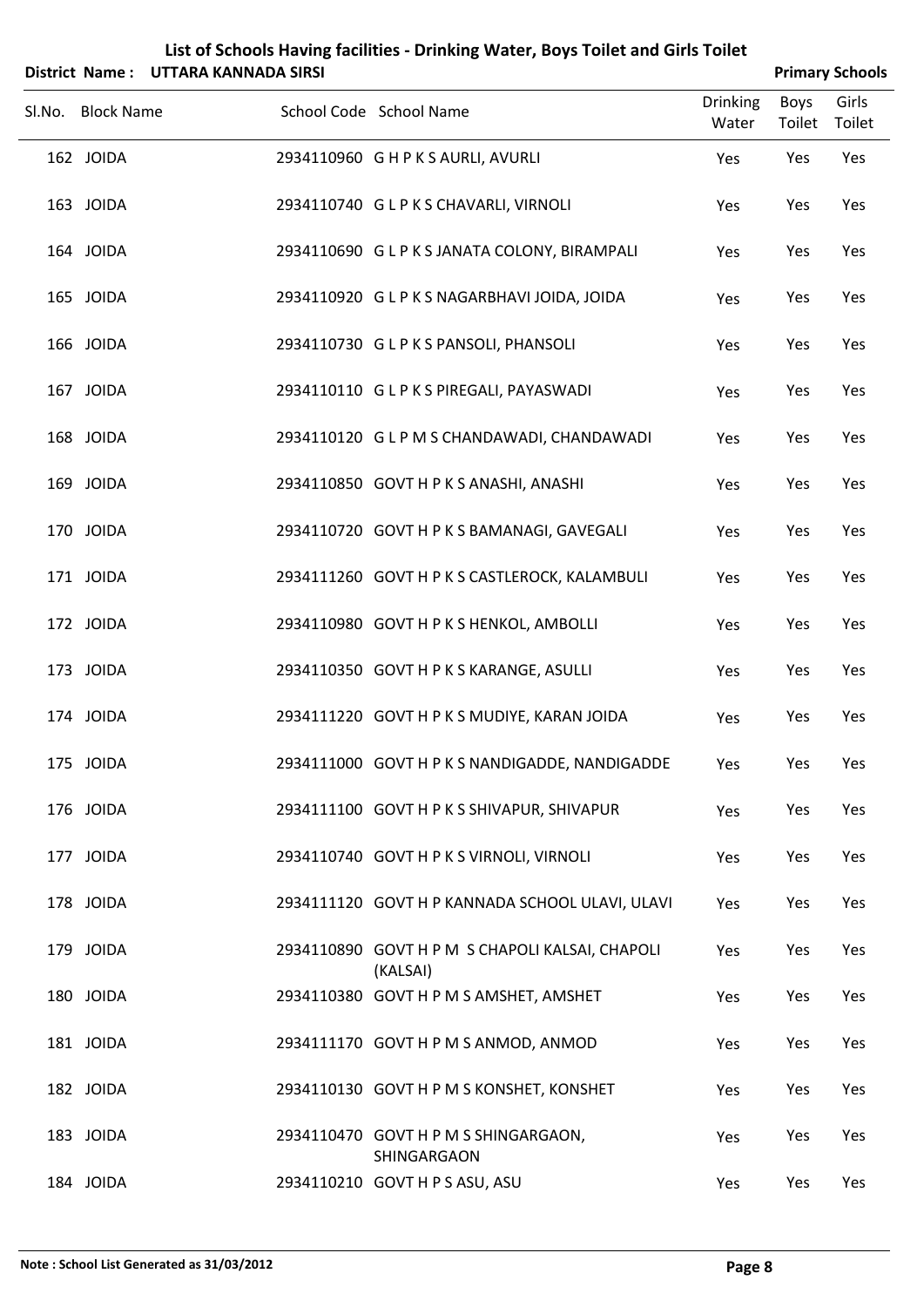|                   | District Name: UTTARA KANNADA SIRSI | List of Schools Having facilities - Drinking Water, Boys Toilet and Girls Toilet |                          |                       | <b>Primary Schools</b> |
|-------------------|-------------------------------------|----------------------------------------------------------------------------------|--------------------------|-----------------------|------------------------|
| Sl.No. Block Name |                                     | School Code School Name                                                          | <b>Drinking</b><br>Water | <b>Boys</b><br>Toilet | Girls<br>Toilet        |
| 162 JOIDA         |                                     | 2934110960 GHPKSAURLI, AVURLI                                                    | Yes                      | Yes                   | Yes                    |
| 163 JOIDA         |                                     | 2934110740 GLPKSCHAVARLI, VIRNOLI                                                | Yes                      | Yes                   | Yes                    |
| 164 JOIDA         |                                     | 2934110690 G L P K S JANATA COLONY, BIRAMPALI                                    | Yes                      | Yes                   | Yes                    |
| 165 JOIDA         |                                     | 2934110920 GLPKS NAGARBHAVI JOIDA, JOIDA                                         | Yes                      | Yes                   | Yes                    |
| 166 JOIDA         |                                     | 2934110730 GLPKS PANSOLI, PHANSOLI                                               | Yes                      | Yes                   | Yes                    |
| 167 JOIDA         |                                     | 2934110110 GLPKS PIREGALI, PAYASWADI                                             | Yes                      | Yes                   | Yes                    |
| 168 JOIDA         |                                     | 2934110120 G L P M S CHANDAWADI, CHANDAWADI                                      | Yes                      | Yes                   | Yes                    |
| 169 JOIDA         |                                     | 2934110850 GOVT H P K S ANASHI, ANASHI                                           | Yes                      | Yes                   | Yes                    |
| 170 JOIDA         |                                     | 2934110720 GOVT H P K S BAMANAGI, GAVEGALI                                       | Yes                      | Yes                   | Yes                    |
| 171 JOIDA         |                                     | 2934111260 GOVT H P K S CASTLEROCK, KALAMBULI                                    | Yes                      | Yes                   | Yes                    |
| 172 JOIDA         |                                     | 2934110980 GOVT H P K S HENKOL, AMBOLLI                                          | Yes                      | Yes                   | Yes                    |
| 173 JOIDA         |                                     | 2934110350 GOVT H P K S KARANGE, ASULLI                                          | Yes                      | Yes                   | Yes                    |
| 174 JOIDA         |                                     | 2934111220 GOVT H P K S MUDIYE, KARAN JOIDA                                      | Yes                      | Yes                   | Yes                    |
| 175 JOIDA         |                                     | 2934111000 GOVT H P K S NANDIGADDE, NANDIGADDE                                   | Yes                      | Yes                   | Yes                    |
| 176 JOIDA         |                                     | 2934111100 GOVT H P K S SHIVAPUR, SHIVAPUR                                       | Yes                      | Yes                   | Yes                    |
| 177 JOIDA         |                                     | 2934110740 GOVT H P K S VIRNOLI, VIRNOLI                                         | Yes                      | Yes                   | Yes                    |
| 178 JOIDA         |                                     | 2934111120 GOVT H P KANNADA SCHOOL ULAVI, ULAVI                                  | Yes                      | Yes                   | Yes                    |
| 179 JOIDA         |                                     | 2934110890 GOVT H P M S CHAPOLI KALSAI, CHAPOLI                                  | Yes                      | Yes                   | Yes                    |
| 180 JOIDA         |                                     | (KALSAI)<br>2934110380 GOVT H P M S AMSHET, AMSHET                               | Yes                      | Yes                   | Yes                    |
| 181 JOIDA         |                                     | 2934111170 GOVT H P M S ANMOD, ANMOD                                             | Yes                      | Yes                   | Yes                    |
| 182 JOIDA         |                                     | 2934110130 GOVT H P M S KONSHET, KONSHET                                         | Yes                      | Yes                   | Yes                    |
| 183 JOIDA         |                                     | 2934110470 GOVT H P M S SHINGARGAON,                                             | Yes                      | Yes                   | Yes                    |
| 184 JOIDA         |                                     | SHINGARGAON<br>2934110210 GOVT H P S ASU, ASU                                    | Yes                      | Yes                   | Yes                    |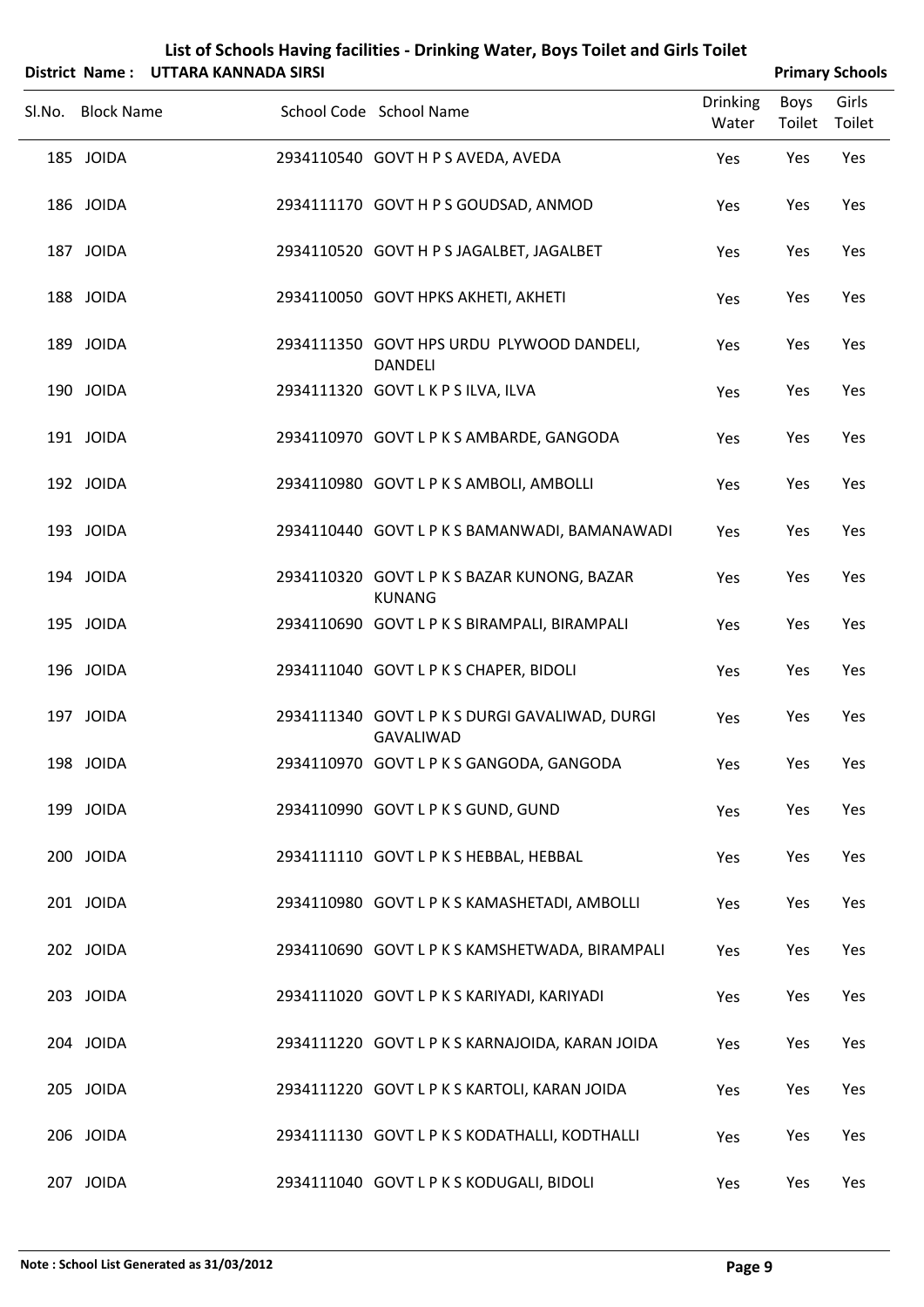| List of Schools Having facilities - Drinking Water, boys Tollet and Girls Tollet |                        |
|----------------------------------------------------------------------------------|------------------------|
| District Name: UTTARA KANNADA SIRSI                                              | <b>Primary Schools</b> |

|                   | ייטיייט אשאיזיריא אייאז דער פוויוסט ויטוייט |                                                              |                          |                | r i illial y Julious |
|-------------------|---------------------------------------------|--------------------------------------------------------------|--------------------------|----------------|----------------------|
| Sl.No. Block Name |                                             | School Code School Name                                      | <b>Drinking</b><br>Water | Boys<br>Toilet | Girls<br>Toilet      |
| 185 JOIDA         |                                             | 2934110540 GOVT H P S AVEDA, AVEDA                           | Yes                      | Yes            | Yes                  |
| 186 JOIDA         |                                             | 2934111170 GOVT H P S GOUDSAD, ANMOD                         | Yes                      | Yes            | Yes                  |
| 187 JOIDA         |                                             | 2934110520 GOVT H P S JAGALBET, JAGALBET                     | Yes                      | Yes            | Yes                  |
| 188 JOIDA         |                                             | 2934110050 GOVT HPKS AKHETI, AKHETI                          | Yes                      | Yes            | Yes                  |
| 189 JOIDA         |                                             | 2934111350 GOVT HPS URDU PLYWOOD DANDELI,<br><b>DANDELI</b>  | Yes                      | Yes            | Yes                  |
| 190 JOIDA         |                                             | 2934111320 GOVT L K P S ILVA, ILVA                           | Yes                      | Yes            | Yes                  |
| 191 JOIDA         |                                             | 2934110970 GOVT L P K S AMBARDE, GANGODA                     | Yes                      | Yes            | Yes                  |
| 192 JOIDA         |                                             | 2934110980 GOVT L P K S AMBOLI, AMBOLLI                      | Yes                      | Yes            | Yes                  |
| 193 JOIDA         |                                             | 2934110440 GOVT L P K S BAMANWADI, BAMANAWADI                | Yes                      | Yes            | Yes                  |
| 194 JOIDA         |                                             | 2934110320 GOVT L P K S BAZAR KUNONG, BAZAR<br><b>KUNANG</b> | Yes                      | Yes            | Yes                  |
| 195 JOIDA         |                                             | 2934110690 GOVT L P K S BIRAMPALI, BIRAMPALI                 | Yes                      | Yes            | Yes                  |
| 196 JOIDA         |                                             | 2934111040 GOVT L P K S CHAPER, BIDOLI                       | Yes                      | Yes            | Yes                  |
| 197 JOIDA         |                                             | 2934111340 GOVT L P K S DURGI GAVALIWAD, DURGI<br>GAVALIWAD  | Yes                      | Yes            | Yes                  |
| 198 JOIDA         |                                             | 2934110970 GOVT L P K S GANGODA, GANGODA                     | Yes                      | Yes            | Yes                  |
| 199 JOIDA         |                                             | 2934110990 GOVT L P K S GUND, GUND                           | Yes                      | Yes            | Yes                  |
| 200 JOIDA         |                                             | 2934111110 GOVT L P K S HEBBAL, HEBBAL                       | Yes                      | Yes            | Yes                  |
| 201 JOIDA         |                                             | 2934110980 GOVT L P K S KAMASHETADI, AMBOLLI                 | Yes                      | Yes            | Yes                  |
| 202 JOIDA         |                                             | 2934110690 GOVT L P K S KAMSHETWADA, BIRAMPALI               | Yes                      | Yes            | Yes                  |
| 203 JOIDA         |                                             | 2934111020 GOVT L P K S KARIYADI, KARIYADI                   | Yes                      | Yes            | Yes                  |
| 204 JOIDA         |                                             | 2934111220 GOVT L P K S KARNAJOIDA, KARAN JOIDA              | Yes                      | Yes            | Yes                  |
| 205 JOIDA         |                                             | 2934111220 GOVT L P K S KARTOLI, KARAN JOIDA                 | Yes                      | Yes            | Yes                  |
| 206 JOIDA         |                                             | 2934111130 GOVT L P K S KODATHALLI, KODTHALLI                | Yes                      | Yes            | Yes                  |
| 207 JOIDA         |                                             | 2934111040 GOVT L P K S KODUGALI, BIDOLI                     | Yes                      | Yes            | Yes                  |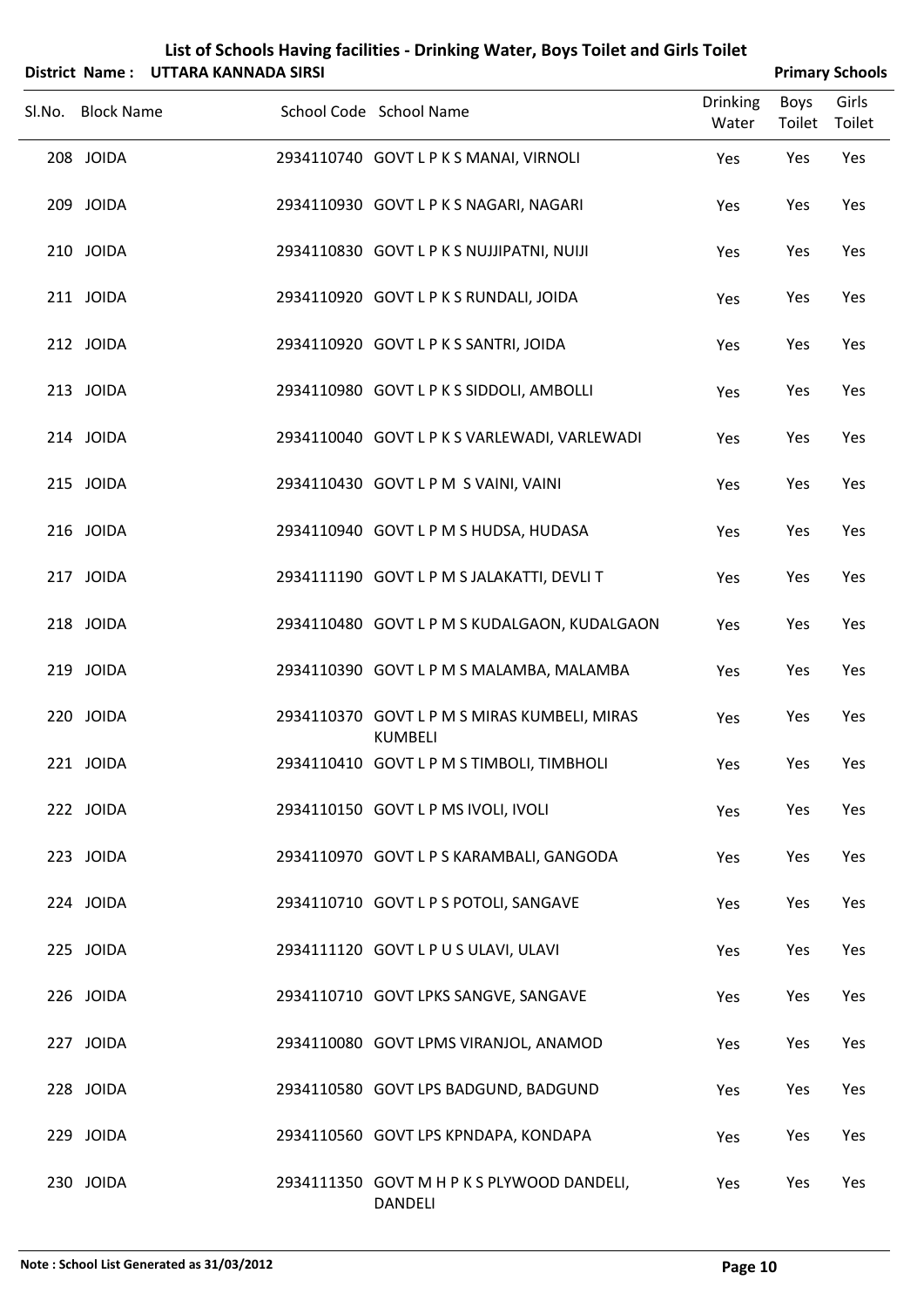|        | List of Schools Having facilities - Drinking Water, Boys Toilet and Girls Toilet |                                     |                                                                |                          |                |                        |
|--------|----------------------------------------------------------------------------------|-------------------------------------|----------------------------------------------------------------|--------------------------|----------------|------------------------|
|        |                                                                                  | District Name: UTTARA KANNADA SIRSI |                                                                |                          |                | <b>Primary Schools</b> |
| Sl.No. | <b>Block Name</b>                                                                |                                     | School Code School Name                                        | <b>Drinking</b><br>Water | Boys<br>Toilet | Girls<br>Toilet        |
|        | 208 JOIDA                                                                        |                                     | 2934110740 GOVT L P K S MANAI, VIRNOLI                         | Yes                      | Yes            | Yes                    |
|        | 209 JOIDA                                                                        |                                     | 2934110930 GOVT L P K S NAGARI, NAGARI                         | Yes                      | Yes            | Yes                    |
|        | 210 JOIDA                                                                        |                                     | 2934110830 GOVT L P K S NUJJIPATNI, NUIJI                      | Yes                      | Yes            | Yes                    |
|        | 211 JOIDA                                                                        |                                     | 2934110920 GOVT L P K S RUNDALI, JOIDA                         | Yes                      | Yes            | Yes                    |
|        | 212 JOIDA                                                                        |                                     | 2934110920 GOVT L P K S SANTRI, JOIDA                          | Yes                      | Yes            | Yes                    |
|        | 213 JOIDA                                                                        |                                     | 2934110980 GOVT L P K S SIDDOLI, AMBOLLI                       | Yes                      | Yes            | Yes                    |
|        | 214 JOIDA                                                                        |                                     | 2934110040 GOVT L P K S VARLEWADI, VARLEWADI                   | Yes                      | Yes            | Yes                    |
|        | 215 JOIDA                                                                        |                                     | 2934110430 GOVT LPM S VAINI, VAINI                             | Yes                      | Yes            | Yes                    |
|        | 216 JOIDA                                                                        |                                     | 2934110940 GOVT L P M S HUDSA, HUDASA                          | Yes                      | Yes            | Yes                    |
|        | 217 JOIDA                                                                        |                                     | 2934111190 GOVT L P M S JALAKATTI, DEVLI T                     | Yes                      | Yes            | Yes                    |
|        | 218 JOIDA                                                                        |                                     | 2934110480 GOVT L P M S KUDALGAON, KUDALGAON                   | Yes                      | Yes            | Yes                    |
|        | 219 JOIDA                                                                        |                                     | 2934110390 GOVT L P M S MALAMBA, MALAMBA                       | Yes                      | Yes            | Yes                    |
|        | 220 JOIDA                                                                        |                                     | 2934110370 GOVT L P M S MIRAS KUMBELI, MIRAS<br><b>KUMBELI</b> | Yes                      | Yes            | Yes                    |
|        | 221 JOIDA                                                                        |                                     | 2934110410 GOVT L P M S TIMBOLI, TIMBHOLI                      | Yes                      | Yes            | Yes                    |
|        | 222 JOIDA                                                                        |                                     | 2934110150 GOVT L P MS IVOLI, IVOLI                            | Yes                      | Yes            | Yes                    |
|        | 223 JOIDA                                                                        |                                     | 2934110970 GOVT L P S KARAMBALI, GANGODA                       | Yes                      | Yes            | Yes                    |
|        | 224 JOIDA                                                                        |                                     | 2934110710 GOVT L P S POTOLI, SANGAVE                          | Yes                      | Yes            | Yes                    |
|        | 225 JOIDA                                                                        |                                     | 2934111120 GOVT L P U S ULAVI, ULAVI                           | Yes                      | Yes            | Yes                    |
|        | 226 JOIDA                                                                        |                                     | 2934110710 GOVT LPKS SANGVE, SANGAVE                           | Yes                      | Yes            | Yes                    |
|        | 227 JOIDA                                                                        |                                     | 2934110080 GOVT LPMS VIRANJOL, ANAMOD                          | Yes                      | Yes            | Yes                    |
|        | 228 JOIDA                                                                        |                                     | 2934110580 GOVT LPS BADGUND, BADGUND                           | Yes                      | Yes            | Yes                    |
|        | 229 JOIDA                                                                        |                                     | 2934110560 GOVT LPS KPNDAPA, KONDAPA                           | Yes                      | Yes            | Yes                    |
|        | 230 JOIDA                                                                        |                                     | 2934111350 GOVT M H P K S PLYWOOD DANDELI,                     | Yes                      | Yes            | Yes                    |

DANDELI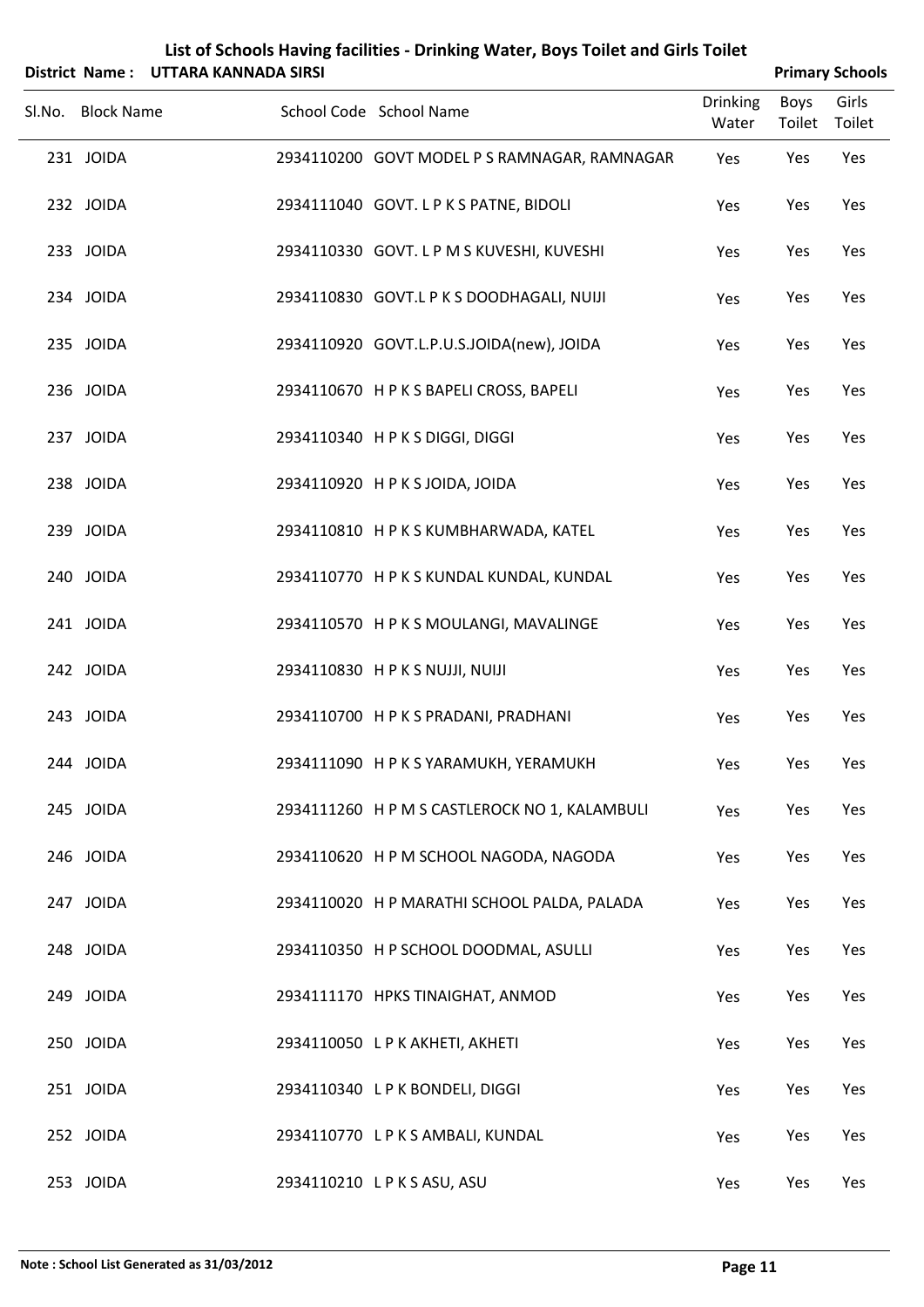|        |                   | District Name: UTTARA KANNADA SIRSI |                                               |                          |                       | <b>Primary Schools</b> |
|--------|-------------------|-------------------------------------|-----------------------------------------------|--------------------------|-----------------------|------------------------|
| SI.No. | <b>Block Name</b> |                                     | School Code School Name                       | <b>Drinking</b><br>Water | <b>Boys</b><br>Toilet | Girls<br>Toilet        |
|        | 231 JOIDA         |                                     | 2934110200 GOVT MODEL P S RAMNAGAR, RAMNAGAR  | Yes                      | Yes                   | Yes                    |
|        | 232 JOIDA         |                                     | 2934111040 GOVT. L P K S PATNE, BIDOLI        | Yes                      | Yes                   | Yes                    |
|        | 233 JOIDA         |                                     | 2934110330 GOVT. L P M S KUVESHI, KUVESHI     | Yes                      | Yes                   | Yes                    |
|        | 234 JOIDA         |                                     | 2934110830 GOVT.L P K S DOODHAGALI, NUIJI     | Yes                      | Yes                   | Yes                    |
|        | 235 JOIDA         |                                     | 2934110920 GOVT.L.P.U.S.JOIDA(new), JOIDA     | Yes                      | Yes                   | Yes                    |
|        | 236 JOIDA         |                                     | 2934110670 HPKS BAPELI CROSS, BAPELI          | Yes                      | Yes                   | Yes                    |
|        | 237 JOIDA         |                                     | 2934110340 H P K S DIGGI, DIGGI               | Yes                      | Yes                   | Yes                    |
|        | 238 JOIDA         |                                     | 2934110920 HPKSJOIDA, JOIDA                   | Yes                      | Yes                   | Yes                    |
|        | 239 JOIDA         |                                     | 2934110810 HPKSKUMBHARWADA, KATEL             | Yes                      | Yes                   | Yes                    |
|        | 240 JOIDA         |                                     | 2934110770 HPKS KUNDAL KUNDAL, KUNDAL         | Yes                      | Yes                   | Yes                    |
|        | 241 JOIDA         |                                     | 2934110570 HPKSMOULANGI, MAVALINGE            | Yes                      | Yes                   | Yes                    |
|        | 242 JOIDA         |                                     | 2934110830 HPKSNUJJI, NUIJI                   | Yes                      | Yes                   | Yes                    |
|        | 243 JOIDA         |                                     | 2934110700 HPKS PRADANI, PRADHANI             | Yes                      | Yes                   | Yes                    |
|        | 244 JOIDA         |                                     | 2934111090 HPKS YARAMUKH, YERAMUKH            | Yes                      | Yes                   | Yes                    |
|        | 245 JOIDA         |                                     | 2934111260 H P M S CASTLEROCK NO 1, KALAMBULI | Yes                      | Yes                   | Yes                    |
|        | 246 JOIDA         |                                     | 2934110620 H P M SCHOOL NAGODA, NAGODA        | Yes                      | Yes                   | Yes                    |
|        | 247 JOIDA         |                                     | 2934110020 H P MARATHI SCHOOL PALDA, PALADA   | Yes                      | Yes                   | Yes                    |
|        | 248 JOIDA         |                                     | 2934110350 H P SCHOOL DOODMAL, ASULLI         | Yes                      | Yes                   | Yes                    |
|        | 249 JOIDA         |                                     | 2934111170 HPKS TINAIGHAT, ANMOD              | Yes                      | Yes                   | Yes                    |
|        | 250 JOIDA         |                                     | 2934110050 LP K AKHETI, AKHETI                | Yes                      | Yes                   | Yes                    |
|        | 251 JOIDA         |                                     | 2934110340 LPK BONDELI, DIGGI                 | Yes                      | Yes                   | Yes                    |
|        | 252 JOIDA         |                                     | 2934110770 LPKS AMBALI, KUNDAL                | Yes                      | Yes                   | Yes                    |
|        | 253 JOIDA         |                                     | 2934110210 LPKSASU, ASU                       | Yes                      | Yes                   | Yes                    |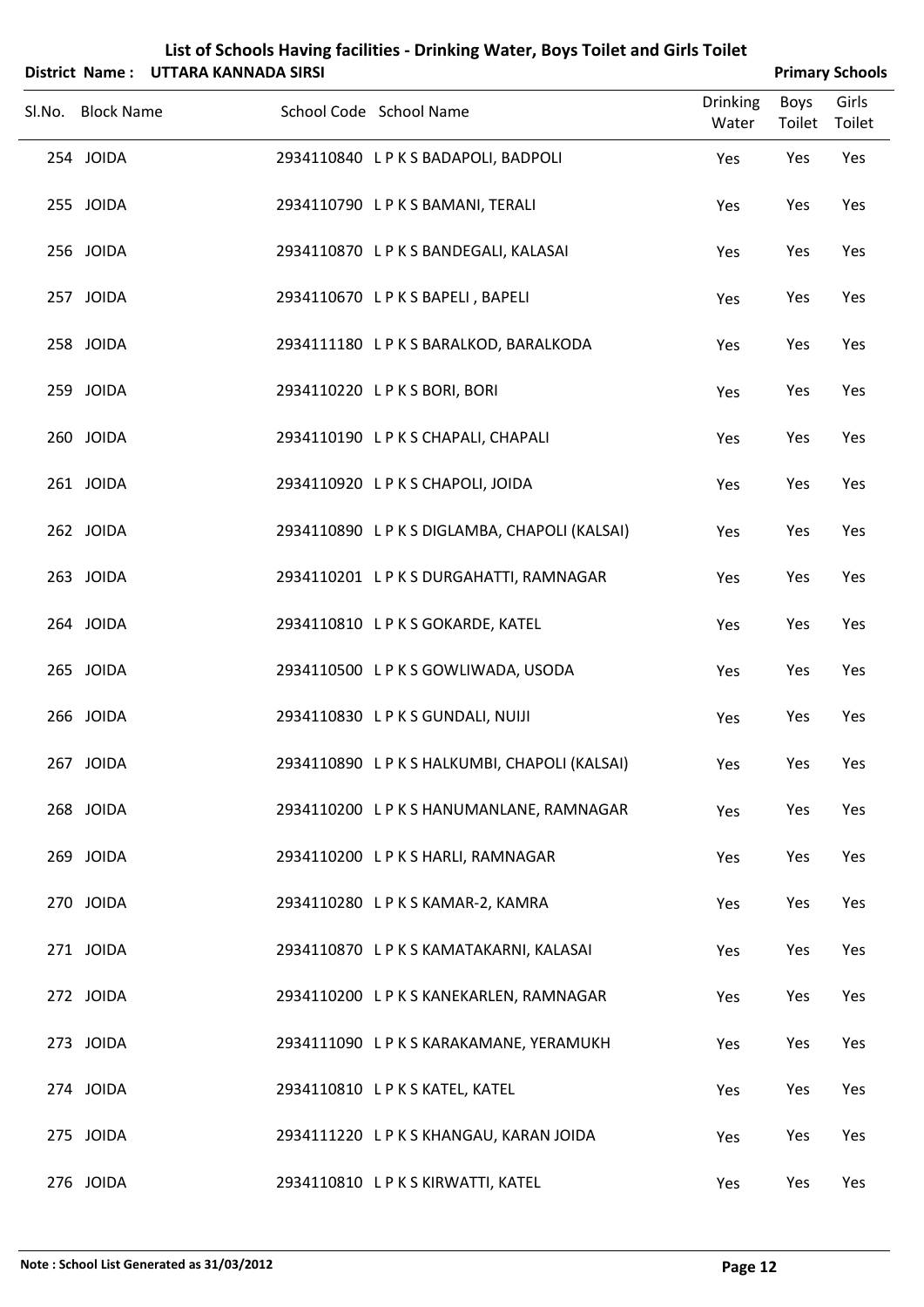|                   | District Name: UTTARA KANNADA SIRSI |                                               |                          |                | <b>Primary Schools</b> |
|-------------------|-------------------------------------|-----------------------------------------------|--------------------------|----------------|------------------------|
| Sl.No. Block Name |                                     | School Code School Name                       | <b>Drinking</b><br>Water | Boys<br>Toilet | Girls<br>Toilet        |
| 254 JOIDA         |                                     | 2934110840 LPKS BADAPOLI, BADPOLI             | Yes                      | Yes            | Yes                    |
| 255 JOIDA         |                                     | 2934110790 LPKS BAMANI, TERALI                | Yes                      | Yes            | Yes                    |
| 256 JOIDA         |                                     | 2934110870 LPKS BANDEGALI, KALASAI            | Yes                      | Yes            | Yes                    |
| 257 JOIDA         |                                     | 2934110670 LPKSBAPELI, BAPELI                 | Yes                      | Yes            | Yes                    |
| 258 JOIDA         |                                     | 2934111180 LPKS BARALKOD, BARALKODA           | Yes                      | Yes            | Yes                    |
| 259 JOIDA         |                                     | 2934110220 LPKSBORI, BORI                     | Yes                      | Yes            | Yes                    |
| 260 JOIDA         |                                     | 2934110190 LPKS CHAPALI, CHAPALI              | Yes                      | Yes            | Yes                    |
| 261 JOIDA         |                                     | 2934110920 LPKS CHAPOLI, JOIDA                | Yes                      | Yes            | Yes                    |
| 262 JOIDA         |                                     | 2934110890 L P K S DIGLAMBA, CHAPOLI (KALSAI) | Yes                      | Yes            | Yes                    |
| 263 JOIDA         |                                     | 2934110201 LPKSDURGAHATTI, RAMNAGAR           | Yes                      | Yes            | Yes                    |
| 264 JOIDA         |                                     | 2934110810 LPKS GOKARDE, KATEL                | Yes                      | Yes            | Yes                    |
| 265 JOIDA         |                                     | 2934110500 LPKS GOWLIWADA, USODA              | Yes                      | Yes            | Yes                    |
| 266 JOIDA         |                                     | 2934110830 LPKS GUNDALI, NUIJI                | Yes                      | Yes            | Yes                    |
| 267 JOIDA         |                                     | 2934110890 LPKS HALKUMBI, CHAPOLI (KALSAI)    | Yes                      | Yes            | Yes                    |
| 268 JOIDA         |                                     | 2934110200 LPKS HANUMANLANE, RAMNAGAR         | Yes                      | Yes            | Yes                    |
| 269 JOIDA         |                                     | 2934110200 LPKS HARLI, RAMNAGAR               | Yes                      | Yes            | Yes                    |
| 270 JOIDA         |                                     | 2934110280 LPKS KAMAR-2, KAMRA                | Yes                      | Yes            | Yes                    |
| 271 JOIDA         |                                     | 2934110870 LPKS KAMATAKARNI, KALASAI          | Yes                      | Yes            | Yes                    |
| 272 JOIDA         |                                     | 2934110200 LPKS KANEKARLEN, RAMNAGAR          | Yes                      | Yes            | Yes                    |
| 273 JOIDA         |                                     | 2934111090 LPKS KARAKAMANE, YERAMUKH          | Yes                      | Yes            | Yes                    |
| 274 JOIDA         |                                     | 2934110810 LPKS KATEL, KATEL                  | Yes                      | Yes            | Yes                    |
| 275 JOIDA         |                                     | 2934111220 LPKS KHANGAU, KARAN JOIDA          | Yes                      | Yes            | Yes                    |
| 276 JOIDA         |                                     | 2934110810 LPKS KIRWATTI, KATEL               | Yes                      | Yes            | Yes                    |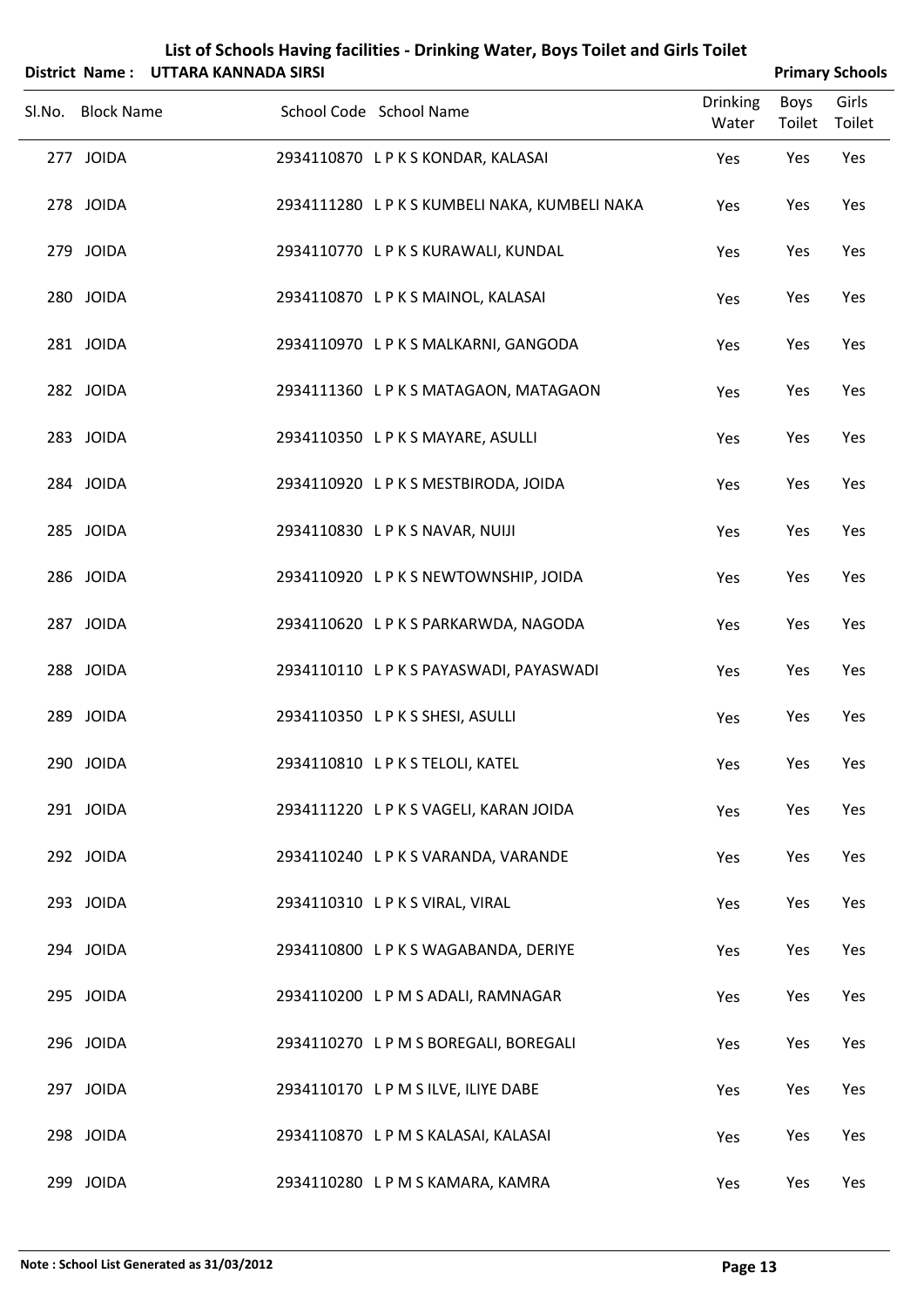|                   | District Name: UTTARA KANNADA SIRSI |                                            |                          |                | <b>Primary Schools</b> |
|-------------------|-------------------------------------|--------------------------------------------|--------------------------|----------------|------------------------|
| Sl.No. Block Name |                                     | School Code School Name                    | <b>Drinking</b><br>Water | Boys<br>Toilet | Girls<br>Toilet        |
| 277 JOIDA         |                                     | 2934110870 LPKS KONDAR, KALASAI            | Yes                      | Yes            | Yes                    |
| 278 JOIDA         |                                     | 2934111280 LPKS KUMBELI NAKA, KUMBELI NAKA | Yes                      | Yes            | Yes                    |
| 279 JOIDA         |                                     | 2934110770 LPKS KURAWALI, KUNDAL           | Yes                      | Yes            | Yes                    |
| 280 JOIDA         |                                     | 2934110870 LPKSMAINOL, KALASAI             | Yes                      | Yes            | Yes                    |
| 281 JOIDA         |                                     | 2934110970 LPKS MALKARNI, GANGODA          | Yes                      | Yes            | Yes                    |
| 282 JOIDA         |                                     | 2934111360 LPKSMATAGAON, MATAGAON          | Yes                      | Yes            | Yes                    |
| 283 JOIDA         |                                     | 2934110350 LPKS MAYARE, ASULLI             | Yes                      | Yes            | Yes                    |
| 284 JOIDA         |                                     | 2934110920 LPKSMESTBIRODA, JOIDA           | Yes                      | Yes            | Yes                    |
| 285 JOIDA         |                                     | 2934110830 LPKS NAVAR, NUIJI               | Yes                      | Yes            | Yes                    |
| 286 JOIDA         |                                     | 2934110920 LPKS NEWTOWNSHIP, JOIDA         | Yes                      | Yes            | Yes                    |
| 287 JOIDA         |                                     | 2934110620 LPKS PARKARWDA, NAGODA          | Yes                      | Yes            | Yes                    |
| 288 JOIDA         |                                     | 2934110110 LPKS PAYASWADI, PAYASWADI       | Yes                      | Yes            | Yes                    |
| 289 JOIDA         |                                     | 2934110350 LPKS SHESI, ASULLI              | Yes                      | Yes            | Yes                    |
| 290 JOIDA         |                                     | 2934110810 LPKS TELOLI, KATEL              | Yes                      | Yes            | Yes                    |
| 291 JOIDA         |                                     | 2934111220 LPKS VAGELI, KARAN JOIDA        | Yes                      | Yes            | Yes                    |
| 292 JOIDA         |                                     | 2934110240 LPKS VARANDA, VARANDE           | Yes                      | Yes            | Yes                    |
| 293 JOIDA         |                                     | 2934110310 LPKS VIRAL, VIRAL               | Yes                      | Yes            | Yes                    |
| 294 JOIDA         |                                     | 2934110800 LPKSWAGABANDA, DERIYE           | Yes                      | Yes            | Yes                    |
| 295 JOIDA         |                                     | 2934110200 LPMS ADALI, RAMNAGAR            | Yes                      | Yes            | Yes                    |
| 296 JOIDA         |                                     | 2934110270 LPMS BOREGALI, BOREGALI         | Yes                      | Yes            | Yes                    |
| 297 JOIDA         |                                     | 2934110170 LPMS ILVE, ILIYE DABE           | Yes                      | Yes            | Yes                    |
| 298 JOIDA         |                                     | 2934110870 LPMS KALASAI, KALASAI           | Yes                      | Yes            | Yes                    |
| 299 JOIDA         |                                     | 2934110280 LPMS KAMARA, KAMRA              | Yes                      | Yes            | Yes                    |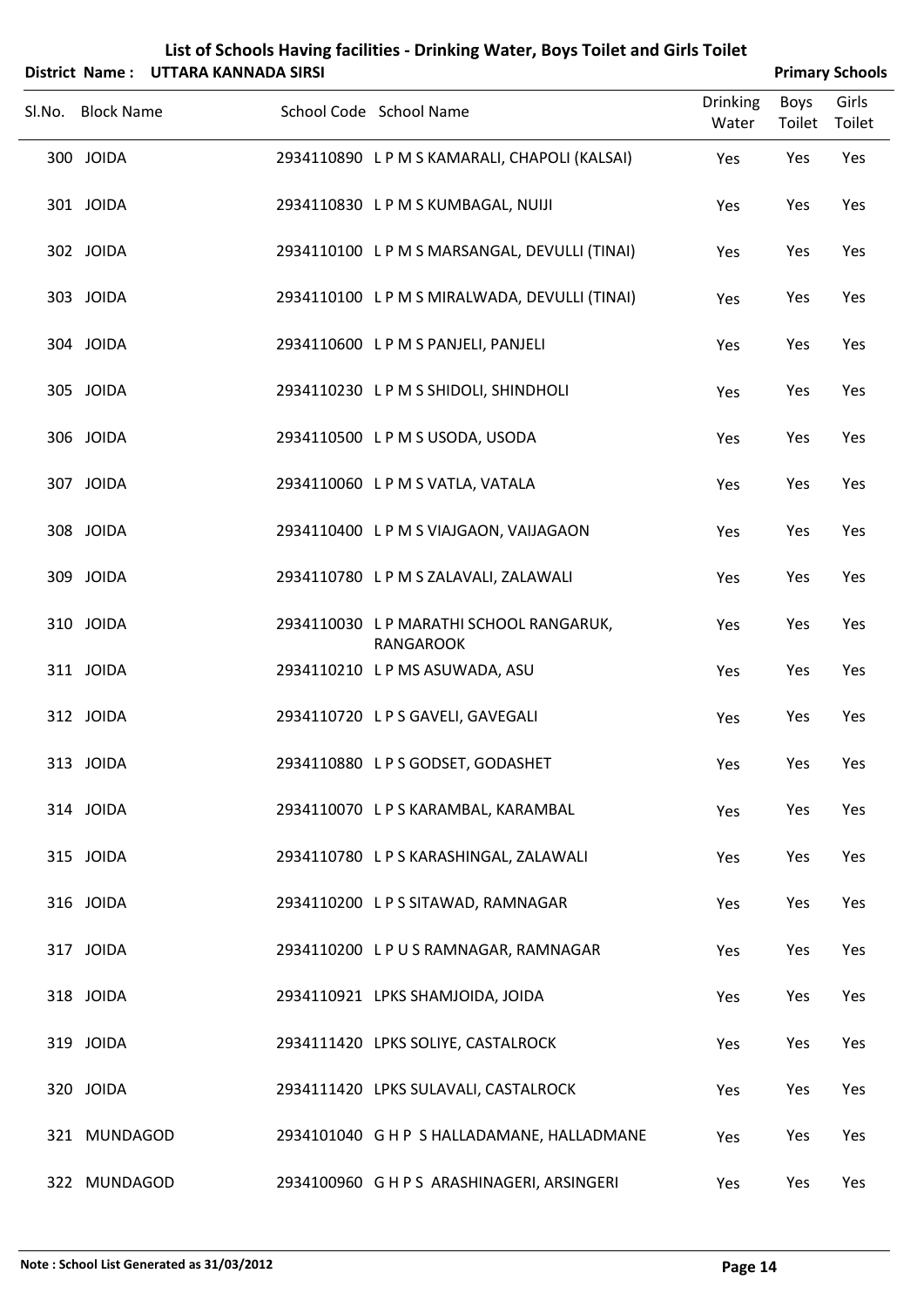|                   | List of Schools Having facilities - Drinking Water, Boys Toilet and Girls Toilet<br>District Name: UTTARA KANNADA SIRSI<br><b>Primary Schools</b> |                                                  |                          |                |                 |  |  |
|-------------------|---------------------------------------------------------------------------------------------------------------------------------------------------|--------------------------------------------------|--------------------------|----------------|-----------------|--|--|
| Sl.No. Block Name |                                                                                                                                                   | School Code School Name                          | <b>Drinking</b><br>Water | Boys<br>Toilet | Girls<br>Toilet |  |  |
| 300 JOIDA         |                                                                                                                                                   | 2934110890 L P M S KAMARALI, CHAPOLI (KALSAI)    | Yes                      | Yes            | Yes             |  |  |
| 301 JOIDA         |                                                                                                                                                   | 2934110830 LPMS KUMBAGAL, NUIJI                  | Yes                      | Yes            | Yes             |  |  |
| 302 JOIDA         |                                                                                                                                                   | 2934110100 LPMS MARSANGAL, DEVULLI (TINAI)       | Yes                      | Yes            | Yes             |  |  |
| 303 JOIDA         |                                                                                                                                                   | 2934110100 LPMS MIRALWADA, DEVULLI (TINAI)       | Yes                      | Yes            | Yes             |  |  |
| 304 JOIDA         |                                                                                                                                                   | 2934110600 LPMS PANJELI, PANJELI                 | Yes                      | Yes            | Yes             |  |  |
| 305 JOIDA         |                                                                                                                                                   | 2934110230 LPMS SHIDOLI, SHINDHOLI               | Yes                      | Yes            | Yes             |  |  |
| 306 JOIDA         |                                                                                                                                                   | 2934110500 LPMS USODA, USODA                     | Yes                      | Yes            | Yes             |  |  |
| 307 JOIDA         |                                                                                                                                                   | 2934110060 LPMS VATLA, VATALA                    | Yes                      | Yes            | Yes             |  |  |
| 308 JOIDA         |                                                                                                                                                   | 2934110400 LPMS VIAJGAON, VAIJAGAON              | Yes                      | Yes            | Yes             |  |  |
| 309 JOIDA         |                                                                                                                                                   | 2934110780 LPMSZALAVALI, ZALAWALI                | Yes                      | Yes            | Yes             |  |  |
| 310 JOIDA         |                                                                                                                                                   | 2934110030 LP MARATHI SCHOOL RANGARUK,           | Yes                      | Yes            | Yes             |  |  |
| 311 JOIDA         |                                                                                                                                                   | <b>RANGAROOK</b><br>2934110210 LPMS ASUWADA, ASU | Yes                      | Yes            | Yes             |  |  |
| 312 JOIDA         |                                                                                                                                                   | 2934110720 L P S GAVELI, GAVEGALI                | Yes                      | Yes            | Yes             |  |  |
| 313 JOIDA         |                                                                                                                                                   | 2934110880 LPS GODSET, GODASHET                  | Yes                      | Yes            | Yes             |  |  |
| 314 JOIDA         |                                                                                                                                                   | 2934110070 LPS KARAMBAL, KARAMBAL                | Yes                      | Yes            | Yes             |  |  |
| 315 JOIDA         |                                                                                                                                                   | 2934110780 L P S KARASHINGAL, ZALAWALI           | Yes                      | Yes            | Yes             |  |  |
| 316 JOIDA         |                                                                                                                                                   | 2934110200 LPS SITAWAD, RAMNAGAR                 | Yes                      | Yes            | Yes             |  |  |
| 317 JOIDA         |                                                                                                                                                   | 2934110200 LPUS RAMNAGAR, RAMNAGAR               | Yes                      | Yes            | Yes             |  |  |
| 318 JOIDA         |                                                                                                                                                   | 2934110921 LPKS SHAMJOIDA, JOIDA                 | Yes                      | Yes            | Yes             |  |  |
| 319 JOIDA         |                                                                                                                                                   | 2934111420 LPKS SOLIYE, CASTALROCK               | Yes                      | Yes            | Yes             |  |  |
| 320 JOIDA         |                                                                                                                                                   | 2934111420 LPKS SULAVALI, CASTALROCK             | Yes                      | Yes            | Yes             |  |  |
| 321 MUNDAGOD      |                                                                                                                                                   | 2934101040 G H P S HALLADAMANE, HALLADMANE       | Yes                      | Yes            | Yes             |  |  |
| 322 MUNDAGOD      |                                                                                                                                                   | 2934100960 G H P S ARASHINAGERI, ARSINGERI       | Yes                      | Yes            | Yes             |  |  |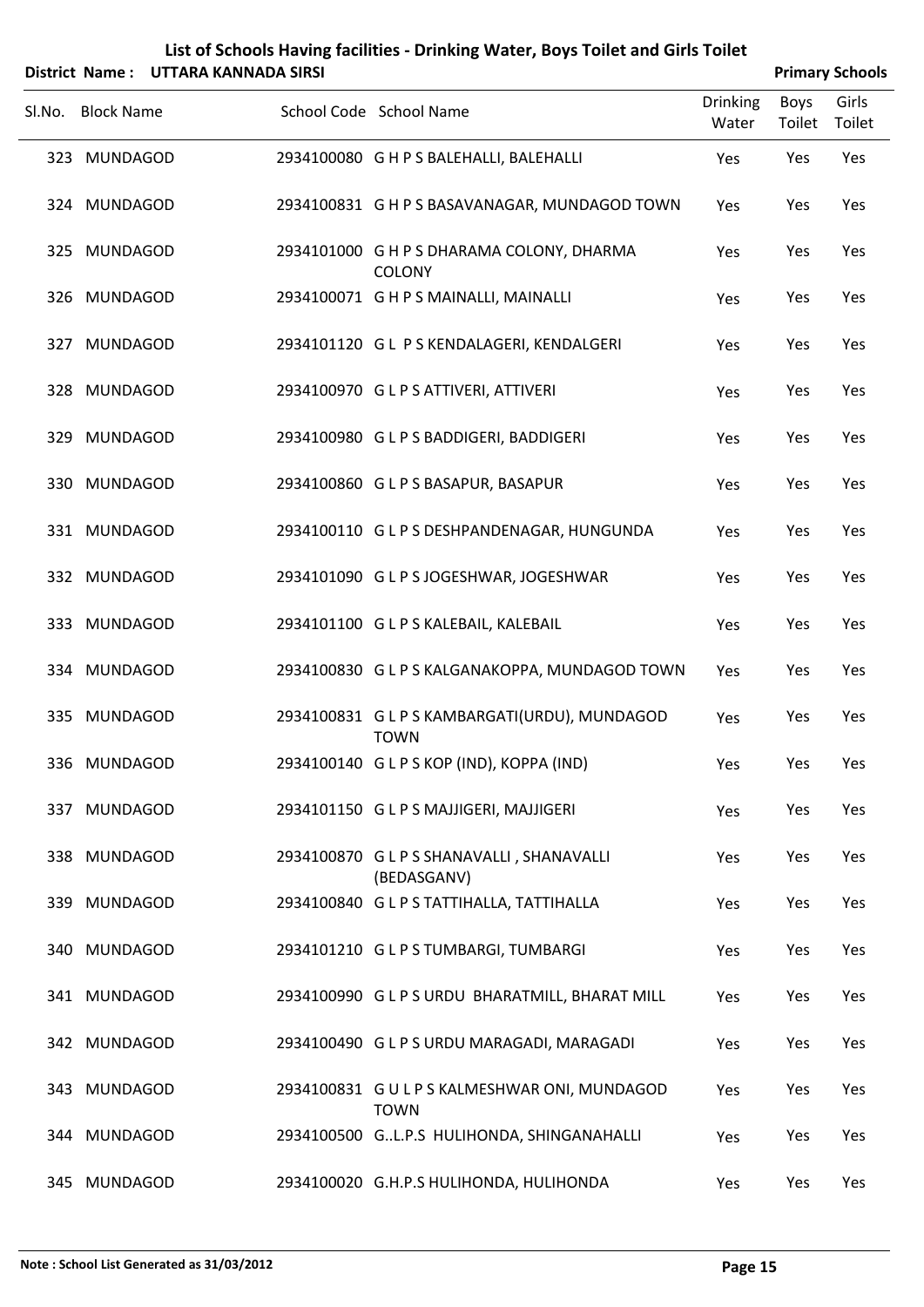|        |                   | District Name: UTTARA KANNADA SIRSI |                                                              |                          | <b>Primary Schools</b> |                 |
|--------|-------------------|-------------------------------------|--------------------------------------------------------------|--------------------------|------------------------|-----------------|
| Sl.No. | <b>Block Name</b> |                                     | School Code School Name                                      | <b>Drinking</b><br>Water | Boys<br>Toilet         | Girls<br>Toilet |
|        | 323 MUNDAGOD      |                                     | 2934100080 G H P S BALEHALLI, BALEHALLI                      | Yes                      | Yes                    | Yes             |
|        | 324 MUNDAGOD      |                                     | 2934100831 G H P S BASAVANAGAR, MUNDAGOD TOWN                | Yes                      | Yes                    | Yes             |
|        | 325 MUNDAGOD      |                                     | 2934101000 G H P S DHARAMA COLONY, DHARMA<br><b>COLONY</b>   | Yes                      | Yes                    | Yes             |
|        | 326 MUNDAGOD      |                                     | 2934100071 G H P S MAINALLI, MAINALLI                        | Yes                      | Yes                    | Yes             |
|        | 327 MUNDAGOD      |                                     | 2934101120 G L P S KENDALAGERI, KENDALGERI                   | Yes                      | Yes                    | Yes             |
|        | 328 MUNDAGOD      |                                     | 2934100970 G L P S ATTIVERI, ATTIVERI                        | Yes                      | Yes                    | Yes             |
|        | 329 MUNDAGOD      |                                     | 2934100980 GLPS BADDIGERI, BADDIGERI                         | Yes                      | Yes                    | Yes             |
|        | 330 MUNDAGOD      |                                     | 2934100860 GLPS BASAPUR, BASAPUR                             | Yes                      | Yes                    | Yes             |
|        | 331 MUNDAGOD      |                                     | 2934100110 G L P S DESHPANDENAGAR, HUNGUNDA                  | Yes                      | Yes                    | Yes             |
|        | 332 MUNDAGOD      |                                     | 2934101090 G L P S JOGESHWAR, JOGESHWAR                      | Yes                      | Yes                    | Yes             |
|        | 333 MUNDAGOD      |                                     | 2934101100 G L P S KALEBAIL, KALEBAIL                        | Yes                      | Yes                    | Yes             |
|        | 334 MUNDAGOD      |                                     | 2934100830 G L P S KALGANAKOPPA, MUNDAGOD TOWN               | Yes                      | Yes                    | Yes             |
|        | 335 MUNDAGOD      |                                     | 2934100831 G L P S KAMBARGATI(URDU), MUNDAGOD<br><b>TOWN</b> | Yes                      | Yes                    | Yes             |
|        | 336 MUNDAGOD      |                                     | 2934100140 GLPSKOP (IND), KOPPA (IND)                        | Yes                      | Yes                    | Yes             |
|        | 337 MUNDAGOD      |                                     | 2934101150 GLPS MAJJIGERI, MAJJIGERI                         | Yes                      | Yes                    | Yes             |
|        | 338 MUNDAGOD      |                                     | 2934100870 GLPS SHANAVALLI, SHANAVALLI<br>(BEDASGANV)        | Yes                      | Yes                    | Yes             |
|        | 339 MUNDAGOD      |                                     | 2934100840 GLPSTATTIHALLA, TATTIHALLA                        | Yes                      | Yes                    | Yes             |
|        | 340 MUNDAGOD      |                                     | 2934101210 GLPSTUMBARGI, TUMBARGI                            | Yes                      | Yes                    | Yes             |
|        | 341 MUNDAGOD      |                                     | 2934100990 G L P S URDU BHARATMILL, BHARAT MILL              | Yes                      | Yes                    | Yes             |
|        | 342 MUNDAGOD      |                                     | 2934100490 G L P S URDU MARAGADI, MARAGADI                   | Yes                      | Yes                    | Yes             |
|        | 343 MUNDAGOD      |                                     | 2934100831 GULPS KALMESHWAR ONI, MUNDAGOD<br><b>TOWN</b>     | Yes                      | Yes                    | Yes             |
|        | 344 MUNDAGOD      |                                     | 2934100500 GL.P.S HULIHONDA, SHINGANAHALLI                   | Yes                      | Yes                    | Yes             |

345 MUNDAGOD 2934100020 G.H.P.S HULIHONDA, HULIHONDA Yes Yes Yes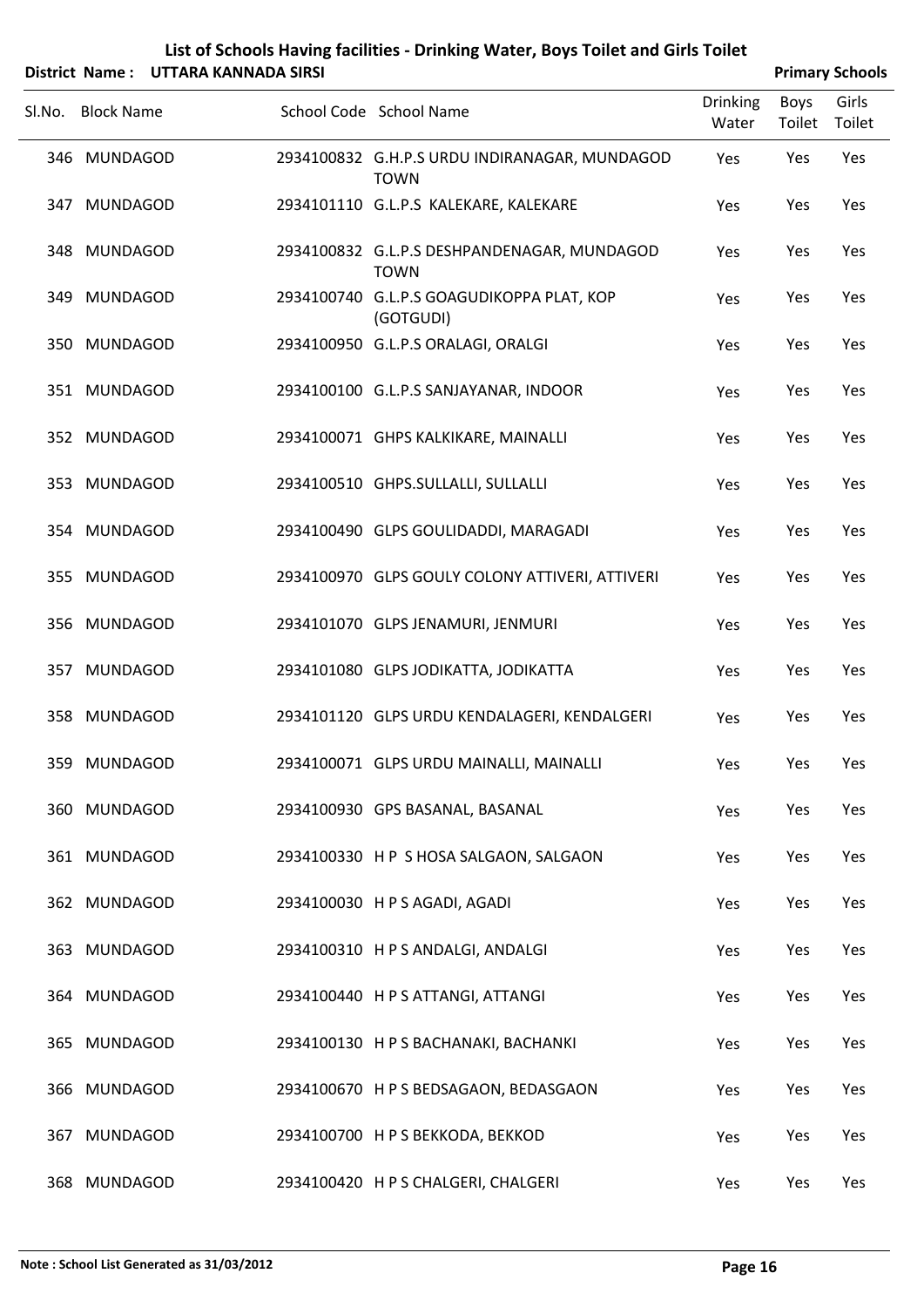|        |                   | District Name: UTTARA KANNADA SIRSI |                                                              |                          |                | <b>Primary Schools</b> |
|--------|-------------------|-------------------------------------|--------------------------------------------------------------|--------------------------|----------------|------------------------|
| Sl.No. | <b>Block Name</b> |                                     | School Code School Name                                      | <b>Drinking</b><br>Water | Boys<br>Toilet | Girls<br>Toilet        |
|        | 346 MUNDAGOD      |                                     | 2934100832 G.H.P.S URDU INDIRANAGAR, MUNDAGOD<br><b>TOWN</b> | Yes                      | Yes            | Yes                    |
|        | 347 MUNDAGOD      |                                     | 2934101110 G.L.P.S KALEKARE, KALEKARE                        | Yes                      | Yes            | Yes                    |
|        | 348 MUNDAGOD      |                                     | 2934100832 G.L.P.S DESHPANDENAGAR, MUNDAGOD<br><b>TOWN</b>   | Yes                      | Yes            | Yes                    |
|        | 349 MUNDAGOD      |                                     | 2934100740 G.L.P.S GOAGUDIKOPPA PLAT, KOP<br>(GOTGUDI)       | Yes                      | Yes            | Yes                    |
|        | 350 MUNDAGOD      |                                     | 2934100950 G.L.P.S ORALAGI, ORALGI                           | Yes                      | Yes            | Yes                    |
|        | 351 MUNDAGOD      |                                     | 2934100100 G.L.P.S SANJAYANAR, INDOOR                        | Yes                      | Yes            | Yes                    |
|        | 352 MUNDAGOD      |                                     | 2934100071 GHPS KALKIKARE, MAINALLI                          | Yes                      | Yes            | Yes                    |
|        | 353 MUNDAGOD      |                                     | 2934100510 GHPS.SULLALLI, SULLALLI                           | Yes                      | Yes            | Yes                    |
|        | 354 MUNDAGOD      |                                     | 2934100490 GLPS GOULIDADDI, MARAGADI                         | Yes                      | Yes            | Yes                    |
|        | 355 MUNDAGOD      |                                     | 2934100970 GLPS GOULY COLONY ATTIVERI, ATTIVERI              | Yes                      | Yes            | Yes                    |
|        | 356 MUNDAGOD      |                                     | 2934101070 GLPS JENAMURI, JENMURI                            | Yes                      | Yes            | Yes                    |
|        | 357 MUNDAGOD      |                                     | 2934101080 GLPS JODIKATTA, JODIKATTA                         | Yes                      | Yes            | Yes                    |
|        | 358 MUNDAGOD      |                                     | 2934101120 GLPS URDU KENDALAGERI, KENDALGERI                 | Yes                      | Yes            | Yes                    |
|        | 359 MUNDAGOD      |                                     | 2934100071 GLPS URDU MAINALLI, MAINALLI                      | Yes                      | Yes            | Yes                    |
|        | 360 MUNDAGOD      |                                     | 2934100930 GPS BASANAL, BASANAL                              | Yes                      | Yes            | Yes                    |
|        | 361 MUNDAGOD      |                                     | 2934100330 H P S HOSA SALGAON, SALGAON                       | Yes                      | Yes            | Yes                    |
|        | 362 MUNDAGOD      |                                     | 2934100030 H P S AGADI, AGADI                                | Yes                      | Yes            | Yes                    |
|        | 363 MUNDAGOD      |                                     | 2934100310 HPS ANDALGI, ANDALGI                              | Yes                      | Yes            | Yes                    |
|        | 364 MUNDAGOD      |                                     | 2934100440 H P S ATTANGI, ATTANGI                            | Yes                      | Yes            | Yes                    |
|        | 365 MUNDAGOD      |                                     | 2934100130 H P S BACHANAKI, BACHANKI                         | Yes                      | Yes            | Yes                    |
|        | 366 MUNDAGOD      |                                     | 2934100670 H P S BEDSAGAON, BEDASGAON                        | Yes                      | Yes            | Yes                    |
|        | 367 MUNDAGOD      |                                     | 2934100700 H P S BEKKODA, BEKKOD                             | Yes                      | Yes            | Yes                    |
|        | 368 MUNDAGOD      |                                     | 2934100420 H P S CHALGERI, CHALGERI                          | Yes                      | Yes            | Yes                    |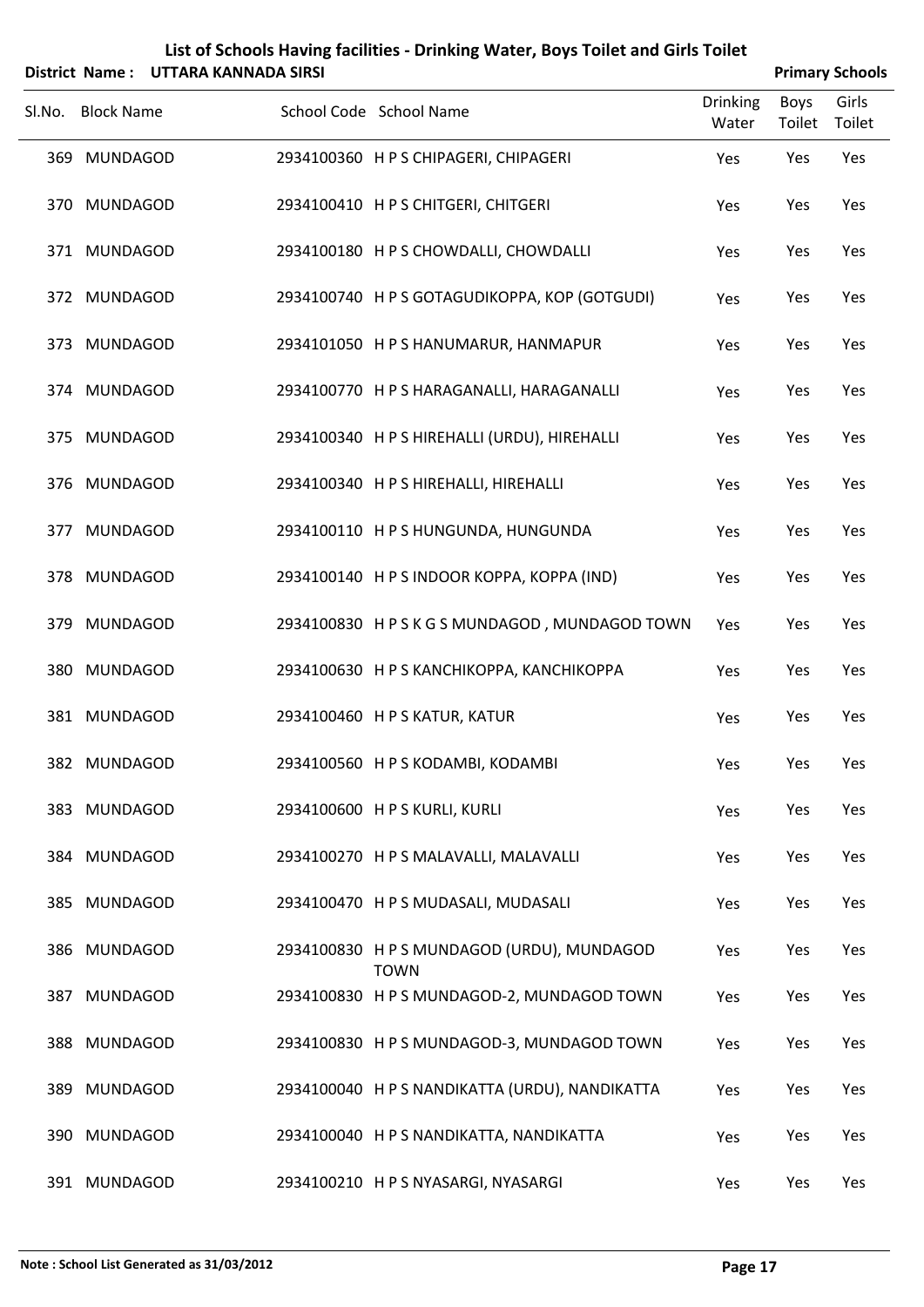|        |                   | District Name: UTTARA KANNADA SIRSI |                                                           |                          | <b>Primary Schools</b> |                 |
|--------|-------------------|-------------------------------------|-----------------------------------------------------------|--------------------------|------------------------|-----------------|
| Sl.No. | <b>Block Name</b> |                                     | School Code School Name                                   | <b>Drinking</b><br>Water | <b>Boys</b><br>Toilet  | Girls<br>Toilet |
|        | 369 MUNDAGOD      |                                     | 2934100360 H P S CHIPAGERI, CHIPAGERI                     | Yes                      | Yes                    | Yes             |
|        | 370 MUNDAGOD      |                                     | 2934100410 H P S CHITGERI, CHITGERI                       | Yes                      | Yes                    | Yes             |
|        | 371 MUNDAGOD      |                                     | 2934100180 H P S CHOWDALLI, CHOWDALLI                     | Yes                      | Yes                    | Yes             |
|        | 372 MUNDAGOD      |                                     | 2934100740 H P S GOTAGUDIKOPPA, KOP (GOTGUDI)             | Yes                      | Yes                    | Yes             |
|        | 373 MUNDAGOD      |                                     | 2934101050 H P S HANUMARUR, HANMAPUR                      | Yes                      | Yes                    | Yes             |
|        | 374 MUNDAGOD      |                                     | 2934100770 H P S HARAGANALLI, HARAGANALLI                 | Yes                      | Yes                    | Yes             |
|        | 375 MUNDAGOD      |                                     | 2934100340 H P S HIREHALLI (URDU), HIREHALLI              | Yes                      | Yes                    | Yes             |
|        | 376 MUNDAGOD      |                                     | 2934100340 H P S HIREHALLI, HIREHALLI                     | Yes                      | Yes                    | Yes             |
|        | 377 MUNDAGOD      |                                     | 2934100110 H P S HUNGUNDA, HUNGUNDA                       | Yes                      | Yes                    | Yes             |
|        | 378 MUNDAGOD      |                                     | 2934100140 H P S INDOOR KOPPA, KOPPA (IND)                | Yes                      | Yes                    | Yes             |
|        | 379 MUNDAGOD      |                                     | 2934100830 HPSKGSMUNDAGOD, MUNDAGOD TOWN                  | Yes                      | Yes                    | Yes             |
|        | 380 MUNDAGOD      |                                     | 2934100630 H P S KANCHIKOPPA, KANCHIKOPPA                 | Yes                      | Yes                    | Yes             |
|        | 381 MUNDAGOD      |                                     | 2934100460 H P S KATUR, KATUR                             | Yes                      | Yes                    | Yes             |
|        | 382 MUNDAGOD      |                                     | 2934100560 H P S KODAMBI, KODAMBI                         | Yes                      | Yes                    | Yes             |
|        | 383 MUNDAGOD      |                                     | 2934100600 H P S KURLI, KURLI                             | Yes                      | Yes                    | Yes             |
|        | 384 MUNDAGOD      |                                     | 2934100270 H P S MALAVALLI, MALAVALLI                     | Yes                      | Yes                    | Yes             |
|        | 385 MUNDAGOD      |                                     | 2934100470 H P S MUDASALI, MUDASALI                       | Yes                      | Yes                    | Yes             |
|        | 386 MUNDAGOD      |                                     | 2934100830 H P S MUNDAGOD (URDU), MUNDAGOD<br><b>TOWN</b> | Yes                      | Yes                    | Yes             |
|        | 387 MUNDAGOD      |                                     | 2934100830 H P S MUNDAGOD-2, MUNDAGOD TOWN                | Yes                      | Yes                    | Yes             |
|        | 388 MUNDAGOD      |                                     | 2934100830 H P S MUNDAGOD-3, MUNDAGOD TOWN                | Yes                      | Yes                    | Yes             |
|        | 389 MUNDAGOD      |                                     | 2934100040 H P S NANDIKATTA (URDU), NANDIKATTA            | Yes                      | Yes                    | Yes             |
|        | 390 MUNDAGOD      |                                     | 2934100040 H P S NANDIKATTA, NANDIKATTA                   | Yes                      | Yes                    | Yes             |

391 MUNDAGOD 2934100210 HP S NYASARGI, NYASARGI Yes Yes Yes Yes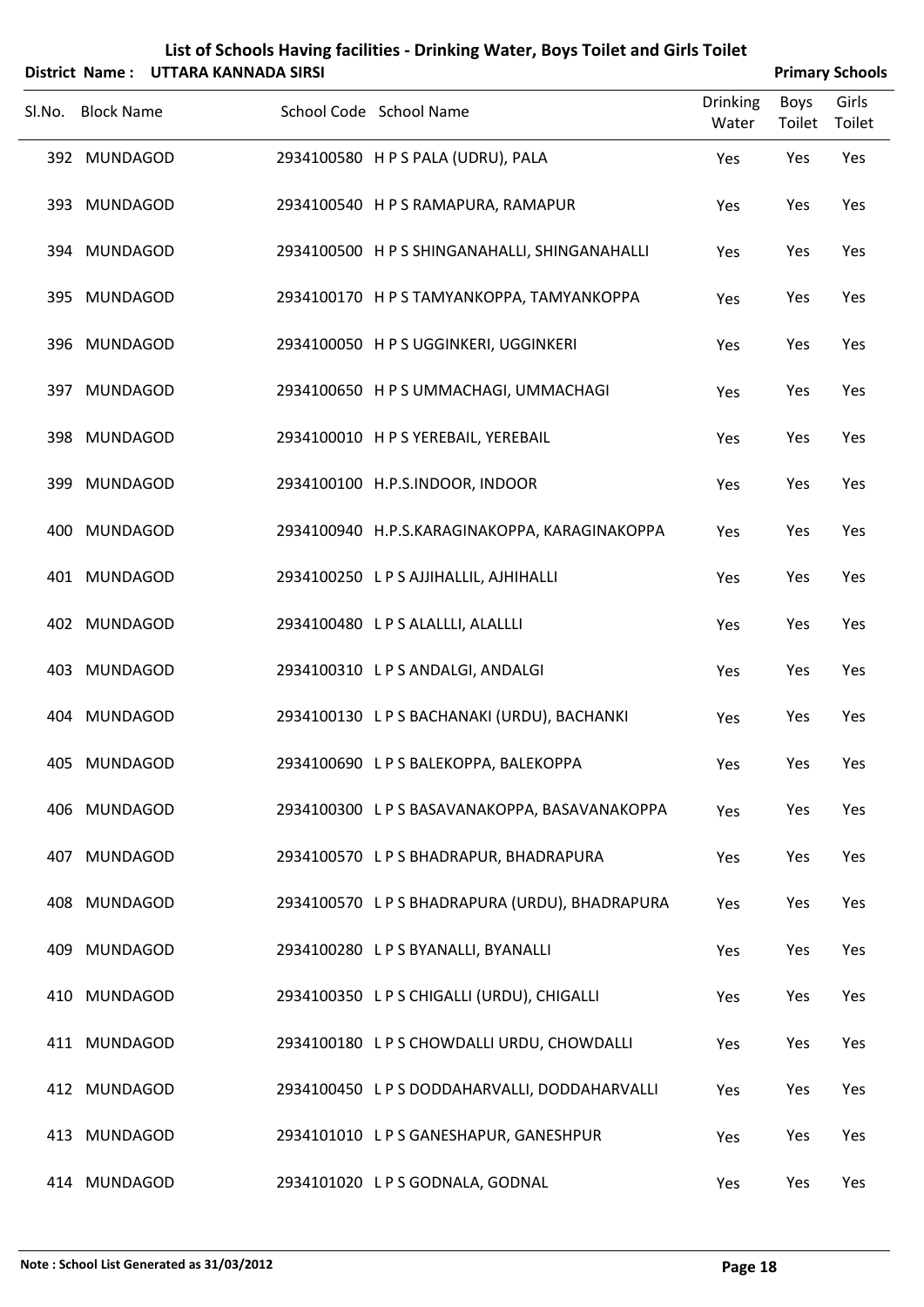|        | <b>District Name:</b> | <b>UTTARA KANNADA SIRSI</b> | List of Schools Having facilities - Drinking Water, Boys Toilet and Girls Toilet |                          |                | <b>Primary Schools</b> |
|--------|-----------------------|-----------------------------|----------------------------------------------------------------------------------|--------------------------|----------------|------------------------|
| Sl.No. | <b>Block Name</b>     |                             | School Code School Name                                                          | <b>Drinking</b><br>Water | Boys<br>Toilet | Girls<br>Toilet        |
|        | 392 MUNDAGOD          |                             | 2934100580 H P S PALA (UDRU), PALA                                               | Yes                      | Yes            | Yes                    |
|        | 393 MUNDAGOD          |                             | 2934100540 H P S RAMAPURA, RAMAPUR                                               | Yes                      | Yes            | Yes                    |
|        | 394 MUNDAGOD          |                             | 2934100500 H P S SHINGANAHALLI, SHINGANAHALLI                                    | Yes                      | Yes            | Yes                    |
|        | 395 MUNDAGOD          |                             | 2934100170 H P S TAMYANKOPPA, TAMYANKOPPA                                        | Yes                      | Yes            | Yes                    |
|        | 396 MUNDAGOD          |                             | 2934100050 H P S UGGINKERI, UGGINKERI                                            | Yes                      | Yes            | Yes                    |
|        | 397 MUNDAGOD          |                             | 2934100650 H P S UMMACHAGI, UMMACHAGI                                            | Yes                      | Yes            | Yes                    |
|        | 398 MUNDAGOD          |                             | 2934100010 H P S YEREBAIL, YEREBAIL                                              | Yes                      | Yes            | Yes                    |
|        | 399 MUNDAGOD          |                             | 2934100100 H.P.S.INDOOR, INDOOR                                                  | Yes                      | Yes            | Yes                    |
|        | 400 MUNDAGOD          |                             | 2934100940 H.P.S.KARAGINAKOPPA, KARAGINAKOPPA                                    | Yes                      | Yes            | Yes                    |
|        | 401 MUNDAGOD          |                             | 2934100250 LPS AJJIHALLIL, AJHIHALLI                                             | Yes                      | Yes            | Yes                    |
|        | 402 MUNDAGOD          |                             | 2934100480 LPS ALALLLI, ALALLLI                                                  | Yes                      | Yes            | Yes                    |
|        | 403 MUNDAGOD          |                             | 2934100310 LPS ANDALGI, ANDALGI                                                  | Yes                      | Yes            | Yes                    |
|        | 404 MUNDAGOD          |                             | 2934100130 L P S BACHANAKI (URDU), BACHANKI                                      | Yes                      | Yes            | Yes                    |
|        | 405 MUNDAGOD          |                             | 2934100690 LPS BALEKOPPA, BALEKOPPA                                              | Yes                      | Yes            | Yes                    |
|        | 406 MUNDAGOD          |                             | 2934100300 LPS BASAVANAKOPPA, BASAVANAKOPPA                                      | Yes                      | Yes            | Yes                    |
|        | 407 MUNDAGOD          |                             | 2934100570 LPS BHADRAPUR, BHADRAPURA                                             | Yes                      | Yes            | Yes                    |
|        | 408 MUNDAGOD          |                             | 2934100570 L P S BHADRAPURA (URDU), BHADRAPURA                                   | Yes                      | Yes            | Yes                    |
|        | 409 MUNDAGOD          |                             | 2934100280 LPS BYANALLI, BYANALLI                                                | Yes                      | Yes            | Yes                    |
|        | 410 MUNDAGOD          |                             | 2934100350 LPS CHIGALLI (URDU), CHIGALLI                                         | Yes                      | Yes            | Yes                    |
|        | 411 MUNDAGOD          |                             | 2934100180 L P S CHOWDALLI URDU, CHOWDALLI                                       | Yes                      | Yes            | Yes                    |
|        | 412 MUNDAGOD          |                             | 2934100450 L P S DODDAHARVALLI, DODDAHARVALLI                                    | Yes                      | Yes            | Yes                    |
|        | 413 MUNDAGOD          |                             | 2934101010 L P S GANESHAPUR, GANESHPUR                                           | Yes                      | Yes            | Yes                    |
|        | 414 MUNDAGOD          |                             | 2934101020 LPS GODNALA, GODNAL                                                   | Yes                      | Yes            | Yes                    |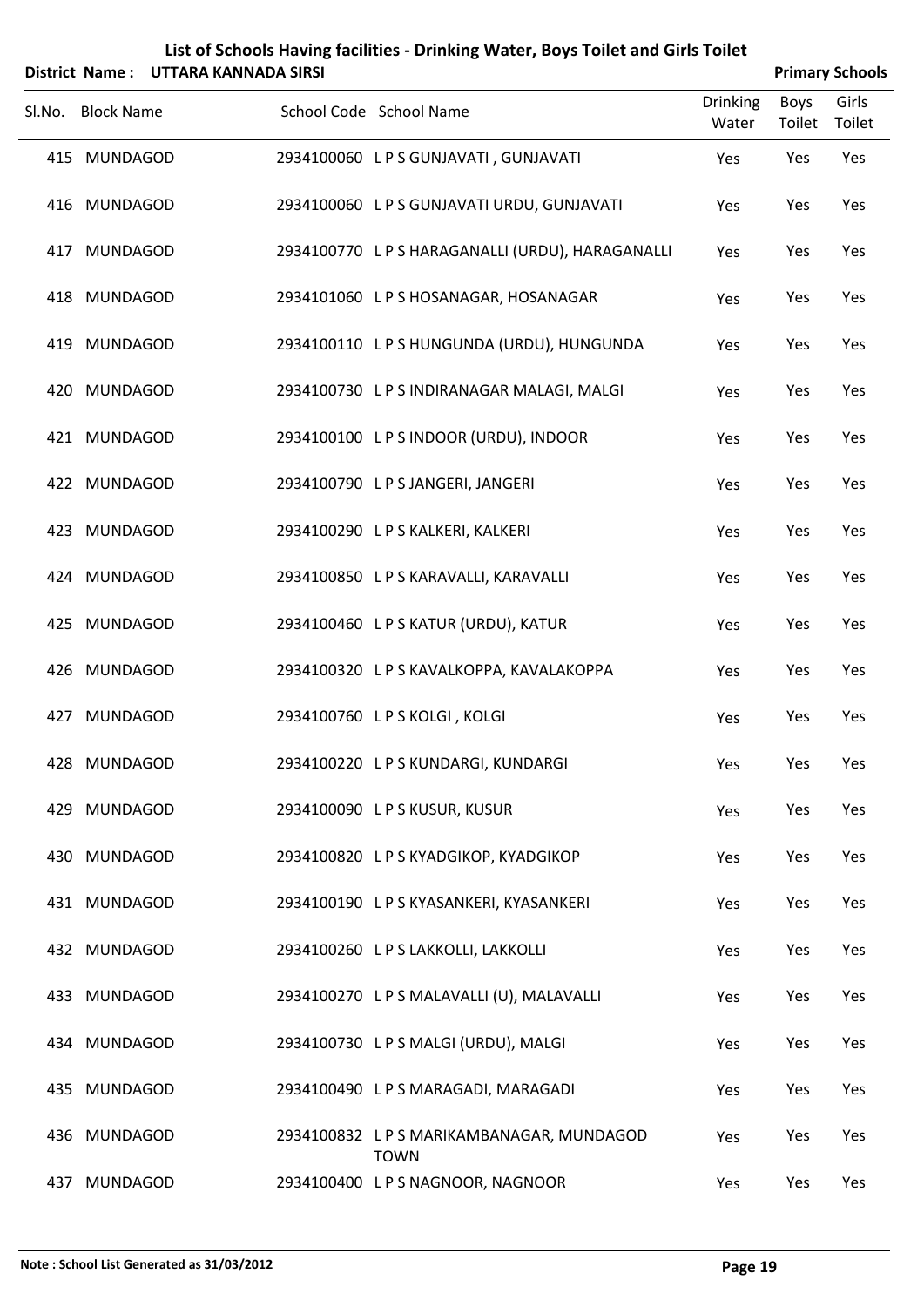|        |                   | District Name: UTTARA KANNADA SIRSI |                                                  |                   | <b>Primary Schools</b> |                 |
|--------|-------------------|-------------------------------------|--------------------------------------------------|-------------------|------------------------|-----------------|
| Sl.No. | <b>Block Name</b> |                                     | School Code School Name                          | Drinking<br>Water | Boys<br>Toilet         | Girls<br>Toilet |
|        | 415 MUNDAGOD      |                                     | 2934100060 LPS GUNJAVATI, GUNJAVATI              | Yes               | Yes                    | Yes             |
|        | 416 MUNDAGOD      |                                     | 2934100060 LPS GUNJAVATI URDU, GUNJAVATI         | Yes               | Yes                    | Yes             |
|        | 417 MUNDAGOD      |                                     | 2934100770 L P S HARAGANALLI (URDU), HARAGANALLI | Yes               | Yes                    | Yes             |
|        | 418 MUNDAGOD      |                                     | 2934101060 LPS HOSANAGAR, HOSANAGAR              | Yes               | Yes                    | Yes             |
|        | 419 MUNDAGOD      |                                     | 2934100110 LPS HUNGUNDA (URDU), HUNGUNDA         | Yes               | Yes                    | Yes             |
|        | 420 MUNDAGOD      |                                     | 2934100730 LPS INDIRANAGAR MALAGI, MALGI         | Yes               | Yes                    | Yes             |
|        | 421 MUNDAGOD      |                                     | 2934100100 LPS INDOOR (URDU), INDOOR             | Yes               | Yes                    | Yes             |
|        | 422 MUNDAGOD      |                                     | 2934100790 LPS JANGERI, JANGERI                  | Yes               | Yes                    | Yes             |
|        | 423 MUNDAGOD      |                                     | 2934100290 LPS KALKERI, KALKERI                  | Yes               | Yes                    | Yes             |
|        | 424 MUNDAGOD      |                                     | 2934100850 LPS KARAVALLI, KARAVALLI              | Yes               | Yes                    | Yes             |
|        | 425 MUNDAGOD      |                                     | 2934100460 LPS KATUR (URDU), KATUR               | Yes               | Yes                    | Yes             |
|        | 426 MUNDAGOD      |                                     | 2934100320 LPS KAVALKOPPA, KAVALAKOPPA           | Yes               | Yes                    | Yes             |
|        | 427 MUNDAGOD      |                                     | 2934100760 LPS KOLGI, KOLGI                      | Yes               | Yes                    | Yes             |
|        | 428 MUNDAGOD      |                                     | 2934100220 LPS KUNDARGI, KUNDARGI                | Yes               | Yes                    | Yes             |
|        | 429 MUNDAGOD      |                                     | 2934100090 LPS KUSUR, KUSUR                      | Yes               | Yes                    | Yes             |
|        | 430 MUNDAGOD      |                                     | 2934100820 LPS KYADGIKOP, KYADGIKOP              | Yes               | Yes                    | Yes             |
|        | 431 MUNDAGOD      |                                     | 2934100190 LPS KYASANKERI, KYASANKERI            | Yes               | Yes                    | Yes             |
|        | 432 MUNDAGOD      |                                     | 2934100260 LPS LAKKOLLI, LAKKOLLI                | Yes               | Yes                    | Yes             |
|        | 433 MUNDAGOD      |                                     | 2934100270 LPS MALAVALLI (U), MALAVALLI          | Yes               | Yes                    | Yes             |
|        | 434 MUNDAGOD      |                                     | 2934100730 LPS MALGI (URDU), MALGI               | Yes               | Yes                    | Yes             |
|        | 435 MUNDAGOD      |                                     | 2934100490 LPS MARAGADI, MARAGADI                | Yes               | Yes                    | Yes             |
|        | 436 MUNDAGOD      |                                     | 2934100832 LPS MARIKAMBANAGAR, MUNDAGOD          | Yes               | Yes                    | Yes             |

TOWN

437 MUNDAGOD 2934100400 LPS NAGNOOR, NAGNOOR Yes Yes Yes Yes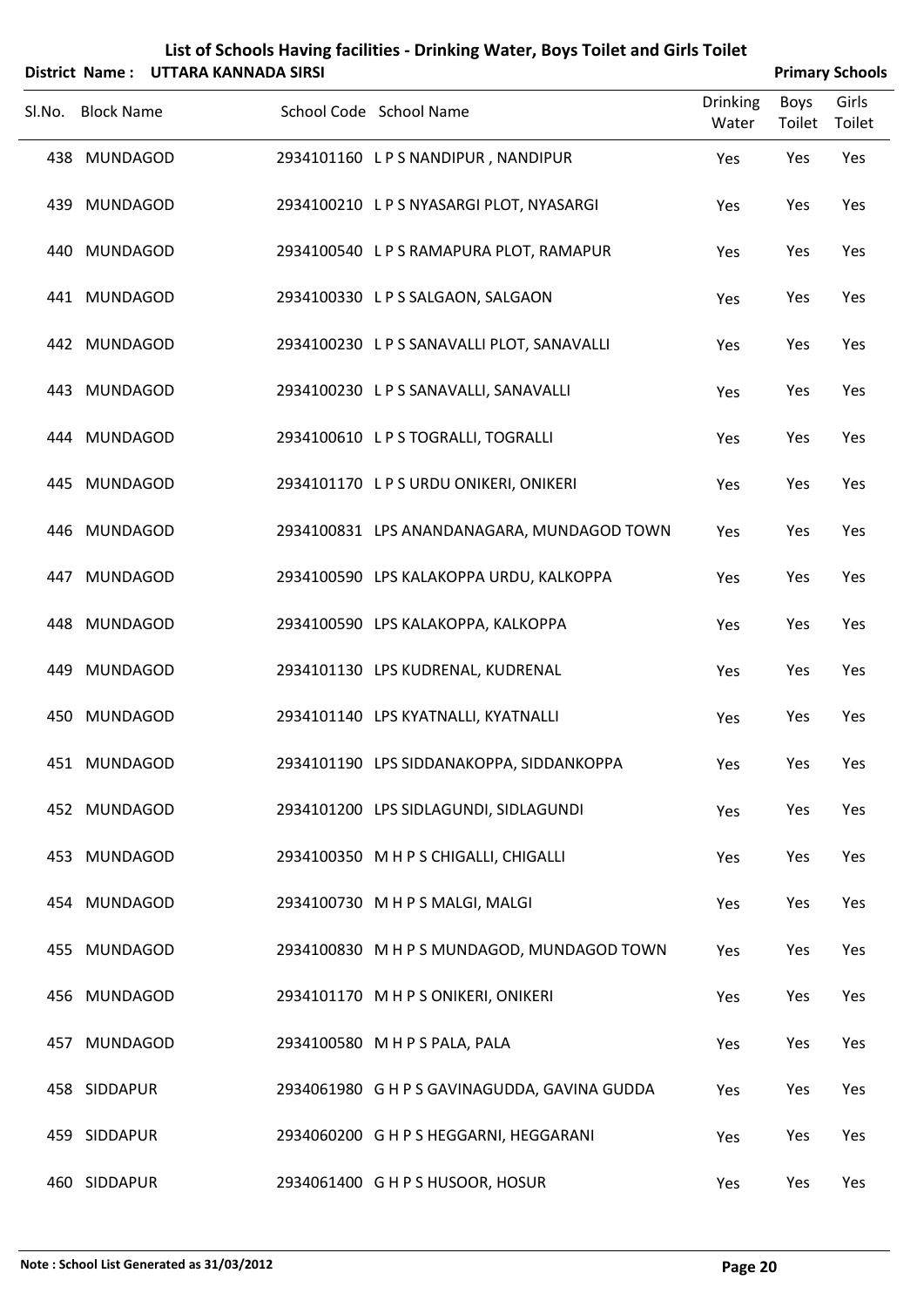|     |                   | District Name: UTTARA KANNADA SIRSI |                                              |                          |                | <b>Primary Schools</b> |
|-----|-------------------|-------------------------------------|----------------------------------------------|--------------------------|----------------|------------------------|
|     | Sl.No. Block Name |                                     | School Code School Name                      | <b>Drinking</b><br>Water | Boys<br>Toilet | Girls<br>Toilet        |
|     | 438 MUNDAGOD      |                                     | 2934101160 LPS NANDIPUR, NANDIPUR            | Yes                      | Yes            | Yes                    |
|     | 439 MUNDAGOD      |                                     | 2934100210 LPS NYASARGI PLOT, NYASARGI       | Yes                      | Yes            | Yes                    |
|     | 440 MUNDAGOD      |                                     | 2934100540 L P S RAMAPURA PLOT, RAMAPUR      | Yes                      | Yes            | Yes                    |
|     | 441 MUNDAGOD      |                                     | 2934100330 LPS SALGAON, SALGAON              | Yes                      | Yes            | Yes                    |
|     | 442 MUNDAGOD      |                                     | 2934100230 LPS SANAVALLI PLOT, SANAVALLI     | Yes                      | Yes            | Yes                    |
|     | 443 MUNDAGOD      |                                     | 2934100230 LPS SANAVALLI, SANAVALLI          | Yes                      | Yes            | Yes                    |
|     | 444 MUNDAGOD      |                                     | 2934100610 LPS TOGRALLI, TOGRALLI            | Yes                      | Yes            | Yes                    |
|     | 445 MUNDAGOD      |                                     | 2934101170 LPS URDU ONIKERI, ONIKERI         | Yes                      | Yes            | Yes                    |
|     | 446 MUNDAGOD      |                                     | 2934100831 LPS ANANDANAGARA, MUNDAGOD TOWN   | Yes                      | Yes            | Yes                    |
|     | 447 MUNDAGOD      |                                     | 2934100590 LPS KALAKOPPA URDU, KALKOPPA      | Yes                      | Yes            | Yes                    |
|     | 448 MUNDAGOD      |                                     | 2934100590 LPS KALAKOPPA, KALKOPPA           | Yes                      | Yes            | Yes                    |
|     | 449 MUNDAGOD      |                                     | 2934101130 LPS KUDRENAL, KUDRENAL            | Yes                      | Yes            | Yes                    |
|     | 450 MUNDAGOD      |                                     | 2934101140 LPS KYATNALLI, KYATNALLI          | Yes                      | Yes            | Yes                    |
|     | 451 MUNDAGOD      |                                     | 2934101190 LPS SIDDANAKOPPA, SIDDANKOPPA     | Yes                      | Yes            | Yes                    |
|     | 452 MUNDAGOD      |                                     | 2934101200 LPS SIDLAGUNDI, SIDLAGUNDI        | Yes                      | Yes            | Yes                    |
|     | 453 MUNDAGOD      |                                     | 2934100350 M H P S CHIGALLI, CHIGALLI        | Yes                      | Yes            | Yes                    |
|     | 454 MUNDAGOD      |                                     | 2934100730 M H P S MALGI, MALGI              | Yes                      | Yes            | Yes                    |
|     | 455 MUNDAGOD      |                                     | 2934100830 M H P S MUNDAGOD, MUNDAGOD TOWN   | Yes                      | Yes            | Yes                    |
|     | 456 MUNDAGOD      |                                     | 2934101170 M H P S ONIKERI, ONIKERI          | Yes                      | Yes            | Yes                    |
| 457 | <b>MUNDAGOD</b>   |                                     | 2934100580 M H P S PALA, PALA                | Yes                      | Yes            | Yes                    |
|     | 458 SIDDAPUR      |                                     | 2934061980 G H P S GAVINAGUDDA, GAVINA GUDDA | Yes                      | Yes            | Yes                    |
|     | 459 SIDDAPUR      |                                     | 2934060200 G H P S HEGGARNI, HEGGARANI       | Yes                      | Yes            | Yes                    |
|     | 460 SIDDAPUR      |                                     | 2934061400 G H P S HUSOOR, HOSUR             | Yes                      | Yes            | Yes                    |

 $\overline{a}$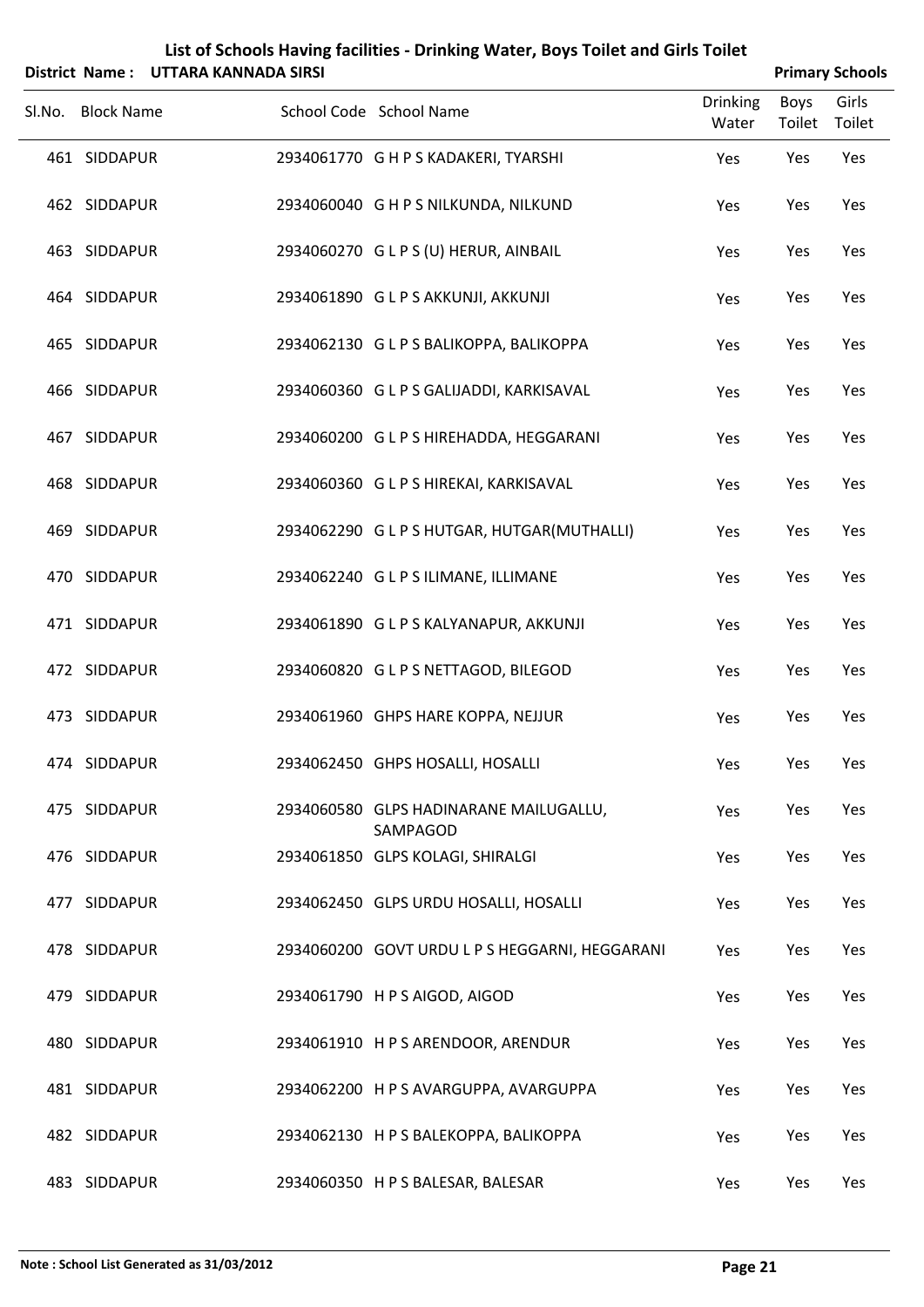| List of Schools Having facilities - Drinking Water, Boys Toilet and Girls Toilet                                                                                                                                                                                                              |
|-----------------------------------------------------------------------------------------------------------------------------------------------------------------------------------------------------------------------------------------------------------------------------------------------|
| $\mathbf{a}$ and $\mathbf{a}$ and $\mathbf{a}$ is the contract of $\mathbf{a}$ and $\mathbf{a}$ and $\mathbf{a}$ and $\mathbf{a}$ and $\mathbf{a}$ and $\mathbf{a}$ and $\mathbf{a}$ and $\mathbf{a}$ and $\mathbf{a}$ and $\mathbf{a}$ and $\mathbf{a}$ and $\mathbf{a}$ and $\mathbf{a}$ an |

|        | District Name: UTTARA KANNADA SIRSI |                                                    |                          |                | <b>Primary Schools</b> |  |  |
|--------|-------------------------------------|----------------------------------------------------|--------------------------|----------------|------------------------|--|--|
| Sl.No. | <b>Block Name</b>                   | School Code School Name                            | <b>Drinking</b><br>Water | Boys<br>Toilet | Girls<br>Toilet        |  |  |
|        | 461 SIDDAPUR                        | 2934061770 G H P S KADAKERI, TYARSHI               | Yes                      | Yes            | Yes                    |  |  |
|        | 462 SIDDAPUR                        | 2934060040 G H P S NILKUNDA, NILKUND               | Yes                      | Yes            | Yes                    |  |  |
|        | 463 SIDDAPUR                        | 2934060270 GLPS (U) HERUR, AINBAIL                 | Yes                      | Yes            | Yes                    |  |  |
|        | 464 SIDDAPUR                        | 2934061890 GLPS AKKUNJI, AKKUNJI                   | Yes                      | Yes            | Yes                    |  |  |
|        | 465 SIDDAPUR                        | 2934062130 G L P S BALIKOPPA, BALIKOPPA            | Yes                      | Yes            | Yes                    |  |  |
|        | 466 SIDDAPUR                        | 2934060360 G L P S GALIJADDI, KARKISAVAL           | Yes                      | Yes            | Yes                    |  |  |
|        | 467 SIDDAPUR                        | 2934060200 GLPS HIREHADDA, HEGGARANI               | Yes                      | Yes            | Yes                    |  |  |
|        | 468 SIDDAPUR                        | 2934060360 GLPS HIREKAI, KARKISAVAL                | Yes                      | Yes            | Yes                    |  |  |
|        | 469 SIDDAPUR                        | 2934062290 G L P S HUTGAR, HUTGAR(MUTHALLI)        | Yes                      | Yes            | Yes                    |  |  |
|        | 470 SIDDAPUR                        | 2934062240 GLPSILIMANE, ILLIMANE                   | Yes                      | Yes            | Yes                    |  |  |
|        | 471 SIDDAPUR                        | 2934061890 GLPS KALYANAPUR, AKKUNJI                | Yes                      | Yes            | Yes                    |  |  |
|        | 472 SIDDAPUR                        | 2934060820 GLPS NETTAGOD, BILEGOD                  | Yes                      | Yes            | Yes                    |  |  |
|        | 473 SIDDAPUR                        | 2934061960 GHPS HARE KOPPA, NEJJUR                 | Yes                      | Yes            | Yes                    |  |  |
|        | 474 SIDDAPUR                        | 2934062450 GHPS HOSALLI, HOSALLI                   | Yes                      | Yes            | Yes                    |  |  |
|        | 475 SIDDAPUR                        | 2934060580 GLPS HADINARANE MAILUGALLU,<br>SAMPAGOD | Yes                      | Yes            | Yes                    |  |  |
|        | 476 SIDDAPUR                        | 2934061850 GLPS KOLAGI, SHIRALGI                   | Yes                      | Yes            | Yes                    |  |  |
|        | 477 SIDDAPUR                        | 2934062450 GLPS URDU HOSALLI, HOSALLI              | Yes                      | Yes            | Yes                    |  |  |
|        | 478 SIDDAPUR                        | 2934060200 GOVT URDU L P S HEGGARNI, HEGGARANI     | Yes                      | Yes            | Yes                    |  |  |
|        | 479 SIDDAPUR                        | 2934061790 H P S AIGOD, AIGOD                      | Yes                      | Yes            | Yes                    |  |  |
|        | 480 SIDDAPUR                        | 2934061910 H P S ARENDOOR, ARENDUR                 | Yes                      | Yes            | Yes                    |  |  |
|        | 481 SIDDAPUR                        | 2934062200 HPS AVARGUPPA, AVARGUPPA                | Yes                      | Yes            | Yes                    |  |  |
|        | 482 SIDDAPUR                        | 2934062130 H P S BALEKOPPA, BALIKOPPA              | Yes                      | Yes            | Yes                    |  |  |
|        | 483 SIDDAPUR                        | 2934060350 H P S BALESAR, BALESAR                  | Yes                      | Yes            | Yes                    |  |  |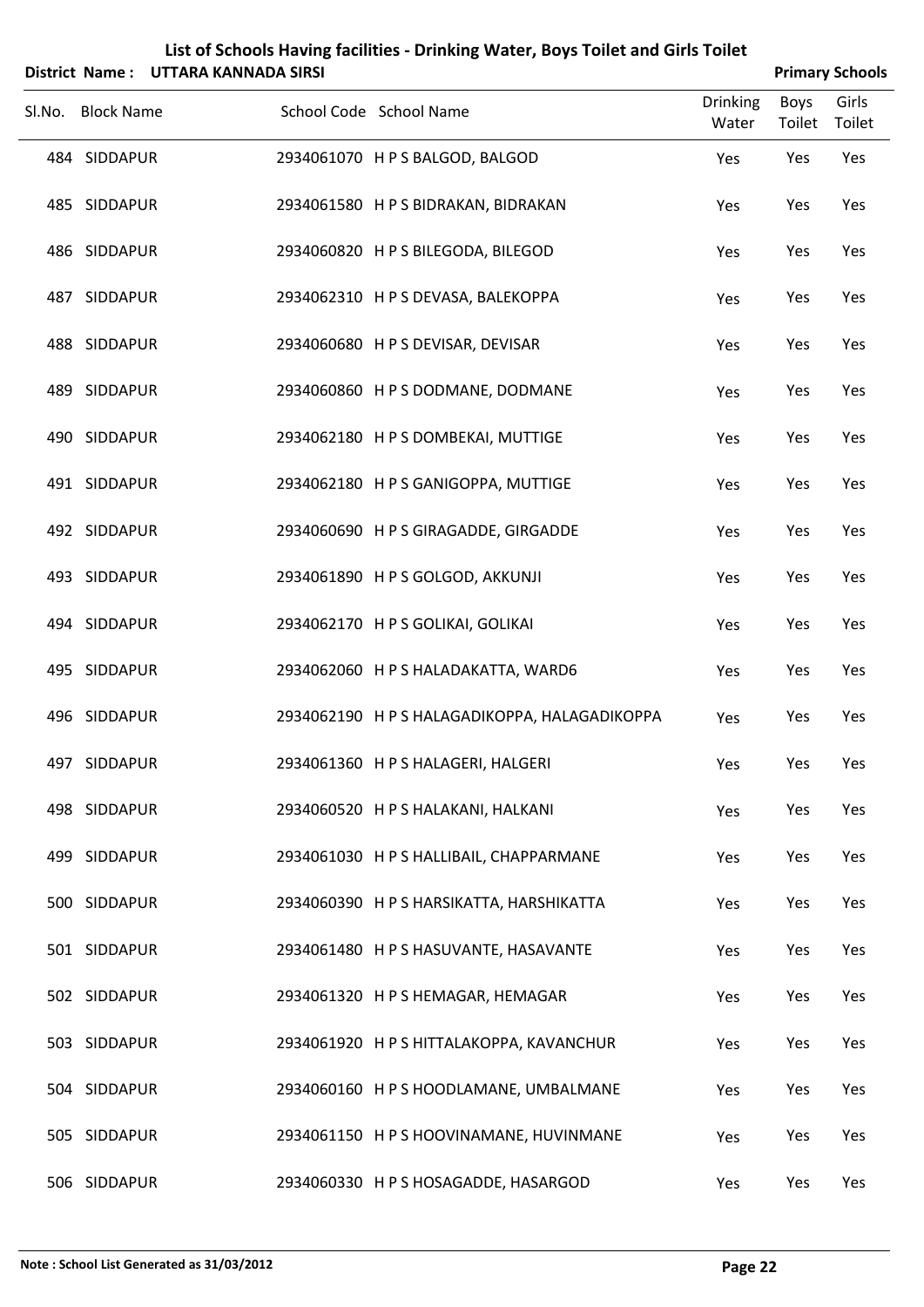|                   | District Name: UTTARA KANNADA SIRSI |                         |                                               |                          |                | <b>Primary Schools</b> |
|-------------------|-------------------------------------|-------------------------|-----------------------------------------------|--------------------------|----------------|------------------------|
| Sl.No. Block Name |                                     | School Code School Name |                                               | <b>Drinking</b><br>Water | Boys<br>Toilet | Girls<br>Toilet        |
| 484 SIDDAPUR      |                                     |                         | 2934061070 HPS BALGOD, BALGOD                 | Yes                      | Yes            | Yes                    |
| 485 SIDDAPUR      |                                     |                         | 2934061580 H P S BIDRAKAN, BIDRAKAN           | Yes                      | Yes            | Yes                    |
| 486 SIDDAPUR      |                                     |                         | 2934060820 H P S BILEGODA, BILEGOD            | Yes                      | Yes            | Yes                    |
| 487 SIDDAPUR      |                                     |                         | 2934062310 H P S DEVASA, BALEKOPPA            | Yes                      | Yes            | Yes                    |
| 488 SIDDAPUR      |                                     |                         | 2934060680 H P S DEVISAR, DEVISAR             | Yes                      | Yes            | Yes                    |
| 489 SIDDAPUR      |                                     |                         | 2934060860 H P S DODMANE, DODMANE             | Yes                      | Yes            | Yes                    |
| 490 SIDDAPUR      |                                     |                         | 2934062180 H P S DOMBEKAI, MUTTIGE            | Yes                      | Yes            | Yes                    |
| 491 SIDDAPUR      |                                     |                         | 2934062180 H P S GANIGOPPA, MUTTIGE           | Yes                      | Yes            | Yes                    |
| 492 SIDDAPUR      |                                     |                         | 2934060690 H P S GIRAGADDE, GIRGADDE          | Yes                      | Yes            | Yes                    |
| 493 SIDDAPUR      |                                     |                         | 2934061890 HPS GOLGOD, AKKUNJI                | Yes                      | Yes            | Yes                    |
| 494 SIDDAPUR      |                                     |                         | 2934062170 H P S GOLIKAI, GOLIKAI             | Yes                      | Yes            | Yes                    |
| 495 SIDDAPUR      |                                     |                         | 2934062060 H P S HALADAKATTA, WARD6           | Yes                      | Yes            | Yes                    |
| 496 SIDDAPUR      |                                     |                         | 2934062190 H P S HALAGADIKOPPA, HALAGADIKOPPA | Yes                      | Yes            | Yes                    |
| 497 SIDDAPUR      |                                     |                         | 2934061360 H P S HALAGERI, HALGERI            | Yes                      | Yes            | Yes                    |
| 498 SIDDAPUR      |                                     |                         | 2934060520 H P S HALAKANI, HALKANI            | Yes                      | Yes            | Yes                    |
| 499 SIDDAPUR      |                                     |                         | 2934061030 H P S HALLIBAIL, CHAPPARMANE       | Yes                      | Yes            | Yes                    |
| 500 SIDDAPUR      |                                     |                         | 2934060390 H P S HARSIKATTA, HARSHIKATTA      | Yes                      | Yes            | Yes                    |
| 501 SIDDAPUR      |                                     |                         | 2934061480 H P S HASUVANTE, HASAVANTE         | Yes                      | Yes            | Yes                    |
| 502 SIDDAPUR      |                                     |                         | 2934061320 H P S HEMAGAR, HEMAGAR             | Yes                      | Yes            | Yes                    |
| 503 SIDDAPUR      |                                     |                         | 2934061920 H P S HITTALAKOPPA, KAVANCHUR      | Yes                      | Yes            | Yes                    |
| 504 SIDDAPUR      |                                     |                         | 2934060160 H P S HOODLAMANE, UMBALMANE        | Yes                      | Yes            | Yes                    |
| 505 SIDDAPUR      |                                     |                         | 2934061150 H P S HOOVINAMANE, HUVINMANE       | Yes                      | Yes            | Yes                    |
| 506 SIDDAPUR      |                                     |                         | 2934060330 H P S HOSAGADDE, HASARGOD          | Yes                      | Yes            | Yes                    |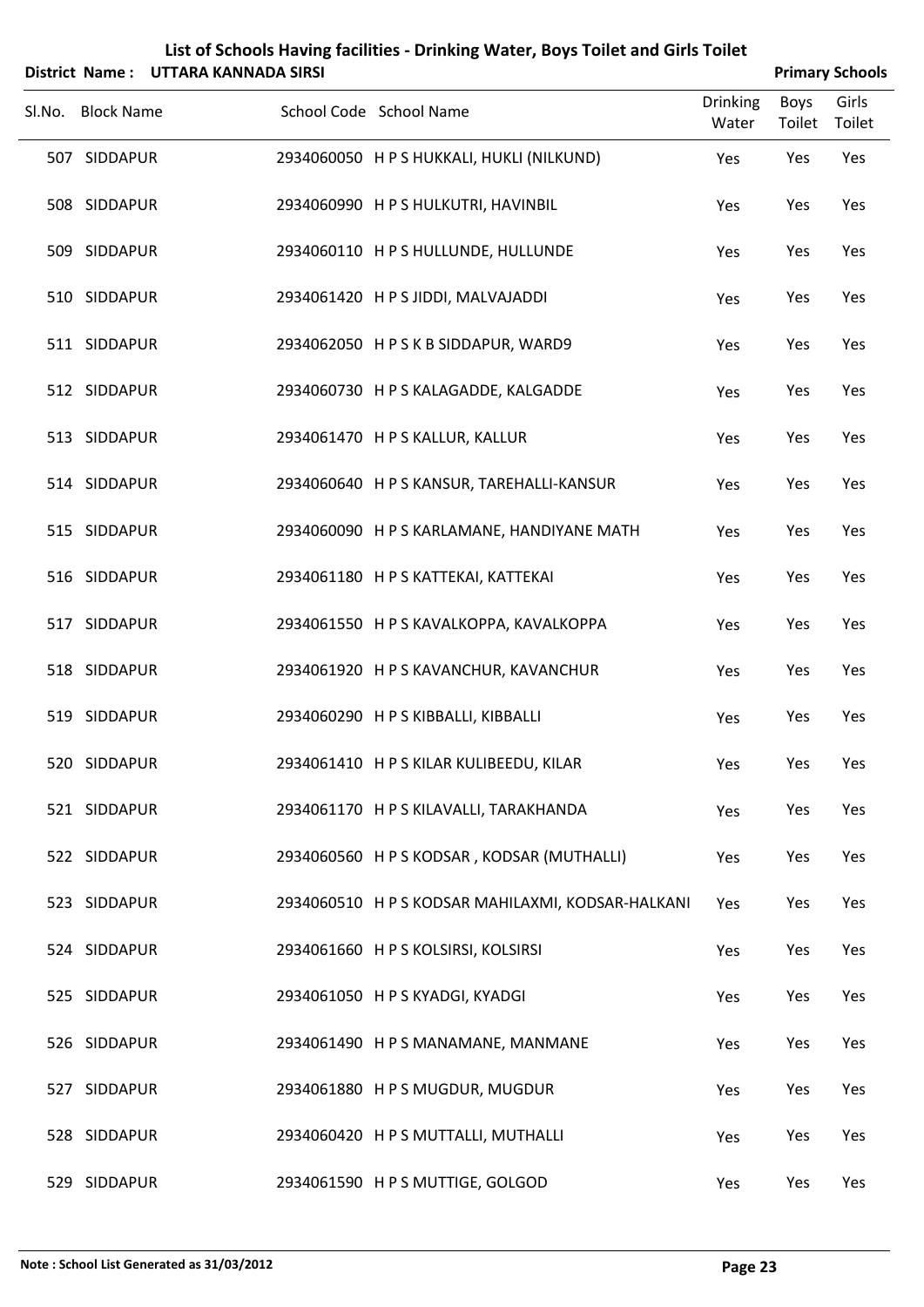| List of Schools Having facilities - Drinking Water, Boys Toilet and Girls Toilet |                                     |                                                   |                          |                |                        |  |  |  |
|----------------------------------------------------------------------------------|-------------------------------------|---------------------------------------------------|--------------------------|----------------|------------------------|--|--|--|
|                                                                                  | District Name: UTTARA KANNADA SIRSI |                                                   |                          |                | <b>Primary Schools</b> |  |  |  |
| Sl.No. Block Name                                                                |                                     | School Code School Name                           | <b>Drinking</b><br>Water | Boys<br>Toilet | Girls<br>Toilet        |  |  |  |
| 507 SIDDAPUR                                                                     |                                     | 2934060050 H P S HUKKALI, HUKLI (NILKUND)         | Yes                      | Yes            | Yes                    |  |  |  |
| 508 SIDDAPUR                                                                     |                                     | 2934060990 H P S HULKUTRI, HAVINBIL               | Yes                      | Yes            | Yes                    |  |  |  |
| 509 SIDDAPUR                                                                     |                                     | 2934060110 H P S HULLUNDE, HULLUNDE               | Yes                      | Yes            | Yes                    |  |  |  |
| 510 SIDDAPUR                                                                     |                                     | 2934061420 H P S JIDDI, MALVAJADDI                | Yes                      | Yes            | Yes                    |  |  |  |
| 511 SIDDAPUR                                                                     |                                     | 2934062050 HPSKBSIDDAPUR, WARD9                   | Yes                      | Yes            | Yes                    |  |  |  |
| 512 SIDDAPUR                                                                     |                                     | 2934060730 H P S KALAGADDE, KALGADDE              | Yes                      | Yes            | Yes                    |  |  |  |
| 513 SIDDAPUR                                                                     |                                     | 2934061470 H P S KALLUR, KALLUR                   | Yes                      | Yes            | Yes                    |  |  |  |
| 514 SIDDAPUR                                                                     |                                     | 2934060640 H P S KANSUR, TAREHALLI-KANSUR         | Yes                      | Yes            | Yes                    |  |  |  |
| 515 SIDDAPUR                                                                     |                                     | 2934060090 H P S KARLAMANE, HANDIYANE MATH        | Yes                      | Yes            | Yes                    |  |  |  |
| 516 SIDDAPUR                                                                     |                                     | 2934061180 H P S KATTEKAI, KATTEKAI               | Yes                      | Yes            | Yes                    |  |  |  |
| 517 SIDDAPUR                                                                     |                                     | 2934061550 H P S KAVALKOPPA, KAVALKOPPA           | Yes                      | Yes            | Yes                    |  |  |  |
| 518 SIDDAPUR                                                                     |                                     | 2934061920 H P S KAVANCHUR, KAVANCHUR             | Yes                      | Yes            | Yes                    |  |  |  |
| 519 SIDDAPUR                                                                     |                                     | 2934060290 H P S KIBBALLI, KIBBALLI               | Yes                      | Yes            | Yes                    |  |  |  |
| 520 SIDDAPUR                                                                     |                                     | 2934061410 H P S KILAR KULIBEEDU, KILAR           | Yes                      | Yes            | Yes                    |  |  |  |
| 521 SIDDAPUR                                                                     |                                     | 2934061170 H P S KILAVALLI, TARAKHANDA            | Yes                      | Yes            | Yes                    |  |  |  |
| 522 SIDDAPUR                                                                     |                                     | 2934060560 H P S KODSAR, KODSAR (MUTHALLI)        | Yes                      | Yes            | Yes                    |  |  |  |
| 523 SIDDAPUR                                                                     |                                     | 2934060510 H P S KODSAR MAHILAXMI, KODSAR-HALKANI | Yes                      | Yes            | Yes                    |  |  |  |
| 524 SIDDAPUR                                                                     |                                     | 2934061660 H P S KOLSIRSI, KOLSIRSI               | Yes                      | Yes            | Yes                    |  |  |  |
| 525 SIDDAPUR                                                                     |                                     | 2934061050 H P S KYADGI, KYADGI                   | Yes                      | Yes            | Yes                    |  |  |  |
| 526 SIDDAPUR                                                                     |                                     | 2934061490 H P S MANAMANE, MANMANE                | Yes                      | Yes            | Yes                    |  |  |  |
| 527 SIDDAPUR                                                                     |                                     | 2934061880 HPS MUGDUR, MUGDUR                     | Yes                      | Yes            | Yes                    |  |  |  |
| 528 SIDDAPUR                                                                     |                                     | 2934060420 H P S MUTTALLI, MUTHALLI               | Yes                      | Yes            | Yes                    |  |  |  |
| 529 SIDDAPUR                                                                     |                                     | 2934061590 H P S MUTTIGE, GOLGOD                  | Yes                      | Yes            | Yes                    |  |  |  |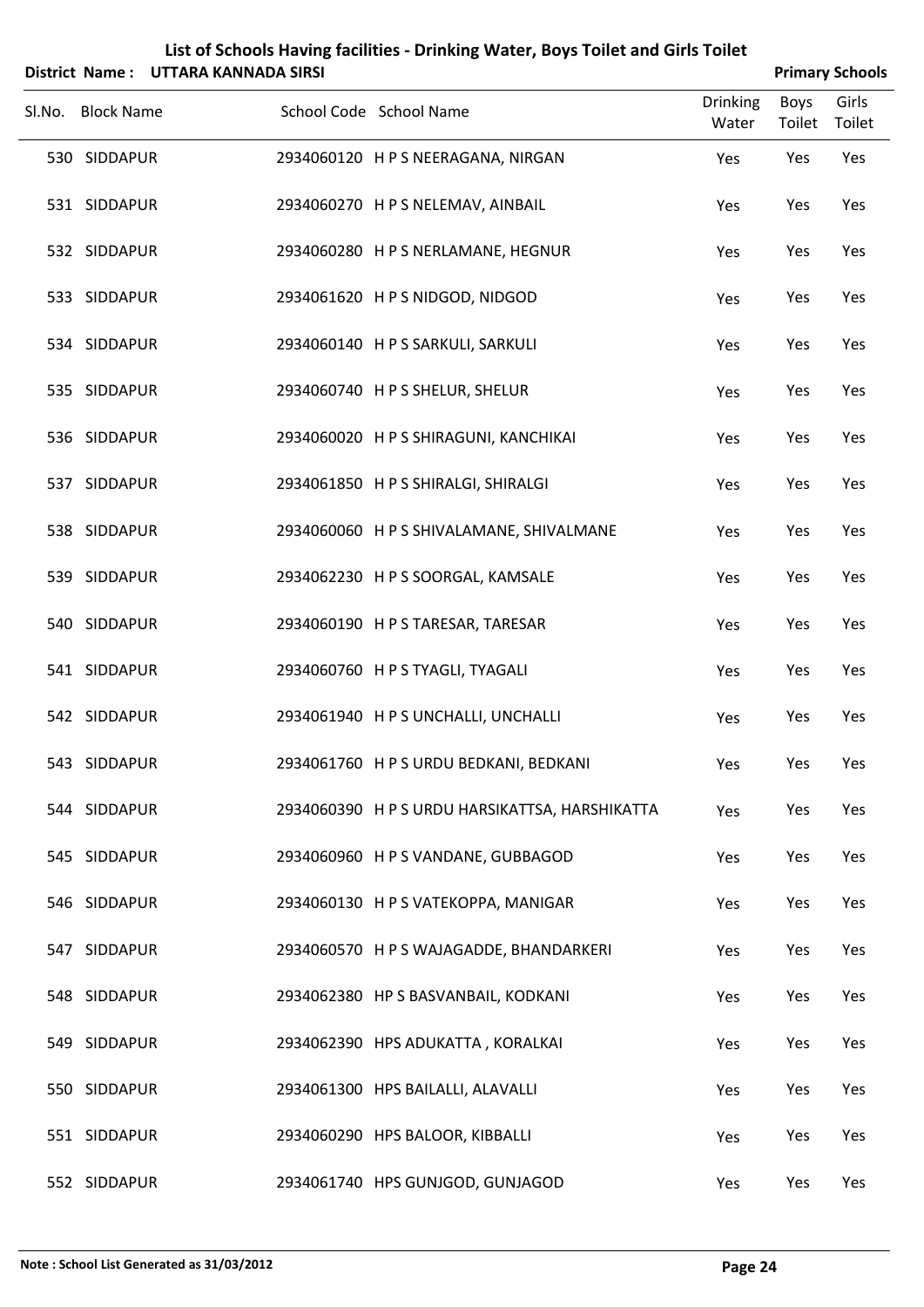|        | List of Schools Having facilities - Drinking Water, Boys Toilet and Girls Toilet |                                     |                                                |                          |                |                        |  |
|--------|----------------------------------------------------------------------------------|-------------------------------------|------------------------------------------------|--------------------------|----------------|------------------------|--|
|        |                                                                                  | District Name: UTTARA KANNADA SIRSI |                                                |                          |                | <b>Primary Schools</b> |  |
| SI.No. | <b>Block Name</b>                                                                |                                     | School Code School Name                        | <b>Drinking</b><br>Water | Boys<br>Toilet | Girls<br>Toilet        |  |
|        | 530 SIDDAPUR                                                                     |                                     | 2934060120 H P S NEERAGANA, NIRGAN             | Yes                      | Yes            | Yes                    |  |
|        | 531 SIDDAPUR                                                                     |                                     | 2934060270 H P S NELEMAV, AINBAIL              | Yes                      | Yes            | Yes                    |  |
|        | 532 SIDDAPUR                                                                     |                                     | 2934060280 H P S NERLAMANE, HEGNUR             | Yes                      | Yes            | Yes                    |  |
|        | 533 SIDDAPUR                                                                     |                                     | 2934061620 H P S NIDGOD, NIDGOD                | Yes                      | Yes            | Yes                    |  |
|        | 534 SIDDAPUR                                                                     |                                     | 2934060140 H P S SARKULI, SARKULI              | Yes                      | Yes            | Yes                    |  |
|        | 535 SIDDAPUR                                                                     |                                     | 2934060740 H P S SHELUR, SHELUR                | Yes                      | Yes            | Yes                    |  |
|        | 536 SIDDAPUR                                                                     |                                     | 2934060020 H P S SHIRAGUNI, KANCHIKAI          | Yes                      | Yes            | Yes                    |  |
|        | 537 SIDDAPUR                                                                     |                                     | 2934061850 H P S SHIRALGI, SHIRALGI            | Yes                      | Yes            | Yes                    |  |
|        | 538 SIDDAPUR                                                                     |                                     | 2934060060 H P S SHIVALAMANE, SHIVALMANE       | Yes                      | Yes            | Yes                    |  |
|        | 539 SIDDAPUR                                                                     |                                     | 2934062230 H P S SOORGAL, KAMSALE              | Yes                      | Yes            | Yes                    |  |
|        | 540 SIDDAPUR                                                                     |                                     | 2934060190 H P S TARESAR, TARESAR              | Yes                      | Yes            | Yes                    |  |
|        | 541 SIDDAPUR                                                                     |                                     | 2934060760 H P S TYAGLI, TYAGALI               | Yes                      | Yes            | Yes                    |  |
|        | 542 SIDDAPUR                                                                     |                                     | 2934061940 H P S UNCHALLI, UNCHALLI            | Yes                      | Yes            | Yes                    |  |
|        | 543 SIDDAPUR                                                                     |                                     | 2934061760 H P S URDU BEDKANI, BEDKANI         | Yes                      | Yes            | Yes                    |  |
|        | 544 SIDDAPUR                                                                     |                                     | 2934060390 H P S URDU HARSIKATTSA, HARSHIKATTA | Yes                      | Yes            | Yes                    |  |
|        | 545 SIDDAPUR                                                                     |                                     | 2934060960 H P S VANDANE, GUBBAGOD             | Yes                      | Yes            | Yes                    |  |
|        | 546 SIDDAPUR                                                                     |                                     | 2934060130 H P S VATEKOPPA, MANIGAR            | Yes                      | Yes            | Yes                    |  |
|        | 547 SIDDAPUR                                                                     |                                     | 2934060570 H P S WAJAGADDE, BHANDARKERI        | Yes                      | Yes            | Yes                    |  |
|        | 548 SIDDAPUR                                                                     |                                     | 2934062380 HP S BASVANBAIL, KODKANI            | Yes                      | Yes            | Yes                    |  |
|        | 549 SIDDAPUR                                                                     |                                     | 2934062390 HPS ADUKATTA, KORALKAI              | Yes                      | Yes            | Yes                    |  |
|        | 550 SIDDAPUR                                                                     |                                     | 2934061300 HPS BAILALLI, ALAVALLI              | Yes                      | Yes            | Yes                    |  |
|        | 551 SIDDAPUR                                                                     |                                     | 2934060290 HPS BALOOR, KIBBALLI                | Yes                      | Yes            | Yes                    |  |
|        | 552 SIDDAPUR                                                                     |                                     | 2934061740 HPS GUNJGOD, GUNJAGOD               | Yes                      | Yes            | Yes                    |  |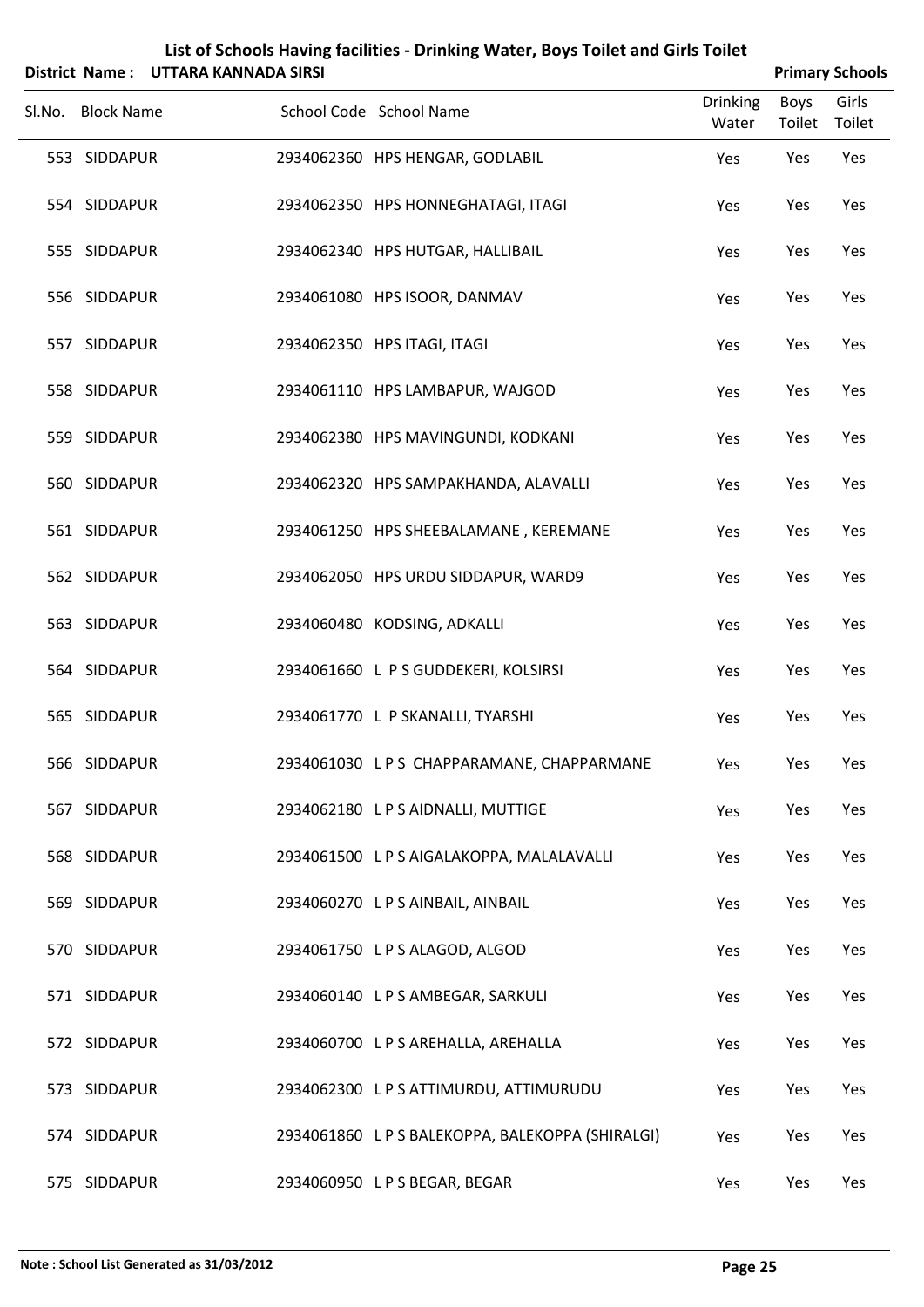|                   | District Name: UTTARA KANNADA SIRSI |                                                  |                          |                       | <b>Primary Schools</b> |
|-------------------|-------------------------------------|--------------------------------------------------|--------------------------|-----------------------|------------------------|
| Sl.No. Block Name |                                     | School Code School Name                          | <b>Drinking</b><br>Water | <b>Boys</b><br>Toilet | Girls<br>Toilet        |
| 553 SIDDAPUR      |                                     | 2934062360 HPS HENGAR, GODLABIL                  | Yes                      | Yes                   | Yes                    |
| 554 SIDDAPUR      |                                     | 2934062350 HPS HONNEGHATAGI, ITAGI               | Yes                      | Yes                   | Yes                    |
| 555 SIDDAPUR      |                                     | 2934062340 HPS HUTGAR, HALLIBAIL                 | Yes                      | Yes                   | Yes                    |
| 556 SIDDAPUR      |                                     | 2934061080 HPS ISOOR, DANMAV                     | Yes                      | Yes                   | Yes                    |
| 557 SIDDAPUR      |                                     | 2934062350 HPS ITAGI, ITAGI                      | Yes                      | Yes                   | Yes                    |
| 558 SIDDAPUR      |                                     | 2934061110 HPS LAMBAPUR, WAJGOD                  | Yes                      | Yes                   | Yes                    |
| 559 SIDDAPUR      |                                     | 2934062380 HPS MAVINGUNDI, KODKANI               | Yes                      | Yes                   | Yes                    |
| 560 SIDDAPUR      |                                     | 2934062320 HPS SAMPAKHANDA, ALAVALLI             | Yes                      | Yes                   | Yes                    |
| 561 SIDDAPUR      |                                     | 2934061250 HPS SHEEBALAMANE, KEREMANE            | Yes                      | Yes                   | Yes                    |
| 562 SIDDAPUR      |                                     | 2934062050 HPS URDU SIDDAPUR, WARD9              | Yes                      | Yes                   | Yes                    |
| 563 SIDDAPUR      |                                     | 2934060480 KODSING, ADKALLI                      | Yes                      | Yes                   | Yes                    |
| 564 SIDDAPUR      |                                     | 2934061660 L P S GUDDEKERI, KOLSIRSI             | Yes                      | Yes                   | Yes                    |
| 565 SIDDAPUR      |                                     | 2934061770 L P SKANALLI, TYARSHI                 | Yes                      | Yes                   | Yes                    |
| 566 SIDDAPUR      |                                     | 2934061030 LPS CHAPPARAMANE, CHAPPARMANE         | Yes                      | Yes                   | Yes                    |
| 567 SIDDAPUR      |                                     | 2934062180 LPS AIDNALLI, MUTTIGE                 | Yes                      | Yes                   | Yes                    |
| 568 SIDDAPUR      |                                     | 2934061500 LPS AIGALAKOPPA, MALALAVALLI          | Yes                      | Yes                   | Yes                    |
| 569 SIDDAPUR      |                                     | 2934060270 LPS AINBAIL, AINBAIL                  | Yes                      | Yes                   | Yes                    |
| 570 SIDDAPUR      |                                     | 2934061750 L P S ALAGOD, ALGOD                   | Yes                      | Yes                   | Yes                    |
| 571 SIDDAPUR      |                                     | 2934060140 LPS AMBEGAR, SARKULI                  | Yes                      | Yes                   | Yes                    |
| 572 SIDDAPUR      |                                     | 2934060700 L P S AREHALLA, AREHALLA              | Yes                      | Yes                   | Yes                    |
| 573 SIDDAPUR      |                                     | 2934062300 LPS ATTIMURDU, ATTIMURUDU             | Yes                      | Yes                   | Yes                    |
| 574 SIDDAPUR      |                                     | 2934061860 L P S BALEKOPPA, BALEKOPPA (SHIRALGI) | Yes                      | Yes                   | Yes                    |
| 575 SIDDAPUR      |                                     | 2934060950 LPS BEGAR, BEGAR                      | Yes                      | Yes                   | Yes                    |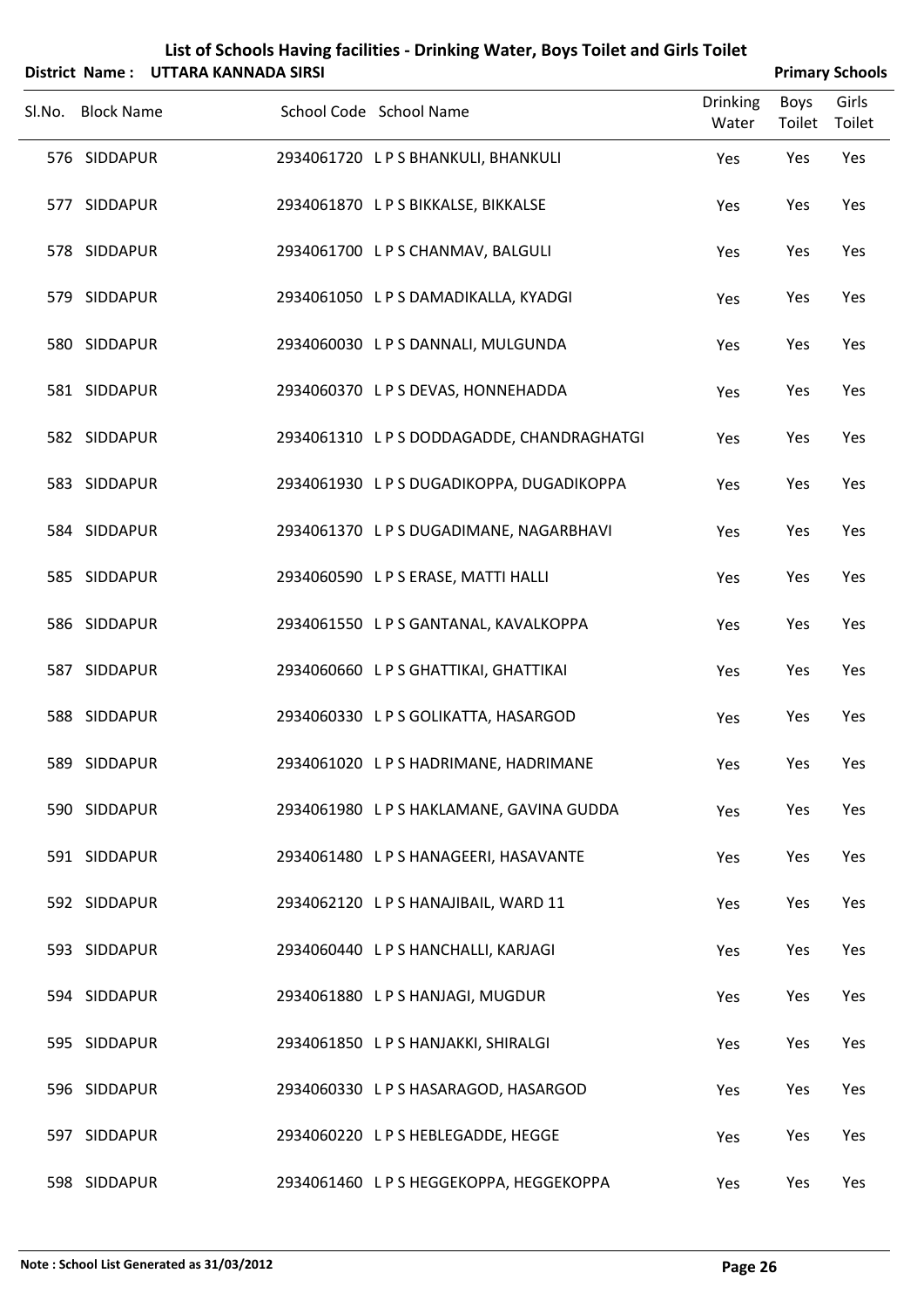|        |            | List of Schools Having facilities - Drinking Water, Boys Toilet and Girls Toilet<br>District Name : UTTARA KANNADA SIRSI |               | <b>Primary Schools</b> |       |  |
|--------|------------|--------------------------------------------------------------------------------------------------------------------------|---------------|------------------------|-------|--|
| Sl.No. | Block Name | School Code School Name                                                                                                  | Drinking Boys |                        | Girls |  |
|        |            |                                                                                                                          |               |                        |       |  |

| SI.No. | <b>Block Name</b> | School Code School Name                 | Drinking<br>Water | <b>BOYS</b><br>Toilet | Giris<br>Toilet |  |
|--------|-------------------|-----------------------------------------|-------------------|-----------------------|-----------------|--|
|        | 576 SIDDAPUR      | 2934061720 L P S BHANKULI, BHANKULI     | Yes               | Yes                   | Yes             |  |
|        | 577 SIDDAPUR      | 2934061870 LPS BIKKALSE, BIKKALSE       | Yes               | Yes                   | Yes             |  |
|        | 578 SIDDAPUR      | 2934061700 LPS CHANMAV, BALGULI         | Yes               | Yes                   | Yes             |  |
|        | 579 SIDDAPUR      | 2934061050 L P S DAMADIKALLA, KYADGI    | Yes               | Yes                   | Yes             |  |
|        | 580 SIDDAPUR      | 2934060030 LPS DANNALI, MULGUNDA        | Yes               | Yes                   | Yes             |  |
|        | 581 SIDDAPUR      | 2934060370 LPS DEVAS, HONNEHADDA        | Yes               | Yes                   | Yes             |  |
|        | 582 SIDDAPUR      | 2934061310 LPSDODDAGADDE, CHANDRAGHATGI | Yes               | Yes                   | Yes             |  |
|        | 583 SIDDAPUR      | 2934061930 LPSDUGADIKOPPA, DUGADIKOPPA  | Yes               | Yes                   | Yes             |  |
|        | 584 SIDDAPUR      | 2934061370 LPS DUGADIMANE, NAGARBHAVI   | Yes               | Yes                   | Yes             |  |
|        | 585 SIDDAPUR      | 2934060590 LPS ERASE, MATTI HALLI       | Yes               | Yes                   | Yes             |  |
|        | 586 SIDDAPUR      | 2934061550 L P S GANTANAL, KAVALKOPPA   | Yes               | Yes                   | Yes             |  |
|        | 587 SIDDAPUR      | 2934060660 L P S GHATTIKAI, GHATTIKAI   | Yes               | Yes                   | Yes             |  |
|        | 588 SIDDAPUR      | 2934060330 L P S GOLIKATTA, HASARGOD    | Yes               | Yes                   | Yes             |  |
|        | 589 SIDDAPUR      | 2934061020 LPS HADRIMANE, HADRIMANE     | Yes               | Yes                   | Yes             |  |
|        | 590 SIDDAPUR      | 2934061980 LPS HAKLAMANE, GAVINA GUDDA  | Yes               | Yes                   | Yes             |  |
|        | 591 SIDDAPUR      | 2934061480 LPS HANAGEERI, HASAVANTE     | Yes               | Yes                   | Yes             |  |
|        | 592 SIDDAPUR      | 2934062120 LPS HANAJIBAIL, WARD 11      | Yes               | Yes                   | Yes             |  |
|        | 593 SIDDAPUR      | 2934060440 LPS HANCHALLI, KARJAGI       | Yes               | Yes                   | Yes             |  |
|        | 594 SIDDAPUR      | 2934061880 LPS HANJAGI, MUGDUR          | Yes               | Yes                   | Yes             |  |
|        | 595 SIDDAPUR      | 2934061850 LPS HANJAKKI, SHIRALGI       | Yes               | Yes                   | Yes             |  |
|        | 596 SIDDAPUR      | 2934060330 LPS HASARAGOD, HASARGOD      | Yes               | Yes                   | Yes             |  |
|        | 597 SIDDAPUR      | 2934060220 LPS HEBLEGADDE, HEGGE        | Yes               | Yes                   | Yes             |  |
|        | 598 SIDDAPUR      | 2934061460 LPS HEGGEKOPPA, HEGGEKOPPA   | Yes               | Yes                   | Yes             |  |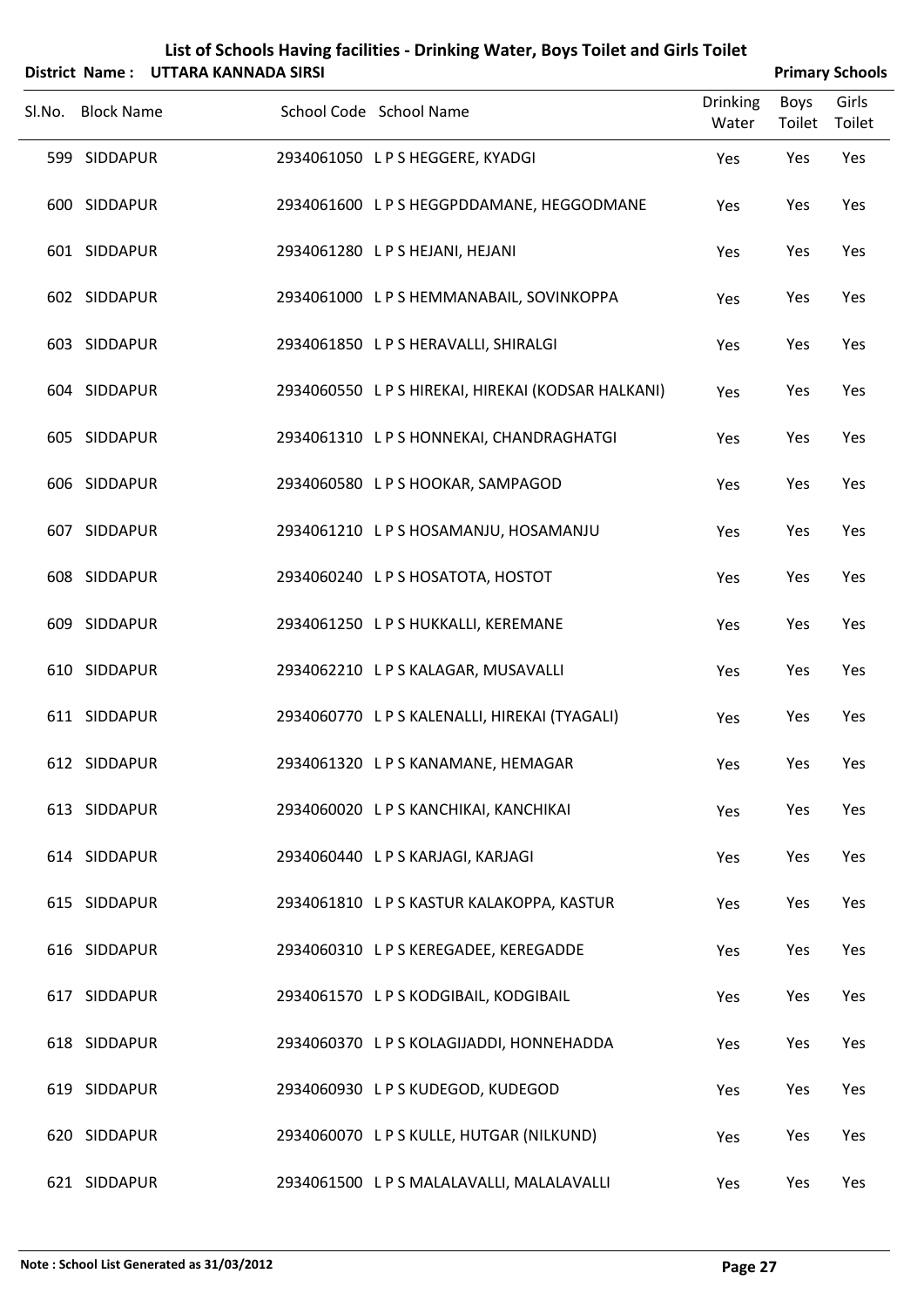|        |                              | District Name: UTTARA KANNADA SIRSI |                                                                           |                          | <b>Primary Schools</b> |                 |
|--------|------------------------------|-------------------------------------|---------------------------------------------------------------------------|--------------------------|------------------------|-----------------|
| Sl.No. | <b>Block Name</b>            |                                     | School Code School Name                                                   | <b>Drinking</b><br>Water | Boys<br>Toilet         | Girls<br>Toilet |
|        | 599 SIDDAPUR                 |                                     | 2934061050 LPS HEGGERE, KYADGI                                            | Yes                      | Yes                    | Yes             |
|        | 600 SIDDAPUR                 |                                     | 2934061600 LPS HEGGPDDAMANE, HEGGODMANE                                   | Yes                      | Yes                    | Yes             |
|        | 601 SIDDAPUR                 |                                     | 2934061280 L P S HEJANI, HEJANI                                           | Yes                      | Yes                    | Yes             |
|        | 602 SIDDAPUR                 |                                     | 2934061000 L P S HEMMANABAIL, SOVINKOPPA                                  | Yes                      | Yes                    | Yes             |
|        | 603 SIDDAPUR                 |                                     | 2934061850 LPS HERAVALLI, SHIRALGI                                        | Yes                      | Yes                    | Yes             |
|        | 604 SIDDAPUR                 |                                     | 2934060550 L P S HIREKAI, HIREKAI (KODSAR HALKANI)                        | Yes                      | Yes                    | Yes             |
|        | 605 SIDDAPUR                 |                                     | 2934061310 LPS HONNEKAI, CHANDRAGHATGI                                    | Yes                      | Yes                    | Yes             |
|        | 606 SIDDAPUR                 |                                     | 2934060580 LPS HOOKAR, SAMPAGOD                                           | Yes                      | Yes                    | Yes             |
|        | 607 SIDDAPUR                 |                                     | 2934061210 L P S HOSAMANJU, HOSAMANJU                                     | Yes                      | Yes                    | Yes             |
|        | 608 SIDDAPUR                 |                                     | 2934060240 LPS HOSATOTA, HOSTOT                                           | Yes                      | Yes                    | Yes             |
|        | 609 SIDDAPUR                 |                                     | 2934061250 L P S HUKKALLI, KEREMANE                                       | Yes                      | Yes                    | Yes             |
|        | 610 SIDDAPUR                 |                                     | 2934062210 LPS KALAGAR, MUSAVALLI                                         | Yes                      | Yes                    | Yes             |
|        | 611 SIDDAPUR                 |                                     | 2934060770 L P S KALENALLI, HIREKAI (TYAGALI)                             | Yes                      | Yes                    | Yes             |
|        | 612 SIDDAPUR                 |                                     | 2934061320 LPS KANAMANE, HEMAGAR                                          | Yes                      | Yes                    | Yes             |
|        | 613 SIDDAPUR                 |                                     | 2934060020 L P S KANCHIKAI, KANCHIKAI                                     | Yes                      | Yes                    | Yes             |
|        | 614 SIDDAPUR                 |                                     | 2934060440 LPS KARJAGI, KARJAGI                                           | Yes                      | Yes                    | Yes             |
|        | 615 SIDDAPUR                 |                                     | 2934061810 LPS KASTUR KALAKOPPA, KASTUR                                   | Yes                      | Yes                    | Yes             |
|        | 616 SIDDAPUR                 |                                     | 2934060310 LPS KEREGADEE, KEREGADDE                                       | Yes                      | Yes                    | Yes             |
|        | 617 SIDDAPUR                 |                                     | 2934061570 LPS KODGIBAIL, KODGIBAIL                                       | Yes                      | Yes                    | Yes             |
|        | 618 SIDDAPUR<br>619 SIDDAPUR |                                     | 2934060370 LPS KOLAGIJADDI, HONNEHADDA<br>2934060930 LPS KUDEGOD, KUDEGOD | Yes                      | Yes                    | Yes             |
|        | 620 SIDDAPUR                 |                                     | 2934060070 LPS KULLE, HUTGAR (NILKUND)                                    | Yes                      | Yes                    | Yes<br>Yes      |
|        |                              |                                     |                                                                           | Yes                      | Yes                    |                 |

SIDDAPUR 2934061500 L P S MALALAVALLI, MALALAVALLI Yes Yes Yes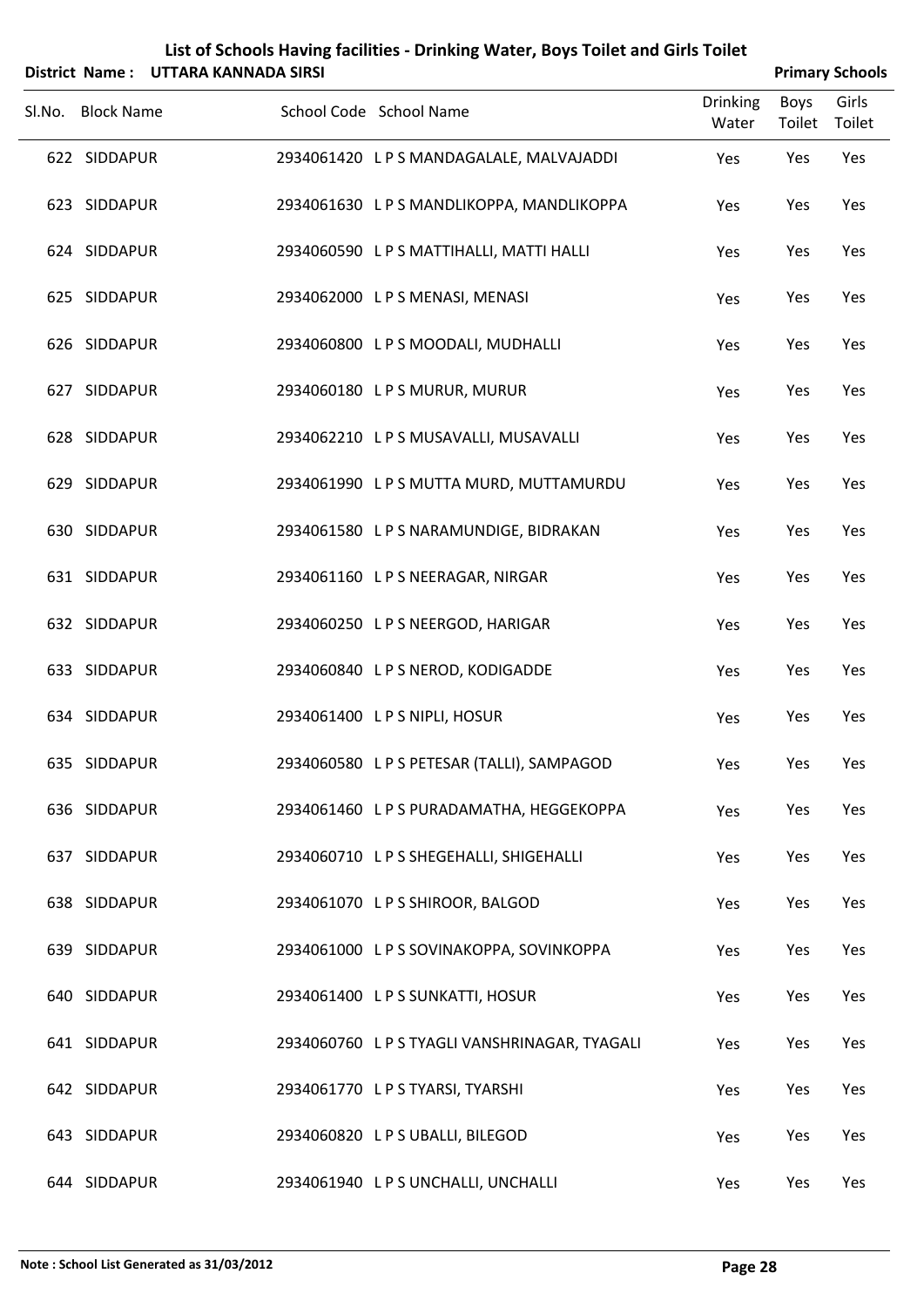|  |                                                                                                                                                                                                                                                                                                                                                                                                                          |                                                                                                                                                                                                                                                                                                                                                                                                                                                                                                                                                                                                                                                                                                                                                                                                                                                                                                    |                | <b>Primary Schools</b> |
|--|--------------------------------------------------------------------------------------------------------------------------------------------------------------------------------------------------------------------------------------------------------------------------------------------------------------------------------------------------------------------------------------------------------------------------|----------------------------------------------------------------------------------------------------------------------------------------------------------------------------------------------------------------------------------------------------------------------------------------------------------------------------------------------------------------------------------------------------------------------------------------------------------------------------------------------------------------------------------------------------------------------------------------------------------------------------------------------------------------------------------------------------------------------------------------------------------------------------------------------------------------------------------------------------------------------------------------------------|----------------|------------------------|
|  |                                                                                                                                                                                                                                                                                                                                                                                                                          | <b>Drinking</b><br>Water                                                                                                                                                                                                                                                                                                                                                                                                                                                                                                                                                                                                                                                                                                                                                                                                                                                                           | Boys<br>Toilet | Girls<br>Toilet        |
|  |                                                                                                                                                                                                                                                                                                                                                                                                                          | Yes                                                                                                                                                                                                                                                                                                                                                                                                                                                                                                                                                                                                                                                                                                                                                                                                                                                                                                | Yes            | Yes                    |
|  |                                                                                                                                                                                                                                                                                                                                                                                                                          | Yes                                                                                                                                                                                                                                                                                                                                                                                                                                                                                                                                                                                                                                                                                                                                                                                                                                                                                                | Yes            | Yes                    |
|  |                                                                                                                                                                                                                                                                                                                                                                                                                          | Yes                                                                                                                                                                                                                                                                                                                                                                                                                                                                                                                                                                                                                                                                                                                                                                                                                                                                                                | Yes            | Yes                    |
|  |                                                                                                                                                                                                                                                                                                                                                                                                                          | Yes                                                                                                                                                                                                                                                                                                                                                                                                                                                                                                                                                                                                                                                                                                                                                                                                                                                                                                | Yes            | Yes                    |
|  |                                                                                                                                                                                                                                                                                                                                                                                                                          | Yes                                                                                                                                                                                                                                                                                                                                                                                                                                                                                                                                                                                                                                                                                                                                                                                                                                                                                                | Yes            | Yes                    |
|  |                                                                                                                                                                                                                                                                                                                                                                                                                          | Yes                                                                                                                                                                                                                                                                                                                                                                                                                                                                                                                                                                                                                                                                                                                                                                                                                                                                                                | Yes            | Yes                    |
|  |                                                                                                                                                                                                                                                                                                                                                                                                                          | Yes                                                                                                                                                                                                                                                                                                                                                                                                                                                                                                                                                                                                                                                                                                                                                                                                                                                                                                | Yes            | Yes                    |
|  |                                                                                                                                                                                                                                                                                                                                                                                                                          | Yes                                                                                                                                                                                                                                                                                                                                                                                                                                                                                                                                                                                                                                                                                                                                                                                                                                                                                                | Yes            | Yes                    |
|  |                                                                                                                                                                                                                                                                                                                                                                                                                          | Yes                                                                                                                                                                                                                                                                                                                                                                                                                                                                                                                                                                                                                                                                                                                                                                                                                                                                                                | Yes            | Yes                    |
|  |                                                                                                                                                                                                                                                                                                                                                                                                                          | Yes                                                                                                                                                                                                                                                                                                                                                                                                                                                                                                                                                                                                                                                                                                                                                                                                                                                                                                | Yes            | Yes                    |
|  |                                                                                                                                                                                                                                                                                                                                                                                                                          | Yes                                                                                                                                                                                                                                                                                                                                                                                                                                                                                                                                                                                                                                                                                                                                                                                                                                                                                                | Yes            | Yes                    |
|  |                                                                                                                                                                                                                                                                                                                                                                                                                          | Yes                                                                                                                                                                                                                                                                                                                                                                                                                                                                                                                                                                                                                                                                                                                                                                                                                                                                                                | Yes            | Yes                    |
|  |                                                                                                                                                                                                                                                                                                                                                                                                                          | Yes                                                                                                                                                                                                                                                                                                                                                                                                                                                                                                                                                                                                                                                                                                                                                                                                                                                                                                | Yes            | Yes                    |
|  |                                                                                                                                                                                                                                                                                                                                                                                                                          | Yes                                                                                                                                                                                                                                                                                                                                                                                                                                                                                                                                                                                                                                                                                                                                                                                                                                                                                                | Yes            | Yes                    |
|  |                                                                                                                                                                                                                                                                                                                                                                                                                          | Yes                                                                                                                                                                                                                                                                                                                                                                                                                                                                                                                                                                                                                                                                                                                                                                                                                                                                                                | Yes            | Yes                    |
|  |                                                                                                                                                                                                                                                                                                                                                                                                                          | Yes                                                                                                                                                                                                                                                                                                                                                                                                                                                                                                                                                                                                                                                                                                                                                                                                                                                                                                | Yes            | Yes                    |
|  |                                                                                                                                                                                                                                                                                                                                                                                                                          | Yes                                                                                                                                                                                                                                                                                                                                                                                                                                                                                                                                                                                                                                                                                                                                                                                                                                                                                                | Yes            | Yes                    |
|  |                                                                                                                                                                                                                                                                                                                                                                                                                          | Yes                                                                                                                                                                                                                                                                                                                                                                                                                                                                                                                                                                                                                                                                                                                                                                                                                                                                                                | Yes            | Yes                    |
|  |                                                                                                                                                                                                                                                                                                                                                                                                                          | Yes                                                                                                                                                                                                                                                                                                                                                                                                                                                                                                                                                                                                                                                                                                                                                                                                                                                                                                | Yes            | Yes                    |
|  |                                                                                                                                                                                                                                                                                                                                                                                                                          | Yes                                                                                                                                                                                                                                                                                                                                                                                                                                                                                                                                                                                                                                                                                                                                                                                                                                                                                                | Yes            | Yes                    |
|  |                                                                                                                                                                                                                                                                                                                                                                                                                          | Yes                                                                                                                                                                                                                                                                                                                                                                                                                                                                                                                                                                                                                                                                                                                                                                                                                                                                                                | Yes            | Yes                    |
|  |                                                                                                                                                                                                                                                                                                                                                                                                                          | Yes                                                                                                                                                                                                                                                                                                                                                                                                                                                                                                                                                                                                                                                                                                                                                                                                                                                                                                | Yes            | Yes                    |
|  | District Name: UTTARA KANNADA SIRSI<br>Sl.No. Block Name<br>622 SIDDAPUR<br>623 SIDDAPUR<br>624 SIDDAPUR<br>625 SIDDAPUR<br>626 SIDDAPUR<br>627 SIDDAPUR<br>628 SIDDAPUR<br>629 SIDDAPUR<br>630 SIDDAPUR<br>631 SIDDAPUR<br>632 SIDDAPUR<br>633 SIDDAPUR<br>634 SIDDAPUR<br>635 SIDDAPUR<br>636 SIDDAPUR<br>637 SIDDAPUR<br>638 SIDDAPUR<br>639 SIDDAPUR<br>640 SIDDAPUR<br>641 SIDDAPUR<br>642 SIDDAPUR<br>643 SIDDAPUR | School Code School Name<br>2934061420 LPS MANDAGALALE, MALVAJADDI<br>2934061630 LPS MANDLIKOPPA, MANDLIKOPPA<br>2934060590 L P S MATTIHALLI, MATTI HALLI<br>2934062000 LPS MENASI, MENASI<br>2934060800 LPS MOODALI, MUDHALLI<br>2934060180 LPS MURUR, MURUR<br>2934062210 LPS MUSAVALLI, MUSAVALLI<br>2934061990 LPS MUTTA MURD, MUTTAMURDU<br>2934061580 L P S NARAMUNDIGE, BIDRAKAN<br>2934061160 LPS NEERAGAR, NIRGAR<br>2934060250 LPS NEERGOD, HARIGAR<br>2934060840 L P S NEROD, KODIGADDE<br>2934061400 LPS NIPLI, HOSUR<br>2934060580 LPS PETESAR (TALLI), SAMPAGOD<br>2934061460 LPS PURADAMATHA, HEGGEKOPPA<br>2934060710 LPS SHEGEHALLI, SHIGEHALLI<br>2934061070 LPS SHIROOR, BALGOD<br>2934061000 LPS SOVINAKOPPA, SOVINKOPPA<br>2934061400 LPS SUNKATTI, HOSUR<br>2934060760 L P S TYAGLI VANSHRINAGAR, TYAGALI<br>2934061770 LPS TYARSI, TYARSHI<br>2934060820 LPS UBALLI, BILEGOD |                |                        |

644 SIDDAPUR 2934061940 LPS UNCHALLI, UNCHALLI Yes Yes Yes Yes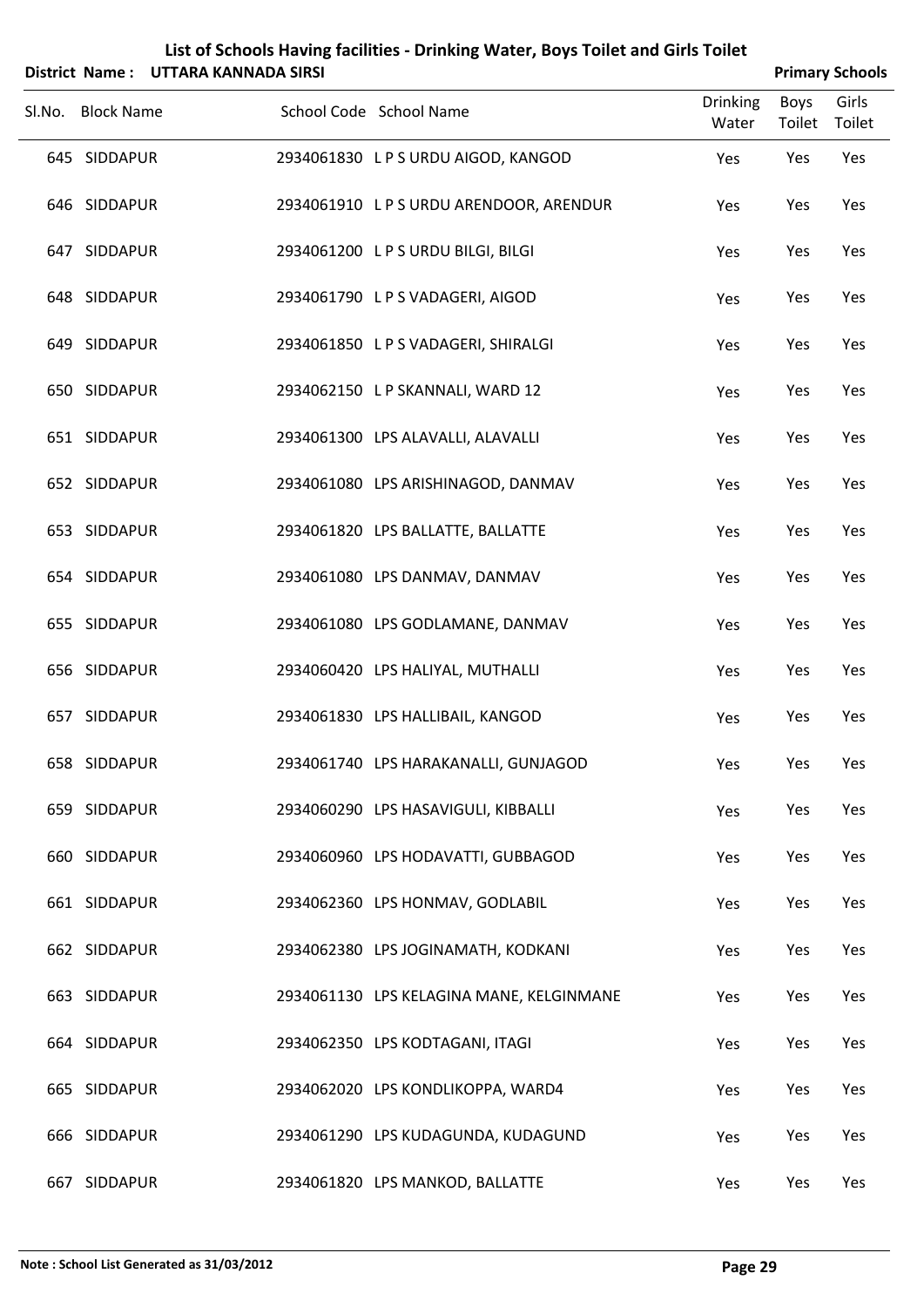|     |                   | District Name: UTTARA KANNADA SIRSI |                                          |                          |                       | <b>Primary Schools</b> |
|-----|-------------------|-------------------------------------|------------------------------------------|--------------------------|-----------------------|------------------------|
|     | Sl.No. Block Name |                                     | School Code School Name                  | <b>Drinking</b><br>Water | <b>Boys</b><br>Toilet | Girls<br>Toilet        |
|     | 645 SIDDAPUR      |                                     | 2934061830 LPS URDU AIGOD, KANGOD        | Yes                      | Yes                   | Yes                    |
|     | 646 SIDDAPUR      |                                     | 2934061910 LPS URDU ARENDOOR, ARENDUR    | Yes                      | Yes                   | Yes                    |
|     | 647 SIDDAPUR      |                                     | 2934061200 LPS URDU BILGI, BILGI         | Yes                      | Yes                   | Yes                    |
|     | 648 SIDDAPUR      |                                     | 2934061790 LPS VADAGERI, AIGOD           | Yes                      | Yes                   | Yes                    |
|     | 649 SIDDAPUR      |                                     | 2934061850 LPS VADAGERI, SHIRALGI        | Yes                      | Yes                   | Yes                    |
|     | 650 SIDDAPUR      |                                     | 2934062150 LP SKANNALI, WARD 12          | Yes                      | Yes                   | Yes                    |
|     | 651 SIDDAPUR      |                                     | 2934061300 LPS ALAVALLI, ALAVALLI        | Yes                      | Yes                   | Yes                    |
|     | 652 SIDDAPUR      |                                     | 2934061080 LPS ARISHINAGOD, DANMAV       | Yes                      | Yes                   | Yes                    |
|     | 653 SIDDAPUR      |                                     | 2934061820 LPS BALLATTE, BALLATTE        | Yes                      | Yes                   | Yes                    |
|     | 654 SIDDAPUR      |                                     | 2934061080 LPS DANMAV, DANMAV            | Yes                      | Yes                   | Yes                    |
|     | 655 SIDDAPUR      |                                     | 2934061080 LPS GODLAMANE, DANMAV         | Yes                      | Yes                   | Yes                    |
|     | 656 SIDDAPUR      |                                     | 2934060420 LPS HALIYAL, MUTHALLI         | Yes                      | Yes                   | Yes                    |
|     | 657 SIDDAPUR      |                                     | 2934061830 LPS HALLIBAIL, KANGOD         | Yes                      | Yes                   | Yes                    |
|     | 658 SIDDAPUR      |                                     | 2934061740 LPS HARAKANALLI, GUNJAGOD     | Yes                      | Yes                   | Yes                    |
|     | 659 SIDDAPUR      |                                     | 2934060290 LPS HASAVIGULI, KIBBALLI      | Yes                      | Yes                   | Yes                    |
|     | 660 SIDDAPUR      |                                     | 2934060960 LPS HODAVATTI, GUBBAGOD       | Yes                      | Yes                   | Yes                    |
|     | 661 SIDDAPUR      |                                     | 2934062360 LPS HONMAV, GODLABIL          | Yes                      | Yes                   | Yes                    |
|     | 662 SIDDAPUR      |                                     | 2934062380 LPS JOGINAMATH, KODKANI       | Yes                      | Yes                   | Yes                    |
|     | 663 SIDDAPUR      |                                     | 2934061130 LPS KELAGINA MANE, KELGINMANE | Yes                      | Yes                   | Yes                    |
|     | 664 SIDDAPUR      |                                     | 2934062350 LPS KODTAGANI, ITAGI          | Yes                      | Yes                   | Yes                    |
|     | 665 SIDDAPUR      |                                     | 2934062020 LPS KONDLIKOPPA, WARD4        | Yes                      | Yes                   | Yes                    |
|     | 666 SIDDAPUR      |                                     | 2934061290 LPS KUDAGUNDA, KUDAGUND       | Yes                      | Yes                   | Yes                    |
| 667 | SIDDAPUR          |                                     | 2934061820 LPS MANKOD, BALLATTE          | Yes                      | Yes                   | Yes                    |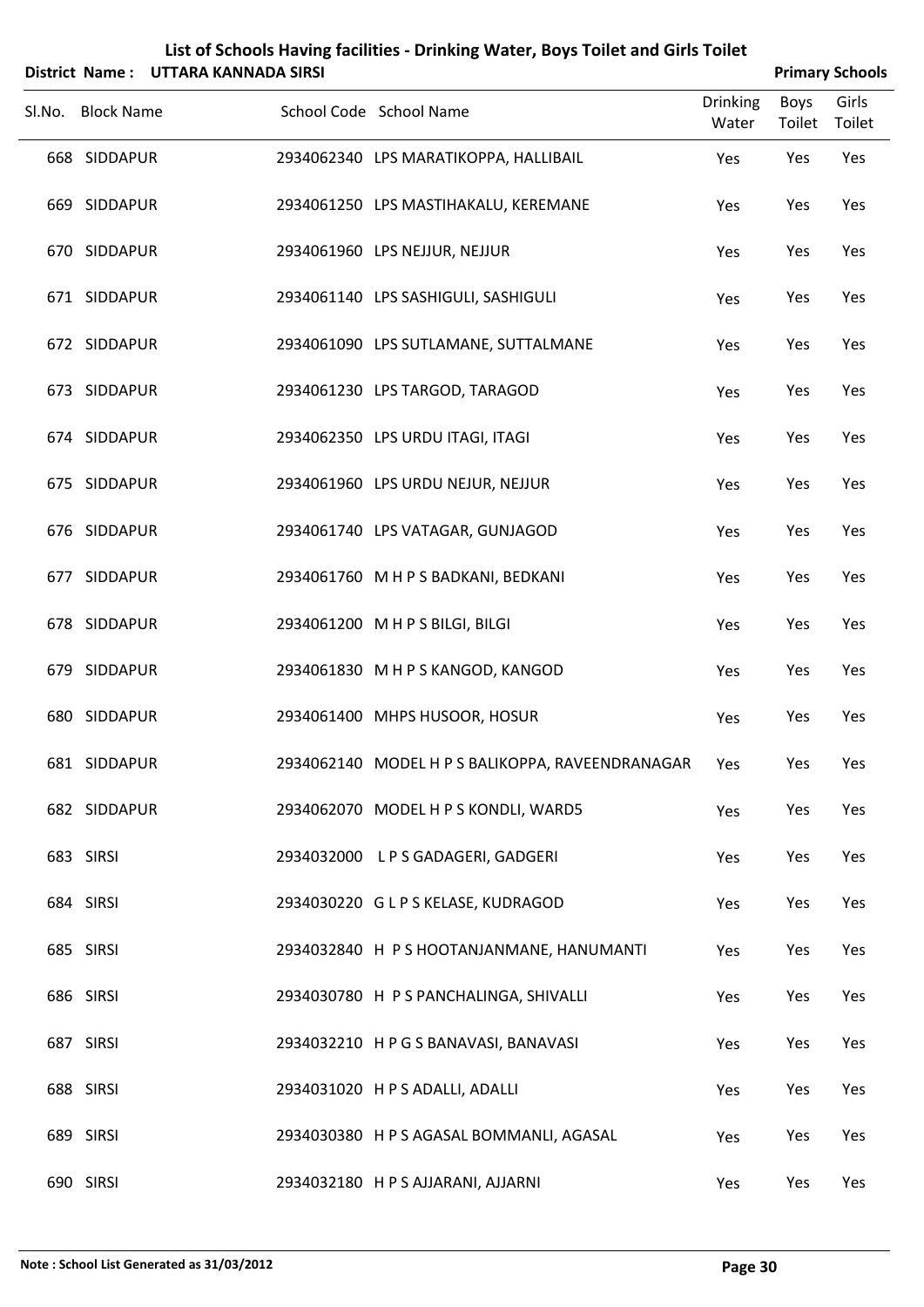|                   | District Name: UTTARA KANNADA SIRSI |                                                  |                          |                | <b>Primary Schools</b> |
|-------------------|-------------------------------------|--------------------------------------------------|--------------------------|----------------|------------------------|
| Sl.No. Block Name |                                     | School Code School Name                          | <b>Drinking</b><br>Water | Boys<br>Toilet | Girls<br>Toilet        |
| 668 SIDDAPUR      |                                     | 2934062340 LPS MARATIKOPPA, HALLIBAIL            | Yes                      | Yes            | Yes                    |
| 669 SIDDAPUR      |                                     | 2934061250 LPS MASTIHAKALU, KEREMANE             | Yes                      | Yes            | Yes                    |
| 670 SIDDAPUR      |                                     | 2934061960 LPS NEJJUR, NEJJUR                    | Yes                      | Yes            | Yes                    |
| 671 SIDDAPUR      |                                     | 2934061140 LPS SASHIGULI, SASHIGULI              | Yes                      | Yes            | Yes                    |
| 672 SIDDAPUR      |                                     | 2934061090 LPS SUTLAMANE, SUTTALMANE             | Yes                      | Yes            | Yes                    |
| 673 SIDDAPUR      |                                     | 2934061230 LPS TARGOD, TARAGOD                   | Yes                      | Yes            | Yes                    |
| 674 SIDDAPUR      |                                     | 2934062350 LPS URDU ITAGI, ITAGI                 | Yes                      | Yes            | Yes                    |
| 675 SIDDAPUR      |                                     | 2934061960 LPS URDU NEJUR, NEJJUR                | Yes                      | Yes            | Yes                    |
| 676 SIDDAPUR      |                                     | 2934061740 LPS VATAGAR, GUNJAGOD                 | Yes                      | Yes            | Yes                    |
| 677 SIDDAPUR      |                                     | 2934061760 M H P S BADKANI, BEDKANI              | Yes                      | Yes            | Yes                    |
| 678 SIDDAPUR      |                                     | 2934061200 M H P S BILGI, BILGI                  | Yes                      | Yes            | Yes                    |
| 679 SIDDAPUR      |                                     | 2934061830 M H P S KANGOD, KANGOD                | Yes                      | Yes            | Yes                    |
| 680 SIDDAPUR      |                                     | 2934061400 MHPS HUSOOR, HOSUR                    | Yes                      | Yes            | Yes                    |
| 681 SIDDAPUR      |                                     | 2934062140 MODEL H P S BALIKOPPA, RAVEENDRANAGAR | Yes                      | Yes            | Yes                    |
| 682 SIDDAPUR      |                                     | 2934062070 MODEL H P S KONDLI, WARD5             | Yes                      | Yes            | Yes                    |
| 683 SIRSI         |                                     | 2934032000 L P S GADAGERI, GADGERI               | Yes                      | Yes            | Yes                    |
| 684 SIRSI         |                                     | 2934030220 GLPS KELASE, KUDRAGOD                 | Yes                      | Yes            | Yes                    |
| 685 SIRSI         |                                     | 2934032840 H P S HOOTANJANMANE, HANUMANTI        | Yes                      | Yes            | Yes                    |
| 686 SIRSI         |                                     | 2934030780 H P S PANCHALINGA, SHIVALLI           | Yes                      | Yes            | Yes                    |
| 687 SIRSI         |                                     | 2934032210 HPGS BANAVASI, BANAVASI               | Yes                      | Yes            | Yes                    |
| 688 SIRSI         |                                     | 2934031020 H P S ADALLI, ADALLI                  | Yes                      | Yes            | Yes                    |
| 689 SIRSI         |                                     | 2934030380 H P S AGASAL BOMMANLI, AGASAL         | Yes                      | Yes            | Yes                    |
| 690 SIRSI         |                                     | 2934032180 HPS AJJARANI, AJJARNI                 | Yes                      | Yes            | Yes                    |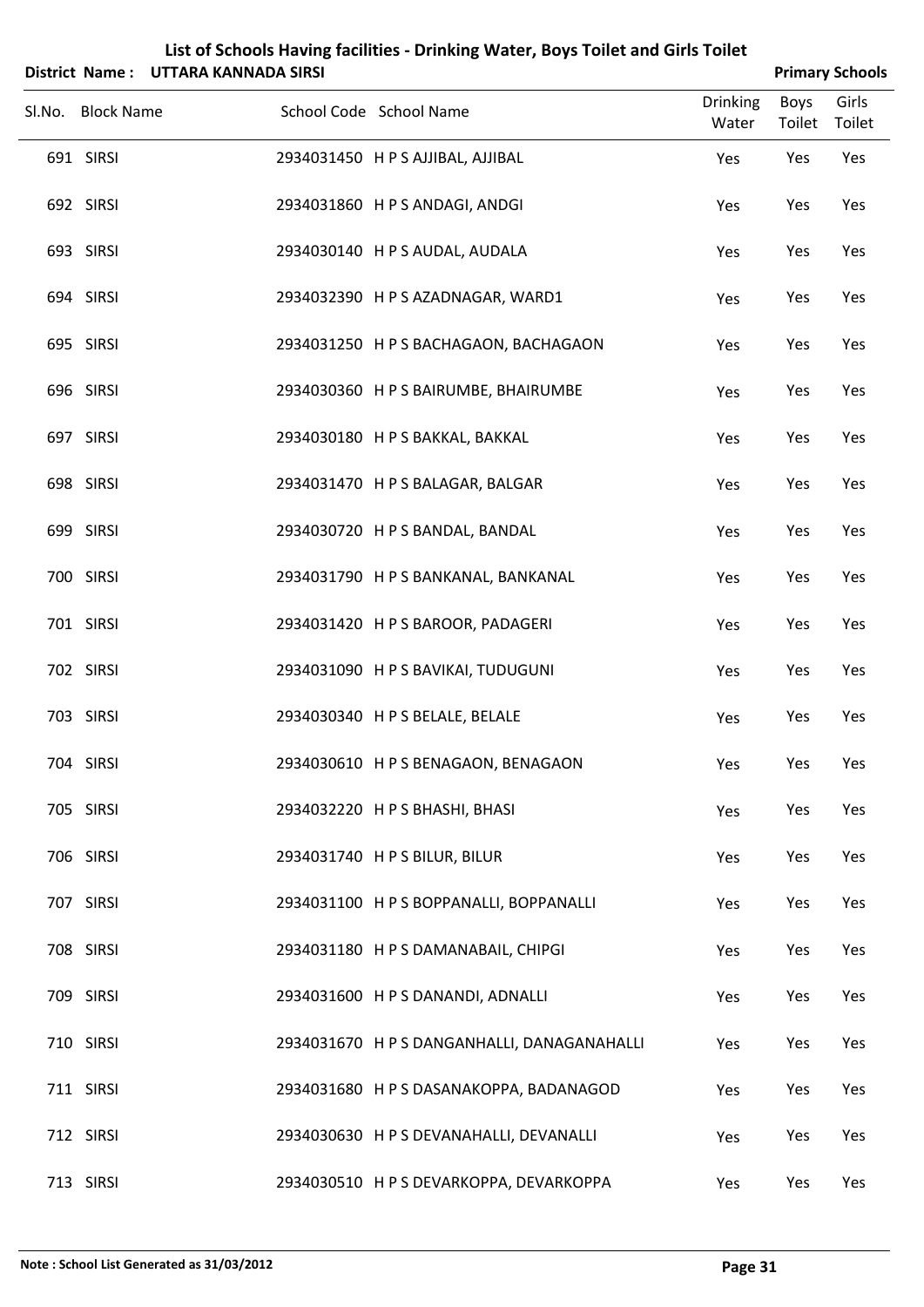|                   | District Name: UTTARA KANNADA SIRSI |                                             |                          |                       | <b>Primary Schools</b> |
|-------------------|-------------------------------------|---------------------------------------------|--------------------------|-----------------------|------------------------|
| Sl.No. Block Name |                                     | School Code School Name                     | <b>Drinking</b><br>Water | <b>Boys</b><br>Toilet | Girls<br>Toilet        |
| 691 SIRSI         |                                     | 2934031450 H P S AJJIBAL, AJJIBAL           | Yes                      | Yes                   | Yes                    |
| 692 SIRSI         |                                     | 2934031860 HPS ANDAGI, ANDGI                | Yes                      | Yes                   | Yes                    |
| 693 SIRSI         |                                     | 2934030140 H P S AUDAL, AUDALA              | Yes                      | Yes                   | Yes                    |
| 694 SIRSI         |                                     | 2934032390 H P S AZADNAGAR, WARD1           | Yes                      | Yes                   | Yes                    |
| 695 SIRSI         |                                     | 2934031250 H P S BACHAGAON, BACHAGAON       | Yes                      | Yes                   | Yes                    |
| 696 SIRSI         |                                     | 2934030360 H P S BAIRUMBE, BHAIRUMBE        | Yes                      | Yes                   | Yes                    |
| 697 SIRSI         |                                     | 2934030180 H P S BAKKAL, BAKKAL             | Yes                      | Yes                   | Yes                    |
| 698 SIRSI         |                                     | 2934031470 H P S BALAGAR, BALGAR            | Yes                      | Yes                   | Yes                    |
| 699 SIRSI         |                                     | 2934030720 H P S BANDAL, BANDAL             | Yes                      | Yes                   | Yes                    |
| 700 SIRSI         |                                     | 2934031790 H P S BANKANAL, BANKANAL         | Yes                      | Yes                   | Yes                    |
| 701 SIRSI         |                                     | 2934031420 H P S BAROOR, PADAGERI           | Yes                      | Yes                   | Yes                    |
| 702 SIRSI         |                                     | 2934031090 H P S BAVIKAI, TUDUGUNI          | Yes                      | Yes                   | Yes                    |
| 703 SIRSI         |                                     | 2934030340 H P S BELALE, BELALE             | Yes                      | Yes                   | Yes                    |
| 704 SIRSI         |                                     | 2934030610 H P S BENAGAON, BENAGAON         | Yes                      | Yes                   | Yes                    |
| 705 SIRSI         |                                     | 2934032220 H P S BHASHI, BHASI              | Yes                      | Yes                   | Yes                    |
| 706 SIRSI         |                                     | 2934031740 H P S BILUR, BILUR               | Yes                      | Yes                   | Yes                    |
| 707 SIRSI         |                                     | 2934031100 H P S BOPPANALLI, BOPPANALLI     | Yes                      | Yes                   | Yes                    |
| 708 SIRSI         |                                     | 2934031180 H P S DAMANABAIL, CHIPGI         | Yes                      | Yes                   | Yes                    |
| 709 SIRSI         |                                     | 2934031600 H P S DANANDI, ADNALLI           | Yes                      | Yes                   | Yes                    |
| 710 SIRSI         |                                     | 2934031670 H P S DANGANHALLI, DANAGANAHALLI | Yes                      | Yes                   | Yes                    |
| 711 SIRSI         |                                     | 2934031680 H P S DASANAKOPPA, BADANAGOD     | Yes                      | Yes                   | Yes                    |
| 712 SIRSI         |                                     | 2934030630 H P S DEVANAHALLI, DEVANALLI     | Yes                      | Yes                   | Yes                    |
| 713 SIRSI         |                                     | 2934030510 H P S DEVARKOPPA, DEVARKOPPA     | Yes                      | Yes                   | Yes                    |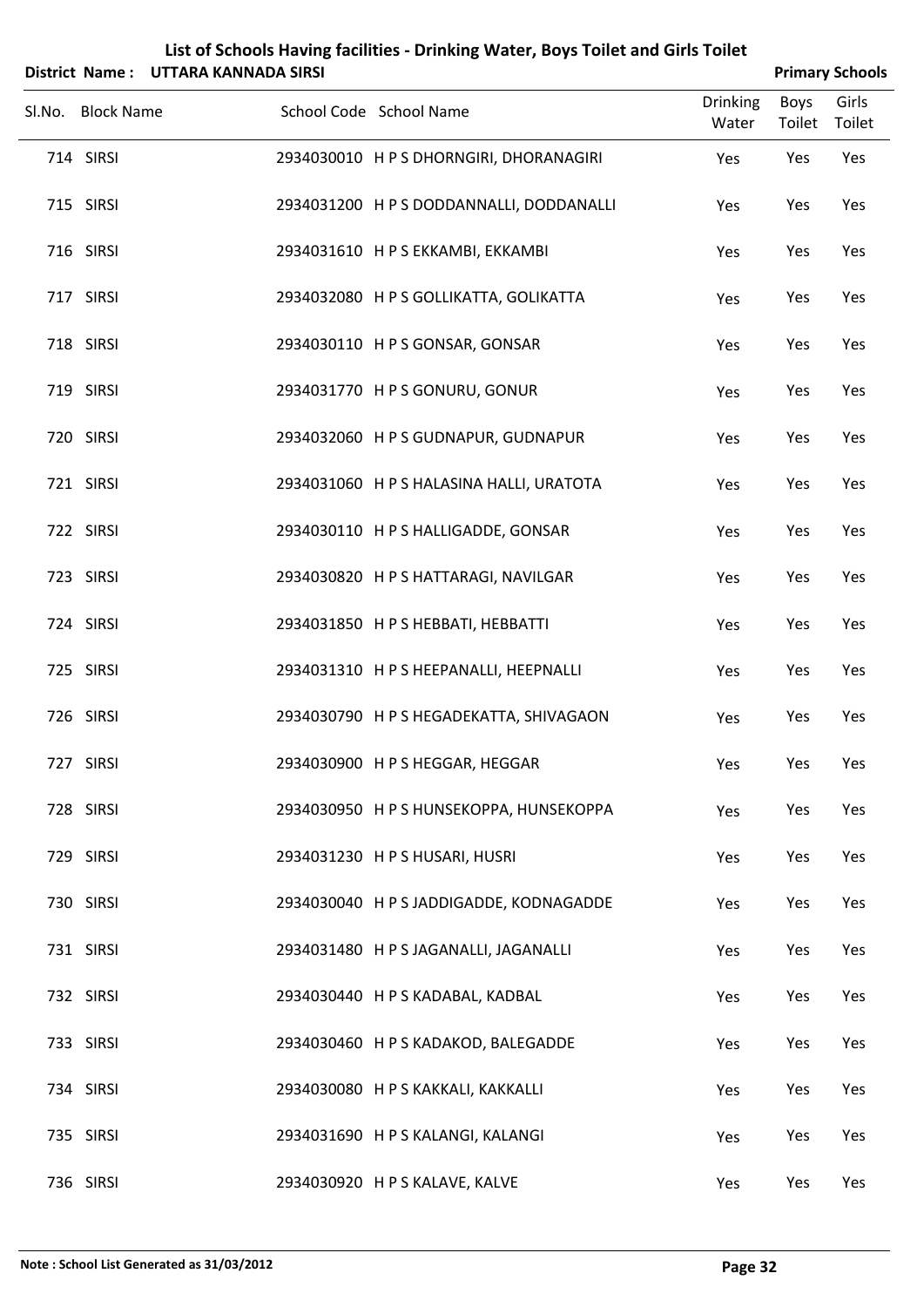|                   | District Name: UTTARA KANNADA SIRSI |                                          |                          |                       | <b>Primary Schools</b> |
|-------------------|-------------------------------------|------------------------------------------|--------------------------|-----------------------|------------------------|
| Sl.No. Block Name |                                     | School Code School Name                  | <b>Drinking</b><br>Water | <b>Boys</b><br>Toilet | Girls<br>Toilet        |
| 714 SIRSI         |                                     | 2934030010 H P S DHORNGIRI, DHORANAGIRI  | Yes                      | Yes                   | Yes                    |
| 715 SIRSI         |                                     | 2934031200 H P S DODDANNALLI, DODDANALLI | Yes                      | Yes                   | Yes                    |
| 716 SIRSI         |                                     | 2934031610 H P S EKKAMBI, EKKAMBI        | Yes                      | Yes                   | Yes                    |
| 717 SIRSI         |                                     | 2934032080 H P S GOLLIKATTA, GOLIKATTA   | Yes                      | Yes                   | Yes                    |
| 718 SIRSI         |                                     | 2934030110 H P S GONSAR, GONSAR          | Yes                      | Yes                   | Yes                    |
| 719 SIRSI         |                                     | 2934031770 HPS GONURU, GONUR             | Yes                      | Yes                   | Yes                    |
| 720 SIRSI         |                                     | 2934032060 H P S GUDNAPUR, GUDNAPUR      | Yes                      | Yes                   | Yes                    |
| 721 SIRSI         |                                     | 2934031060 H P S HALASINA HALLI, URATOTA | Yes                      | Yes                   | Yes                    |
| 722 SIRSI         |                                     | 2934030110 H P S HALLIGADDE, GONSAR      | Yes                      | Yes                   | Yes                    |
| 723 SIRSI         |                                     | 2934030820 H P S HATTARAGI, NAVILGAR     | Yes                      | Yes                   | Yes                    |
| 724 SIRSI         |                                     | 2934031850 H P S HEBBATI, HEBBATTI       | Yes                      | Yes                   | Yes                    |
| 725 SIRSI         |                                     | 2934031310 H P S HEEPANALLI, HEEPNALLI   | Yes                      | Yes                   | Yes                    |
| 726 SIRSI         |                                     | 2934030790 H P S HEGADEKATTA, SHIVAGAON  | Yes                      | Yes                   | Yes                    |
| 727 SIRSI         |                                     | 2934030900 HPS HEGGAR, HEGGAR            | Yes                      | Yes                   | Yes                    |
| 728 SIRSI         |                                     | 2934030950 H P S HUNSEKOPPA, HUNSEKOPPA  | Yes                      | Yes                   | Yes                    |
| 729 SIRSI         |                                     | 2934031230 H P S HUSARI, HUSRI           | Yes                      | Yes                   | Yes                    |
| 730 SIRSI         |                                     | 2934030040 H P S JADDIGADDE, KODNAGADDE  | Yes                      | Yes                   | Yes                    |
| 731 SIRSI         |                                     | 2934031480 H P S JAGANALLI, JAGANALLI    | Yes                      | Yes                   | Yes                    |
| 732 SIRSI         |                                     | 2934030440 H P S KADABAL, KADBAL         | Yes                      | Yes                   | Yes                    |
| 733 SIRSI         |                                     | 2934030460 H P S KADAKOD, BALEGADDE      | Yes                      | Yes                   | Yes                    |
| 734 SIRSI         |                                     | 2934030080 H P S KAKKALI, KAKKALLI       | Yes                      | Yes                   | Yes                    |
| 735 SIRSI         |                                     | 2934031690 H P S KALANGI, KALANGI        | Yes                      | Yes                   | Yes                    |
| 736 SIRSI         |                                     | 2934030920 H P S KALAVE, KALVE           | Yes                      | Yes                   | Yes                    |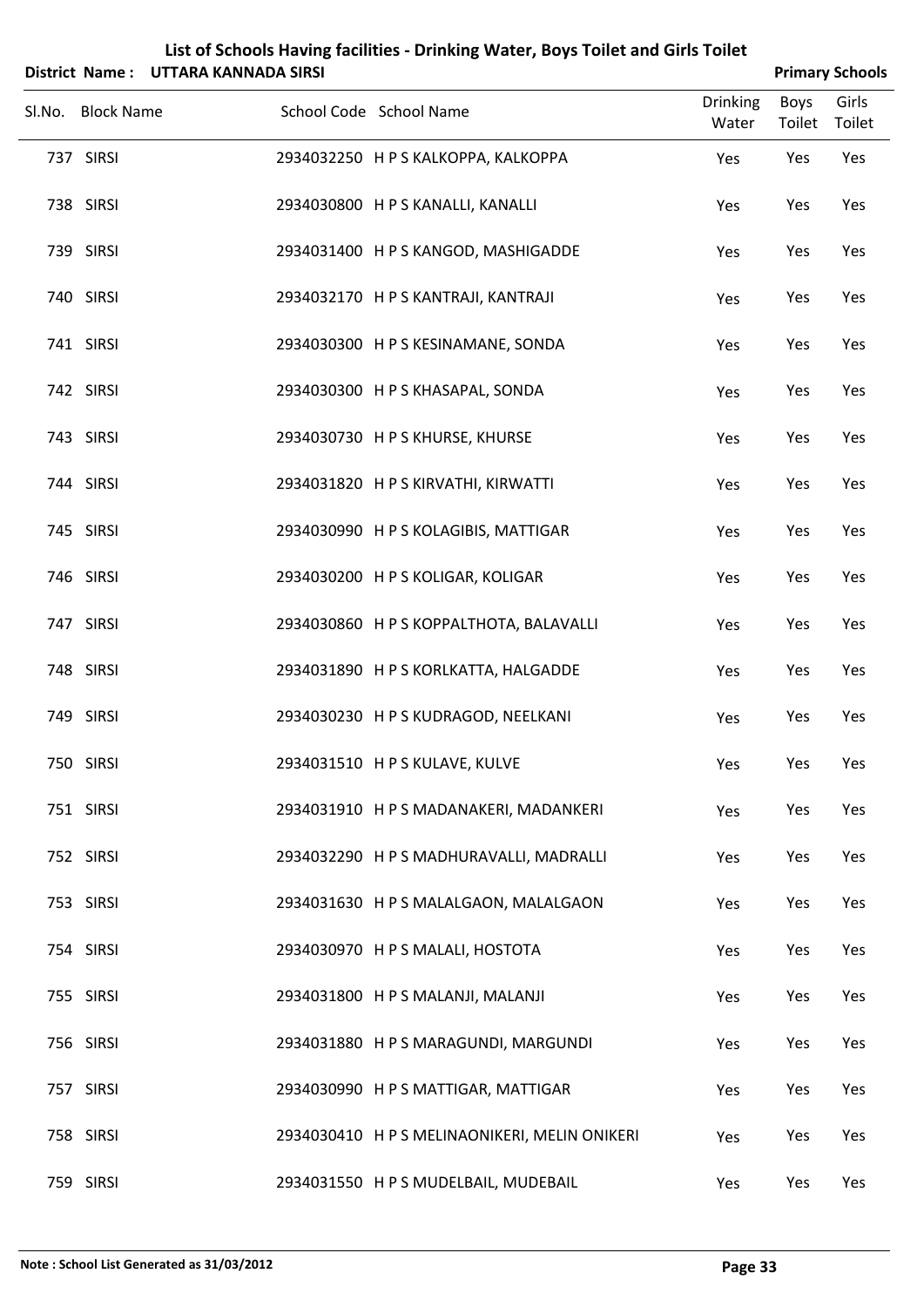| List of Schools Having facilities - Drinking Water, Boys Toilet and Girls Toilet<br>District Name: UTTARA KANNADA SIRSI |                   |  |                                               |                          |                | <b>Primary Schools</b> |
|-------------------------------------------------------------------------------------------------------------------------|-------------------|--|-----------------------------------------------|--------------------------|----------------|------------------------|
|                                                                                                                         | Sl.No. Block Name |  | School Code School Name                       | <b>Drinking</b><br>Water | Boys<br>Toilet | Girls<br>Toilet        |
|                                                                                                                         | 737 SIRSI         |  | 2934032250 H P S KALKOPPA, KALKOPPA           | Yes                      | Yes            | Yes                    |
|                                                                                                                         | 738 SIRSI         |  | 2934030800 H P S KANALLI, KANALLI             | Yes                      | Yes            | Yes                    |
|                                                                                                                         | 739 SIRSI         |  | 2934031400 H P S KANGOD, MASHIGADDE           | Yes                      | Yes            | Yes                    |
|                                                                                                                         | 740 SIRSI         |  | 2934032170 H P S KANTRAJI, KANTRAJI           | Yes                      | Yes            | Yes                    |
|                                                                                                                         | 741 SIRSI         |  | 2934030300 H P S KESINAMANE, SONDA            | Yes                      | Yes            | Yes                    |
|                                                                                                                         | 742 SIRSI         |  | 2934030300 H P S KHASAPAL, SONDA              | Yes                      | Yes            | Yes                    |
|                                                                                                                         | 743 SIRSI         |  | 2934030730 H P S KHURSE, KHURSE               | Yes                      | Yes            | Yes                    |
|                                                                                                                         | 744 SIRSI         |  | 2934031820 H P S KIRVATHI, KIRWATTI           | Yes                      | Yes            | Yes                    |
|                                                                                                                         | 745 SIRSI         |  | 2934030990 H P S KOLAGIBIS, MATTIGAR          | Yes                      | Yes            | Yes                    |
|                                                                                                                         | 746 SIRSI         |  | 2934030200 H P S KOLIGAR, KOLIGAR             | Yes                      | Yes            | Yes                    |
|                                                                                                                         | 747 SIRSI         |  | 2934030860 H P S KOPPALTHOTA, BALAVALLI       | Yes                      | Yes            | Yes                    |
|                                                                                                                         | 748 SIRSI         |  | 2934031890 H P S KORLKATTA, HALGADDE          | Yes                      | Yes            | Yes                    |
|                                                                                                                         | 749 SIRSI         |  | 2934030230 H P S KUDRAGOD, NEELKANI           | Yes                      | Yes            | Yes                    |
|                                                                                                                         | 750 SIRSI         |  | 2934031510 H P S KULAVE, KULVE                | Yes                      | Yes            | Yes                    |
|                                                                                                                         | 751 SIRSI         |  | 2934031910 H P S MADANAKERI, MADANKERI        | Yes                      | Yes            | Yes                    |
|                                                                                                                         | 752 SIRSI         |  | 2934032290 H P S MADHURAVALLI, MADRALLI       | Yes                      | Yes            | Yes                    |
|                                                                                                                         | 753 SIRSI         |  | 2934031630 H P S MALALGAON, MALALGAON         | Yes                      | Yes            | Yes                    |
|                                                                                                                         | 754 SIRSI         |  | 2934030970 H P S MALALI, HOSTOTA              | Yes                      | Yes            | Yes                    |
|                                                                                                                         | 755 SIRSI         |  | 2934031800 H P S MALANJI, MALANJI             | Yes                      | Yes            | Yes                    |
|                                                                                                                         | 756 SIRSI         |  | 2934031880 H P S MARAGUNDI, MARGUNDI          | Yes                      | Yes            | Yes                    |
|                                                                                                                         | 757 SIRSI         |  | 2934030990 H P S MATTIGAR, MATTIGAR           | Yes                      | Yes            | Yes                    |
|                                                                                                                         | 758 SIRSI         |  | 2934030410 H P S MELINAONIKERI, MELIN ONIKERI | Yes                      | Yes            | Yes                    |
|                                                                                                                         | 759 SIRSI         |  | 2934031550 H P S MUDELBAIL, MUDEBAIL          | Yes                      | Yes            | Yes                    |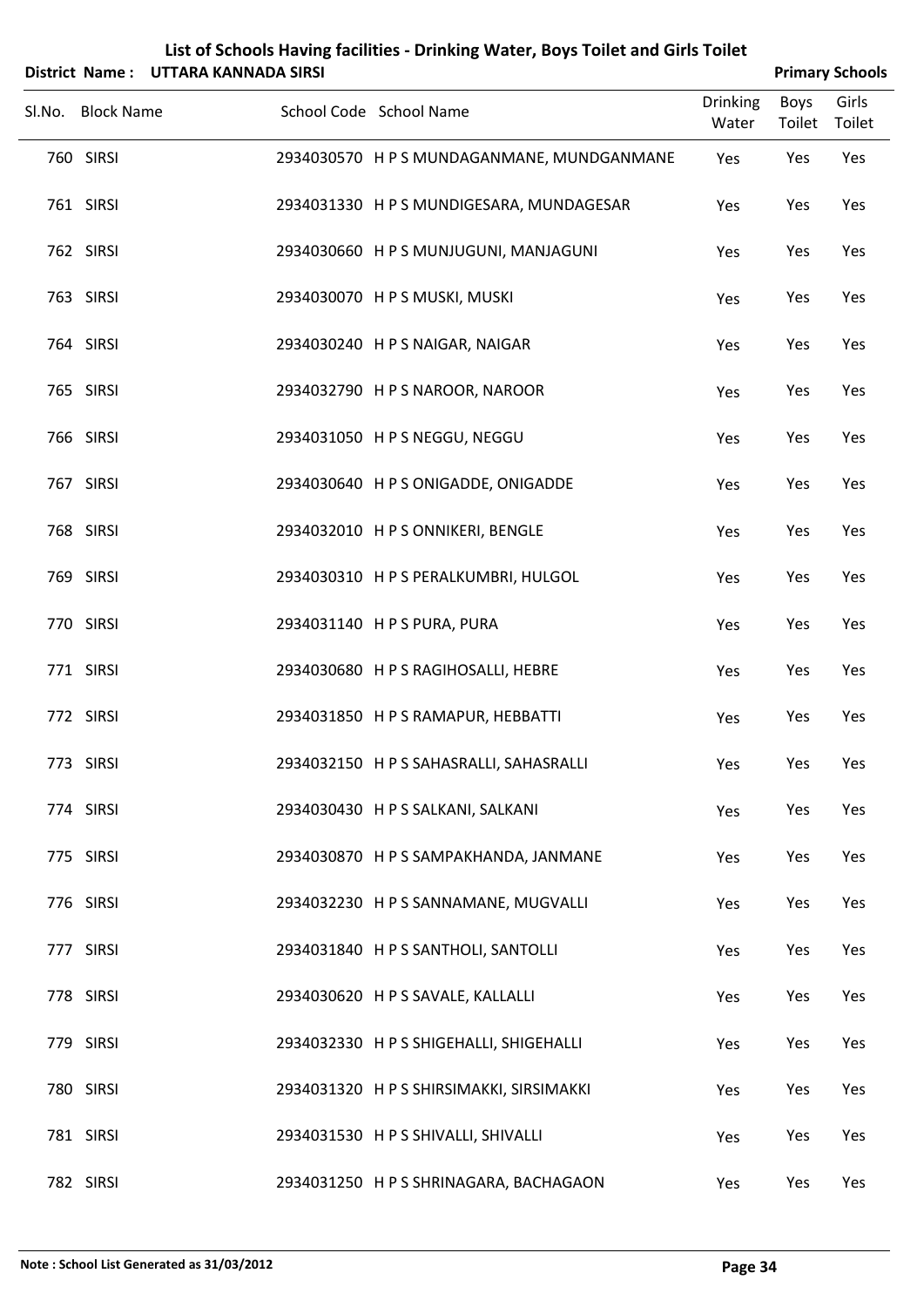|                   | District Name: UTTARA KANNADA SIRSI |                                            |                          |                | <b>Primary Schools</b> |
|-------------------|-------------------------------------|--------------------------------------------|--------------------------|----------------|------------------------|
| Sl.No. Block Name |                                     | School Code School Name                    | <b>Drinking</b><br>Water | Boys<br>Toilet | Girls<br>Toilet        |
| 760 SIRSI         |                                     | 2934030570 H P S MUNDAGANMANE, MUNDGANMANE | Yes                      | Yes            | Yes                    |
| 761 SIRSI         |                                     | 2934031330 H P S MUNDIGESARA, MUNDAGESAR   | Yes                      | Yes            | Yes                    |
| 762 SIRSI         |                                     | 2934030660 H P S MUNJUGUNI, MANJAGUNI      | Yes                      | Yes            | Yes                    |
| 763 SIRSI         |                                     | 2934030070 HPS MUSKI, MUSKI                | Yes                      | Yes            | Yes                    |
| 764 SIRSI         |                                     | 2934030240 H P S NAIGAR, NAIGAR            | Yes                      | Yes            | Yes                    |
| 765 SIRSI         |                                     | 2934032790 HPS NAROOR, NAROOR              | Yes                      | Yes            | Yes                    |
| 766 SIRSI         |                                     | 2934031050 H P S NEGGU, NEGGU              | Yes                      | Yes            | Yes                    |
| 767 SIRSI         |                                     | 2934030640 H P S ONIGADDE, ONIGADDE        | Yes                      | Yes            | Yes                    |
| 768 SIRSI         |                                     | 2934032010 HPS ONNIKERI, BENGLE            | Yes                      | Yes            | Yes                    |
| 769 SIRSI         |                                     | 2934030310 H P S PERALKUMBRI, HULGOL       | Yes                      | Yes            | Yes                    |
| 770 SIRSI         |                                     | 2934031140 H P S PURA, PURA                | Yes                      | Yes            | Yes                    |
| 771 SIRSI         |                                     | 2934030680 HPS RAGIHOSALLI, HEBRE          | Yes                      | Yes            | Yes                    |
| 772 SIRSI         |                                     | 2934031850 H P S RAMAPUR, HEBBATTI         | Yes                      | Yes            | Yes                    |
| 773 SIRSI         |                                     | 2934032150 H P S SAHASRALLI, SAHASRALLI    | Yes                      | Yes            | Yes                    |
| 774 SIRSI         |                                     | 2934030430 H P S SALKANI, SALKANI          | Yes                      | Yes            | Yes                    |
| 775 SIRSI         |                                     | 2934030870 H P S SAMPAKHANDA, JANMANE      | Yes                      | Yes            | Yes                    |
| 776 SIRSI         |                                     | 2934032230 H P S SANNAMANE, MUGVALLI       | Yes                      | Yes            | Yes                    |
| 777 SIRSI         |                                     | 2934031840 H P S SANTHOLI, SANTOLLI        | Yes                      | Yes            | Yes                    |
| 778 SIRSI         |                                     | 2934030620 H P S SAVALE, KALLALLI          | Yes                      | Yes            | Yes                    |
| 779 SIRSI         |                                     | 2934032330 H P S SHIGEHALLI, SHIGEHALLI    | Yes                      | Yes            | Yes                    |
| 780 SIRSI         |                                     | 2934031320 H P S SHIRSIMAKKI, SIRSIMAKKI   | Yes                      | Yes            | Yes                    |
| 781 SIRSI         |                                     | 2934031530 H P S SHIVALLI, SHIVALLI        | Yes                      | Yes            | Yes                    |

SIRSI 2934031250 H P S SHRINAGARA, BACHAGAON Yes Yes Yes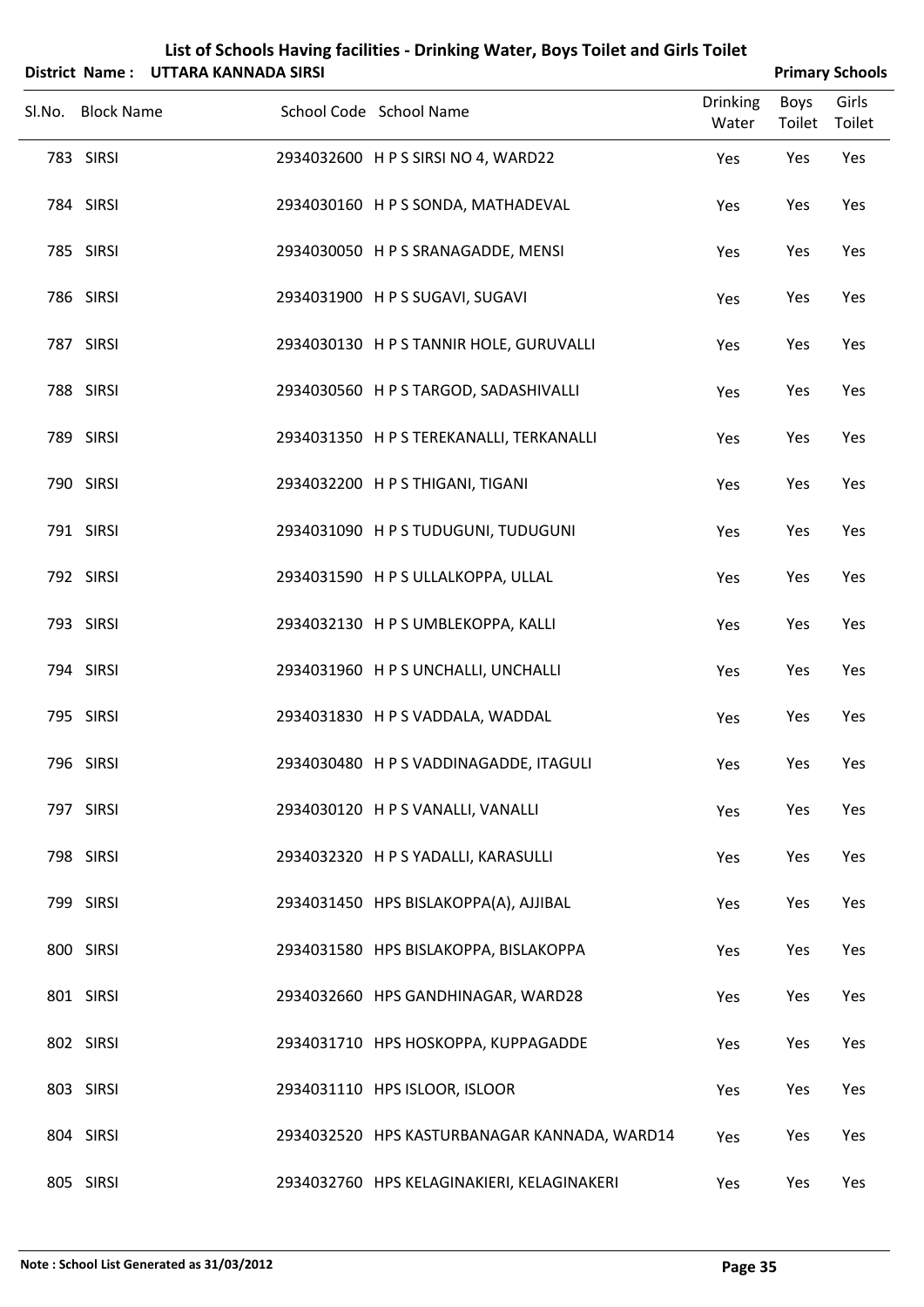|                   |                                     | List of Schools Having facilities - Drinking Water, Boys Toilet and Girls Toilet |                          |                       |                        |
|-------------------|-------------------------------------|----------------------------------------------------------------------------------|--------------------------|-----------------------|------------------------|
|                   | District Name: UTTARA KANNADA SIRSI |                                                                                  |                          |                       | <b>Primary Schools</b> |
| Sl.No. Block Name |                                     | School Code School Name                                                          | <b>Drinking</b><br>Water | <b>Boys</b><br>Toilet | Girls<br>Toilet        |
| 783 SIRSI         |                                     | 2934032600 H P S SIRSI NO 4, WARD22                                              | Yes                      | Yes                   | Yes                    |
| 784 SIRSI         |                                     | 2934030160 H P S SONDA, MATHADEVAL                                               | Yes                      | Yes                   | Yes                    |
| 785 SIRSI         |                                     | 2934030050 H P S SRANAGADDE, MENSI                                               | Yes                      | Yes                   | Yes                    |
| 786 SIRSI         |                                     | 2934031900 H P S SUGAVI, SUGAVI                                                  | Yes                      | Yes                   | Yes                    |
| 787 SIRSI         |                                     | 2934030130 H P S TANNIR HOLE, GURUVALLI                                          | Yes                      | Yes                   | Yes                    |
| 788 SIRSI         |                                     | 2934030560 H P S TARGOD, SADASHIVALLI                                            | Yes                      | Yes                   | Yes                    |
| 789 SIRSI         |                                     | 2934031350 H P S TEREKANALLI, TERKANALLI                                         | Yes                      | Yes                   | Yes                    |
| 790 SIRSI         |                                     | 2934032200 H P S THIGANI, TIGANI                                                 | Yes                      | Yes                   | Yes                    |
| 791 SIRSI         |                                     | 2934031090 HPS TUDUGUNI, TUDUGUNI                                                | Yes                      | Yes                   | Yes                    |
| 792 SIRSI         |                                     | 2934031590 H P S ULLALKOPPA, ULLAL                                               | Yes                      | Yes                   | Yes                    |
| 793 SIRSI         |                                     | 2934032130 H P S UMBLEKOPPA, KALLI                                               | Yes                      | Yes                   | Yes                    |
| 794 SIRSI         |                                     | 2934031960 H P S UNCHALLI, UNCHALLI                                              | Yes                      | Yes                   | Yes                    |
| 795 SIRSI         |                                     | 2934031830 H P S VADDALA, WADDAL                                                 | Yes                      | Yes                   | Yes                    |
| 796 SIRSI         |                                     | 2934030480 H P S VADDINAGADDE, ITAGULI                                           | Yes                      | Yes                   | Yes                    |
| 797 SIRSI         |                                     | 2934030120 H P S VANALLI, VANALLI                                                | Yes                      | Yes                   | Yes                    |
| 798 SIRSI         |                                     | 2934032320 H P S YADALLI, KARASULLI                                              | Yes                      | Yes                   | Yes                    |
| 799 SIRSI         |                                     | 2934031450 HPS BISLAKOPPA(A), AJJIBAL                                            | Yes                      | Yes                   | Yes                    |
| 800 SIRSI         |                                     | 2934031580 HPS BISLAKOPPA, BISLAKOPPA                                            | Yes                      | Yes                   | Yes                    |
| 801 SIRSI         |                                     | 2934032660 HPS GANDHINAGAR, WARD28                                               | Yes                      | Yes                   | Yes                    |
| 802 SIRSI         |                                     | 2934031710 HPS HOSKOPPA, KUPPAGADDE                                              | Yes                      | Yes                   | Yes                    |
| 803 SIRSI         |                                     | 2934031110 HPS ISLOOR, ISLOOR                                                    | Yes                      | Yes                   | Yes                    |
| 804 SIRSI         |                                     | 2934032520 HPS KASTURBANAGAR KANNADA, WARD14                                     | Yes                      | Yes                   | Yes                    |
| 805 SIRSI         |                                     | 2934032760 HPS KELAGINAKIERI, KELAGINAKERI                                       | Yes                      | Yes                   | Yes                    |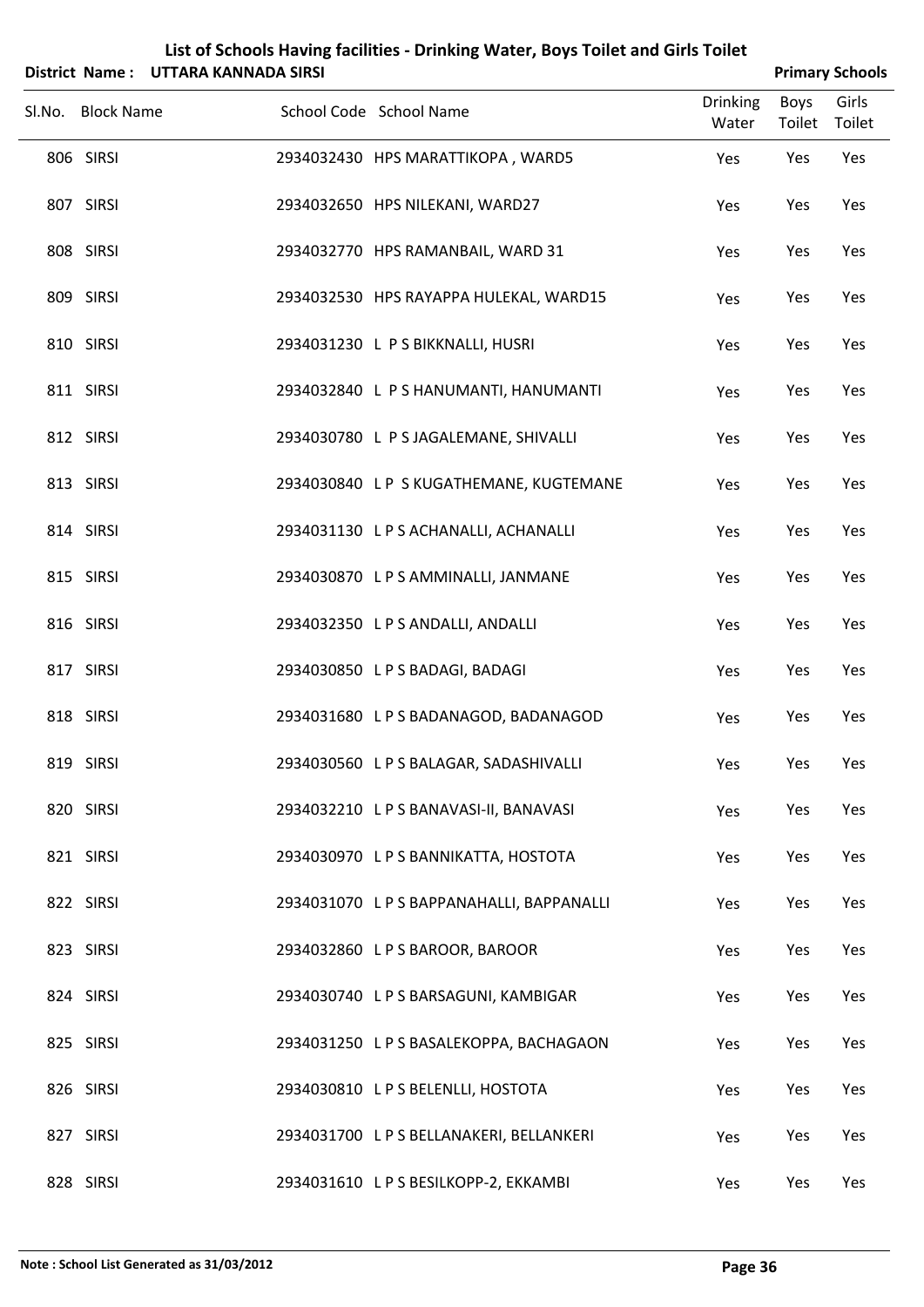|                   | District Name: UTTARA KANNADA SIRSI |                                         |                          |                       | <b>Primary Schools</b> |
|-------------------|-------------------------------------|-----------------------------------------|--------------------------|-----------------------|------------------------|
| Sl.No. Block Name |                                     | School Code School Name                 | <b>Drinking</b><br>Water | Boys<br>Toilet Toilet | Girls                  |
| 806 SIRSI         |                                     | 2934032430 HPS MARATTIKOPA, WARD5       | Yes                      | Yes                   | Yes                    |
| 807 SIRSI         |                                     | 2934032650 HPS NILEKANI, WARD27         | Yes                      | Yes                   | Yes                    |
| 808 SIRSI         |                                     | 2934032770 HPS RAMANBAIL, WARD 31       | Yes                      | Yes                   | Yes                    |
| 809 SIRSI         |                                     | 2934032530 HPS RAYAPPA HULEKAL, WARD15  | Yes                      | Yes                   | Yes                    |
| 810 SIRSI         |                                     | 2934031230 L P S BIKKNALLI, HUSRI       | Yes                      | Yes                   | Yes                    |
| 811 SIRSI         |                                     | 2934032840 L P S HANUMANTI, HANUMANTI   | Yes                      | Yes                   | Yes                    |
| 812 SIRSI         |                                     | 2934030780 L P S JAGALEMANE, SHIVALLI   | Yes                      | Yes                   | Yes                    |
| 813 SIRSI         |                                     | 2934030840 LP S KUGATHEMANE, KUGTEMANE  | Yes                      | Yes                   | Yes                    |
| 814 SIRSI         |                                     | 2934031130 LPS ACHANALLI, ACHANALLI     | Yes                      | Yes                   | Yes                    |
| 815 SIRSI         |                                     | 2934030870 LPS AMMINALLI, JANMANE       | Yes                      | Yes                   | Yes                    |
| 816 SIRSI         |                                     | 2934032350 LPS ANDALLI, ANDALLI         | Yes                      | Yes                   | Yes                    |
| 817 SIRSI         |                                     | 2934030850 LPS BADAGI, BADAGI           | Yes                      | Yes                   | Yes                    |
| 818 SIRSI         |                                     | 2934031680 LPS BADANAGOD, BADANAGOD     | Yes                      | Yes                   | Yes                    |
| 819 SIRSI         |                                     | 2934030560 LPS BALAGAR, SADASHIVALLI    | Yes                      | Yes                   | Yes                    |
| 820 SIRSI         |                                     | 2934032210 LPS BANAVASI-II, BANAVASI    | Yes                      | Yes                   | Yes                    |
| 821 SIRSI         |                                     | 2934030970 L P S BANNIKATTA, HOSTOTA    | Yes                      | Yes                   | Yes                    |
| 822 SIRSI         |                                     | 2934031070 LPS BAPPANAHALLI, BAPPANALLI | Yes                      | Yes                   | Yes                    |
| 823 SIRSI         |                                     | 2934032860 LPS BAROOR, BAROOR           | Yes                      | Yes                   | Yes                    |
| 824 SIRSI         |                                     | 2934030740 L P S BARSAGUNI, KAMBIGAR    | Yes                      | Yes                   | Yes                    |
| 825 SIRSI         |                                     | 2934031250 LPS BASALEKOPPA, BACHAGAON   | Yes                      | Yes                   | Yes                    |
| 826 SIRSI         |                                     | 2934030810 LPS BELENLLI, HOSTOTA        | Yes                      | Yes                   | Yes                    |

827 SIRSI 2934031700 LPS BELLANAKERI, BELLANKERI Yes Yes Yes

828 SIRSI 2934031610 LPS BESILKOPP-2, EKKAMBI Yes Yes Yes Yes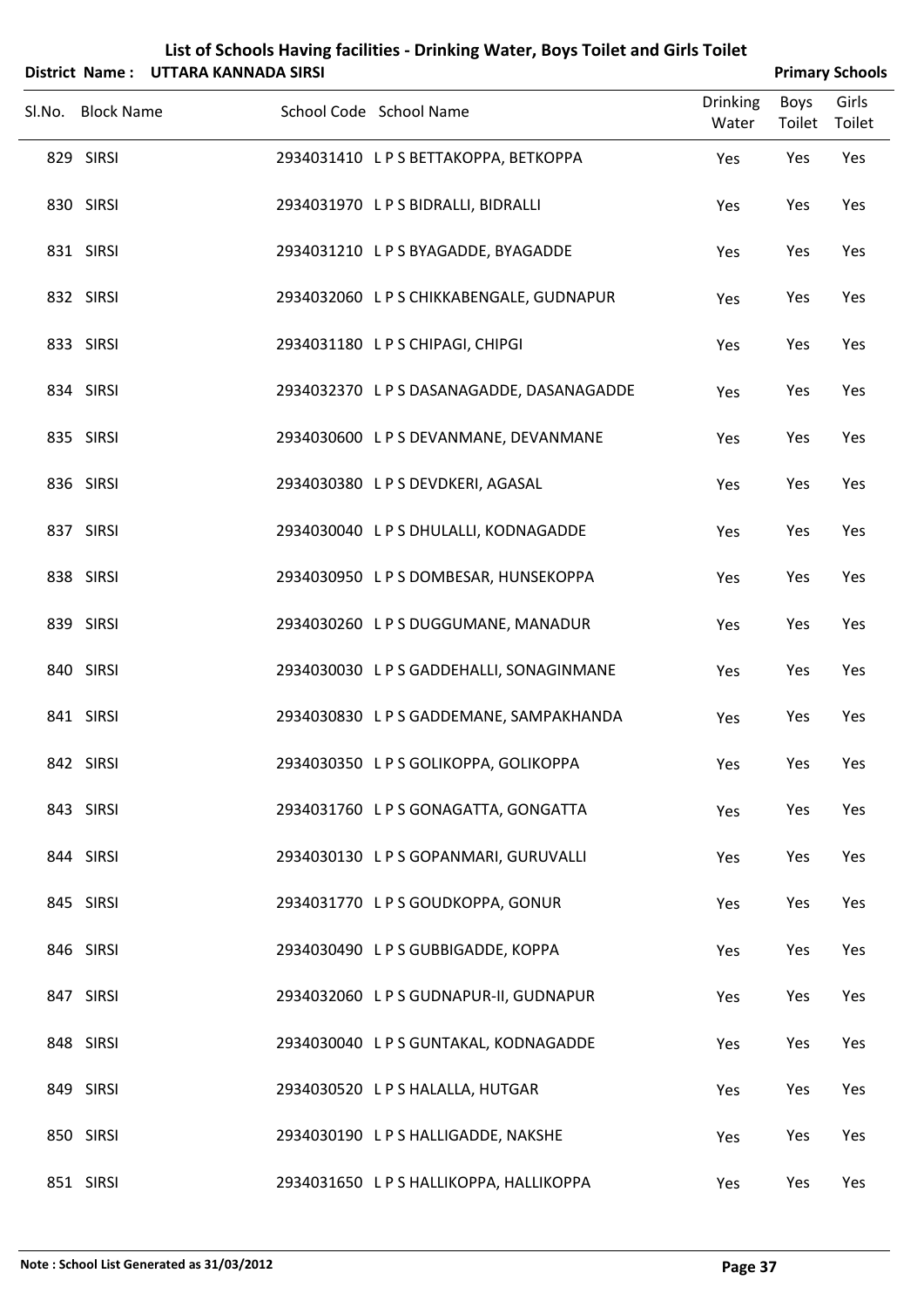|        |                   | District Name: UTTARA KANNADA SIRSI |                                        |                          |                | <b>Primary Schools</b> |  |
|--------|-------------------|-------------------------------------|----------------------------------------|--------------------------|----------------|------------------------|--|
| SI.No. | <b>Block Name</b> |                                     | School Code School Name                | <b>Drinking</b><br>Water | Boys<br>Toilet | Girls<br>Toilet        |  |
|        | 829 SIRSI         |                                     | 2934031410 LPS BETTAKOPPA, BETKOPPA    | Yes                      | Yes            | Yes                    |  |
|        | 830 SIRSI         |                                     | 2934031970 L P S BIDRALLI, BIDRALLI    | Yes                      | Yes            | Yes                    |  |
|        | 831 SIRSI         |                                     | 2934031210 LPS BYAGADDE, BYAGADDE      | Yes                      | Yes            | Yes                    |  |
|        | 832 SIRSI         |                                     | 2934032060 LPS CHIKKABENGALE, GUDNAPUR | Yes                      | Yes            | Yes                    |  |
|        | 833 SIRSI         |                                     | 2934031180 LPS CHIPAGI, CHIPGI         | Yes                      | Yes            | Yes                    |  |
|        | 834 SIRSI         |                                     | 2934032370 LPSDASANAGADDE, DASANAGADDE | Yes                      | Yes            | Yes                    |  |
|        | 835 SIRSI         |                                     | 2934030600 LPS DEVANMANE, DEVANMANE    | Yes                      | Yes            | Yes                    |  |
|        | 836 SIRSI         |                                     | 2934030380 LPS DEVDKERI, AGASAL        | Yes                      | Yes            | Yes                    |  |
|        | 837 SIRSI         |                                     | 2934030040 L P S DHULALLI, KODNAGADDE  | Yes                      | Yes            | Yes                    |  |
|        | 838 SIRSI         |                                     | 2934030950 LPS DOMBESAR, HUNSEKOPPA    | Yes                      | Yes            | Yes                    |  |
|        | 839 SIRSI         |                                     | 2934030260 LPS DUGGUMANE, MANADUR      | Yes                      | Yes            | Yes                    |  |
|        | 840 SIRSI         |                                     | 2934030030 LPS GADDEHALLI, SONAGINMANE | Yes                      | Yes            | Yes                    |  |
|        | 841 SIRSI         |                                     | 2934030830 LPS GADDEMANE, SAMPAKHANDA  | Yes                      | Yes            | Yes                    |  |
|        | 842 SIRSI         |                                     | 2934030350 LPS GOLIKOPPA, GOLIKOPPA    | Yes                      | Yes            | Yes                    |  |
|        | 843 SIRSI         |                                     | 2934031760 L P S GONAGATTA, GONGATTA   | Yes                      | Yes            | Yes                    |  |
|        | 844 SIRSI         |                                     | 2934030130 LPS GOPANMARI, GURUVALLI    | Yes                      | Yes            | Yes                    |  |
|        | 845 SIRSI         |                                     | 2934031770 LPS GOUDKOPPA, GONUR        | Yes                      | Yes            | Yes                    |  |
|        | 846 SIRSI         |                                     | 2934030490 LPS GUBBIGADDE, KOPPA       | Yes                      | Yes            | Yes                    |  |
|        | 847 SIRSI         |                                     | 2934032060 LPS GUDNAPUR-II, GUDNAPUR   | Yes                      | Yes            | Yes                    |  |
|        | 848 SIRSI         |                                     | 2934030040 LPS GUNTAKAL, KODNAGADDE    | Yes                      | Yes            | Yes                    |  |
|        | 849 SIRSI         |                                     | 2934030520 LPS HALALLA, HUTGAR         | Yes                      | Yes            | Yes                    |  |
|        | 850 SIRSI         |                                     | 2934030190 LPS HALLIGADDE, NAKSHE      | Yes                      | Yes            | Yes                    |  |

851 SIRSI 2934031650 LP S HALLIKOPPA, HALLIKOPPA Yes Yes Yes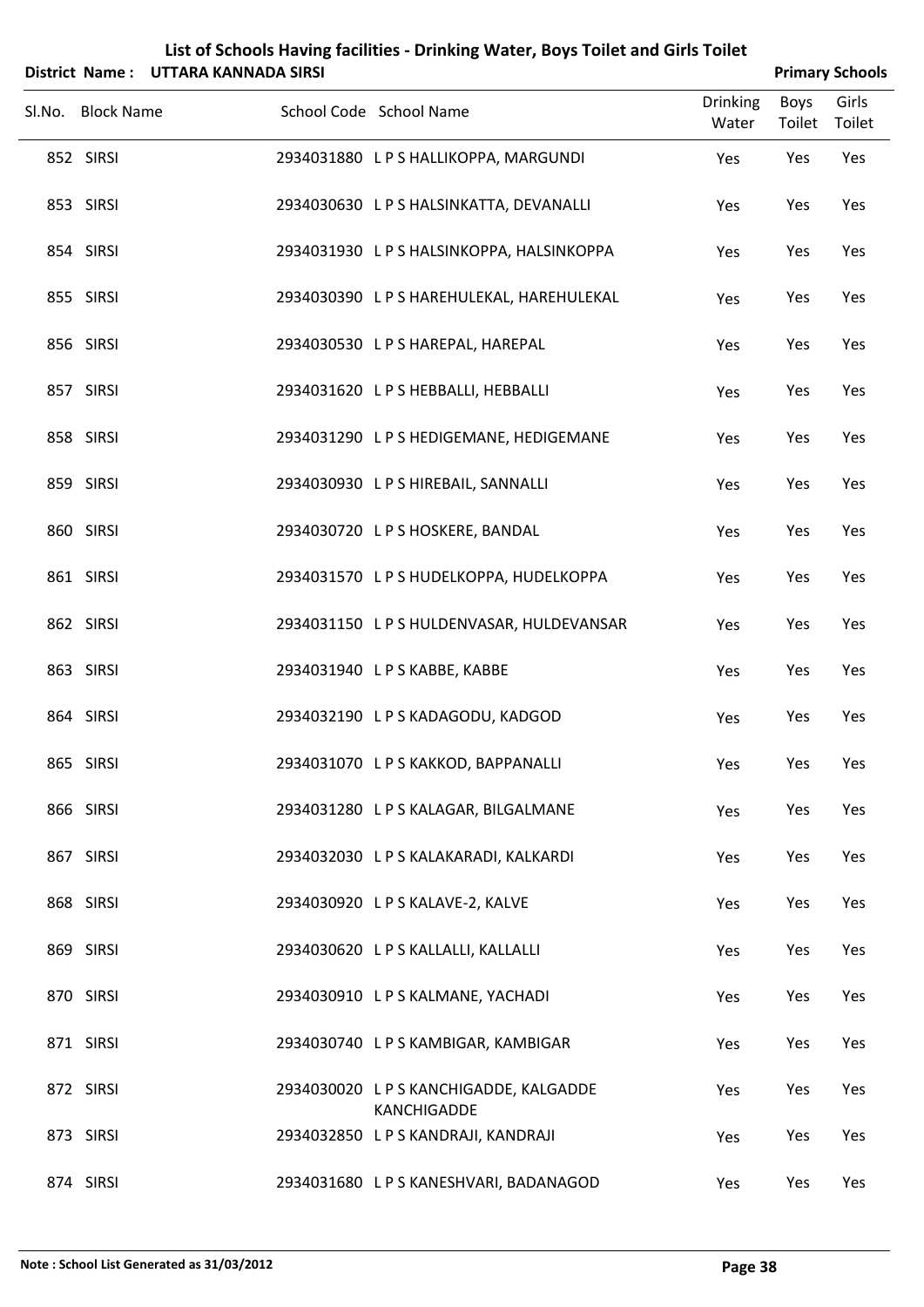|        |                   | District Name: UTTARA KANNADA SIRSI |                                           |                          | <b>Primary Schools</b> |                 |
|--------|-------------------|-------------------------------------|-------------------------------------------|--------------------------|------------------------|-----------------|
| Sl.No. | <b>Block Name</b> |                                     | School Code School Name                   | <b>Drinking</b><br>Water | Boys<br>Toilet         | Girls<br>Toilet |
|        | 852 SIRSI         |                                     | 2934031880 LPS HALLIKOPPA, MARGUNDI       | Yes                      | Yes                    | Yes             |
|        | 853 SIRSI         |                                     | 2934030630 L P S HALSINKATTA, DEVANALLI   | Yes                      | Yes                    | Yes             |
|        | 854 SIRSI         |                                     | 2934031930 LPS HALSINKOPPA, HALSINKOPPA   | Yes                      | Yes                    | Yes             |
|        | 855 SIRSI         |                                     | 2934030390 L P S HAREHULEKAL, HAREHULEKAL | Yes                      | Yes                    | Yes             |
|        | 856 SIRSI         |                                     | 2934030530 LPS HAREPAL, HAREPAL           | Yes                      | Yes                    | Yes             |
|        | 857 SIRSI         |                                     | 2934031620 LPS HEBBALLI, HEBBALLI         | Yes                      | Yes                    | Yes             |
|        | 858 SIRSI         |                                     | 2934031290 LPS HEDIGEMANE, HEDIGEMANE     | Yes                      | Yes                    | Yes             |
|        | 859 SIRSI         |                                     | 2934030930 LPS HIREBAIL, SANNALLI         | Yes                      | Yes                    | Yes             |
|        | 860 SIRSI         |                                     | 2934030720 LPS HOSKERE, BANDAL            | Yes                      | Yes                    | Yes             |
|        | 861 SIRSI         |                                     | 2934031570 LPS HUDELKOPPA, HUDELKOPPA     | Yes                      | Yes                    | Yes             |
|        | 862 SIRSI         |                                     | 2934031150 LPS HULDENVASAR, HULDEVANSAR   | Yes                      | Yes                    | Yes             |
|        | 863 SIRSI         |                                     | 2934031940 LPS KABBE, KABBE               | Yes                      | Yes                    | Yes             |
|        | 864 SIRSI         |                                     | 2934032190 L P S KADAGODU, KADGOD         | Yes                      | Yes                    | Yes             |
|        | 865 SIRSI         |                                     | 2934031070 LPS KAKKOD, BAPPANALLI         | Yes                      | Yes                    | Yes             |
|        | 866 SIRSI         |                                     | 2934031280 L P S KALAGAR, BILGALMANE      | Yes                      | Yes                    | Yes             |
|        | 867 SIRSI         |                                     | 2934032030 LPS KALAKARADI, KALKARDI       | Yes                      | Yes                    | Yes             |
|        | 868 SIRSI         |                                     | 2934030920 L P S KALAVE-2, KALVE          | Yes                      | Yes                    | Yes             |
|        | 869 SIRSI         |                                     | 2934030620 LPS KALLALLI, KALLALLI         | Yes                      | Yes                    | Yes             |
|        | 870 SIRSI         |                                     | 2934030910 LPS KALMANE, YACHADI           | Yes                      | Yes                    | Yes             |
|        | 871 SIRSI         |                                     | 2934030740 LPS KAMBIGAR, KAMBIGAR         | Yes                      | Yes                    | Yes             |
|        |                   |                                     |                                           |                          |                        |                 |

SIRSI 2934030020 L P S KANCHIGADDE, KALGADDE Yes Yes Yes

SIRSI 2934032850 L P S KANDRAJI, KANDRAJI Yes Yes Yes

SIRSI 2934031680 L P S KANESHVARI, BADANAGOD Yes Yes Yes

KANCHIGADDE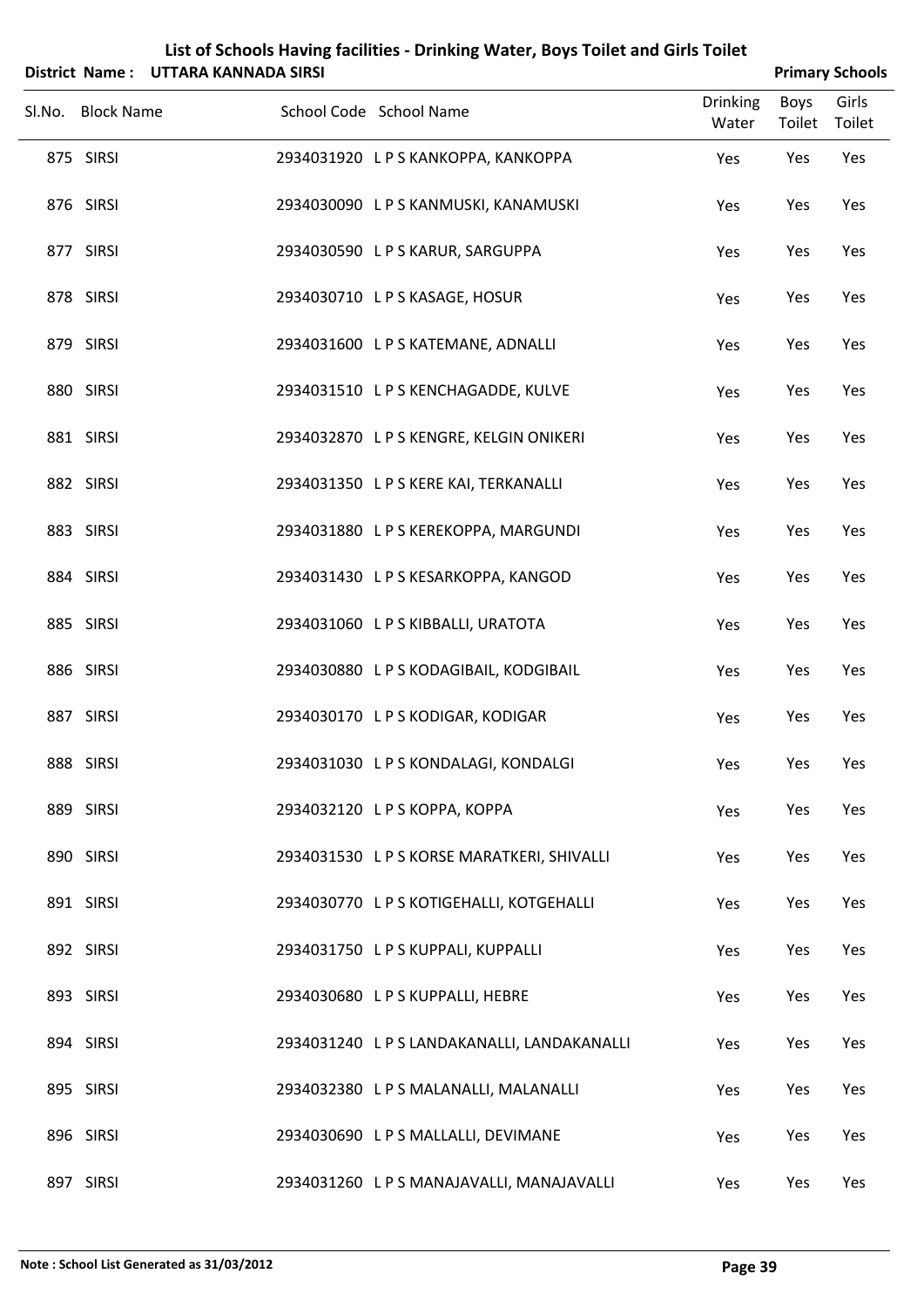| List of Schools Having facilities - Drinking Water, Boys Toilet and Girls Toilet |
|----------------------------------------------------------------------------------|
| 4 Nemes - UTTADA IZANINADA CIDCI                                                 |

|                   | District Name: UTTARA KANNADA SIRSI |                                             |                          |                | <b>Primary Schools</b> |
|-------------------|-------------------------------------|---------------------------------------------|--------------------------|----------------|------------------------|
| Sl.No. Block Name |                                     | School Code School Name                     | <b>Drinking</b><br>Water | Boys<br>Toilet | Girls<br>Toilet        |
| 875 SIRSI         |                                     | 2934031920 LPS KANKOPPA, KANKOPPA           | Yes                      | Yes            | Yes                    |
| 876 SIRSI         |                                     | 2934030090 LPS KANMUSKI, KANAMUSKI          | Yes                      | Yes            | Yes                    |
| 877 SIRSI         |                                     | 2934030590 LPS KARUR, SARGUPPA              | Yes                      | Yes            | Yes                    |
| 878 SIRSI         |                                     | 2934030710 LPS KASAGE, HOSUR                | Yes                      | Yes            | Yes                    |
| 879 SIRSI         |                                     | 2934031600 LPS KATEMANE, ADNALLI            | Yes                      | Yes            | Yes                    |
| 880 SIRSI         |                                     | 2934031510 LPS KENCHAGADDE, KULVE           | Yes                      | Yes            | Yes                    |
| 881 SIRSI         |                                     | 2934032870 LPS KENGRE, KELGIN ONIKERI       | Yes                      | Yes            | Yes                    |
| 882 SIRSI         |                                     | 2934031350 L P S KERE KAI, TERKANALLI       | Yes                      | Yes            | Yes                    |
| 883 SIRSI         |                                     | 2934031880 LPS KEREKOPPA, MARGUNDI          | Yes                      | Yes            | Yes                    |
| 884 SIRSI         |                                     | 2934031430 LPS KESARKOPPA, KANGOD           | Yes                      | Yes            | Yes                    |
| 885 SIRSI         |                                     | 2934031060 LPS KIBBALLI, URATOTA            | Yes                      | Yes            | Yes                    |
| 886 SIRSI         |                                     | 2934030880 LPS KODAGIBAIL, KODGIBAIL        | Yes                      | Yes            | Yes                    |
| 887 SIRSI         |                                     | 2934030170 L P S KODIGAR, KODIGAR           | Yes                      | Yes            | Yes                    |
| 888 SIRSI         |                                     | 2934031030 LPS KONDALAGI, KONDALGI          | Yes                      | Yes            | Yes                    |
| 889 SIRSI         |                                     | 2934032120 LPS KOPPA, KOPPA                 | Yes                      | Yes            | Yes                    |
| 890 SIRSI         |                                     | 2934031530 LPS KORSE MARATKERI, SHIVALLI    | Yes                      | Yes            | Yes                    |
| 891 SIRSI         |                                     | 2934030770 LPS KOTIGEHALLI, KOTGEHALLI      | Yes                      | Yes            | Yes                    |
| 892 SIRSI         |                                     | 2934031750 LPS KUPPALI, KUPPALLI            | Yes                      | Yes            | Yes                    |
| 893 SIRSI         |                                     | 2934030680 LPS KUPPALLI, HEBRE              | Yes                      | Yes            | Yes                    |
| 894 SIRSI         |                                     | 2934031240 L P S LANDAKANALLI, LANDAKANALLI | Yes                      | Yes            | Yes                    |
| 895 SIRSI         |                                     | 2934032380 LPS MALANALLI, MALANALLI         | Yes                      | Yes            | Yes                    |
| 896 SIRSI         |                                     | 2934030690 L P S MALLALLI, DEVIMANE         | Yes                      | Yes            | Yes                    |
| 897 SIRSI         |                                     | 2934031260 LPS MANAJAVALLI, MANAJAVALLI     | Yes                      | Yes            | Yes                    |

÷,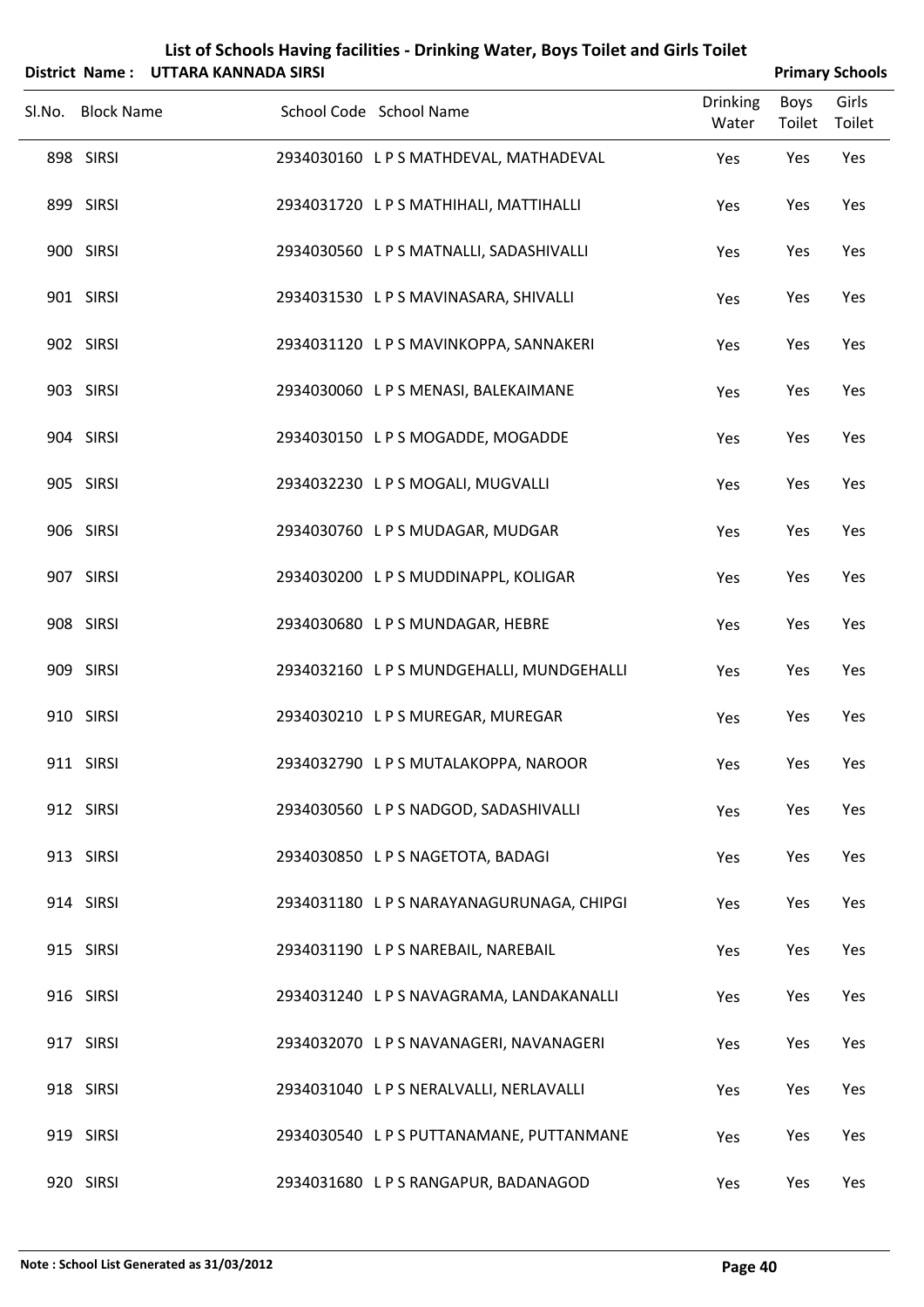|                   | District Name: UTTARA KANNADA SIRSI |                                         |                          |                | <b>Primary Schools</b> |
|-------------------|-------------------------------------|-----------------------------------------|--------------------------|----------------|------------------------|
| Sl.No. Block Name |                                     | School Code School Name                 | <b>Drinking</b><br>Water | Boys<br>Toilet | Girls<br>Toilet        |
| 898 SIRSI         |                                     | 2934030160 LPS MATHDEVAL, MATHADEVAL    | Yes                      | Yes            | Yes                    |
| 899 SIRSI         |                                     | 2934031720 LPS MATHIHALI, MATTIHALLI    | Yes                      | Yes            | Yes                    |
| 900 SIRSI         |                                     | 2934030560 LPS MATNALLI, SADASHIVALLI   | Yes                      | Yes            | Yes                    |
| 901 SIRSI         |                                     | 2934031530 LPS MAVINASARA, SHIVALLI     | Yes                      | Yes            | Yes                    |
| 902 SIRSI         |                                     | 2934031120 LPS MAVINKOPPA, SANNAKERI    | Yes                      | Yes            | Yes                    |
| 903 SIRSI         |                                     | 2934030060 LPS MENASI, BALEKAIMANE      | Yes                      | Yes            | Yes                    |
| 904 SIRSI         |                                     | 2934030150 LPS MOGADDE, MOGADDE         | Yes                      | Yes            | Yes                    |
| 905 SIRSI         |                                     | 2934032230 LPS MOGALI, MUGVALLI         | Yes                      | Yes            | Yes                    |
| 906 SIRSI         |                                     | 2934030760 LPS MUDAGAR, MUDGAR          | Yes                      | Yes            | Yes                    |
| 907 SIRSI         |                                     | 2934030200 LPS MUDDINAPPL, KOLIGAR      | Yes                      | Yes            | Yes                    |
| 908 SIRSI         |                                     | 2934030680 LPS MUNDAGAR, HEBRE          | Yes                      | Yes            | Yes                    |
| 909 SIRSI         |                                     | 2934032160 LPS MUNDGEHALLI, MUNDGEHALLI | Yes                      | Yes            | Yes                    |
| 910 SIRSI         |                                     | 2934030210 LPS MUREGAR, MUREGAR         | Yes                      | Yes            | Yes                    |
| 911 SIRSI         |                                     | 2934032790 LPS MUTALAKOPPA, NAROOR      | Yes                      | Yes            | Yes                    |
| 912 SIRSI         |                                     | 2934030560 LPS NADGOD, SADASHIVALLI     | Yes                      | Yes            | Yes                    |
| 913 SIRSI         |                                     | 2934030850 LPS NAGETOTA, BADAGI         | Yes                      | Yes            | Yes                    |
| 914 SIRSI         |                                     | 2934031180 LPS NARAYANAGURUNAGA, CHIPGI | Yes                      | Yes            | Yes                    |
| 915 SIRSI         |                                     | 2934031190 LPS NAREBAIL, NAREBAIL       | Yes                      | Yes            | Yes                    |
| 916 SIRSI         |                                     | 2934031240 LPS NAVAGRAMA, LANDAKANALLI  | Yes                      | Yes            | Yes                    |
| 917 SIRSI         |                                     | 2934032070 LPS NAVANAGERI, NAVANAGERI   | Yes                      | Yes            | Yes                    |
| 918 SIRSI         |                                     | 2934031040 LPS NERALVALLI, NERLAVALLI   | Yes                      | Yes            | Yes                    |

**Note : School List Generated as 31/03/2012 Page 40**

919 SIRSI 2934030540 LP S PUTTANAMANE, PUTTANMANE Yes Yes Yes

920 SIRSI 2934031680 LP S RANGAPUR, BADANAGOD Yes Yes Yes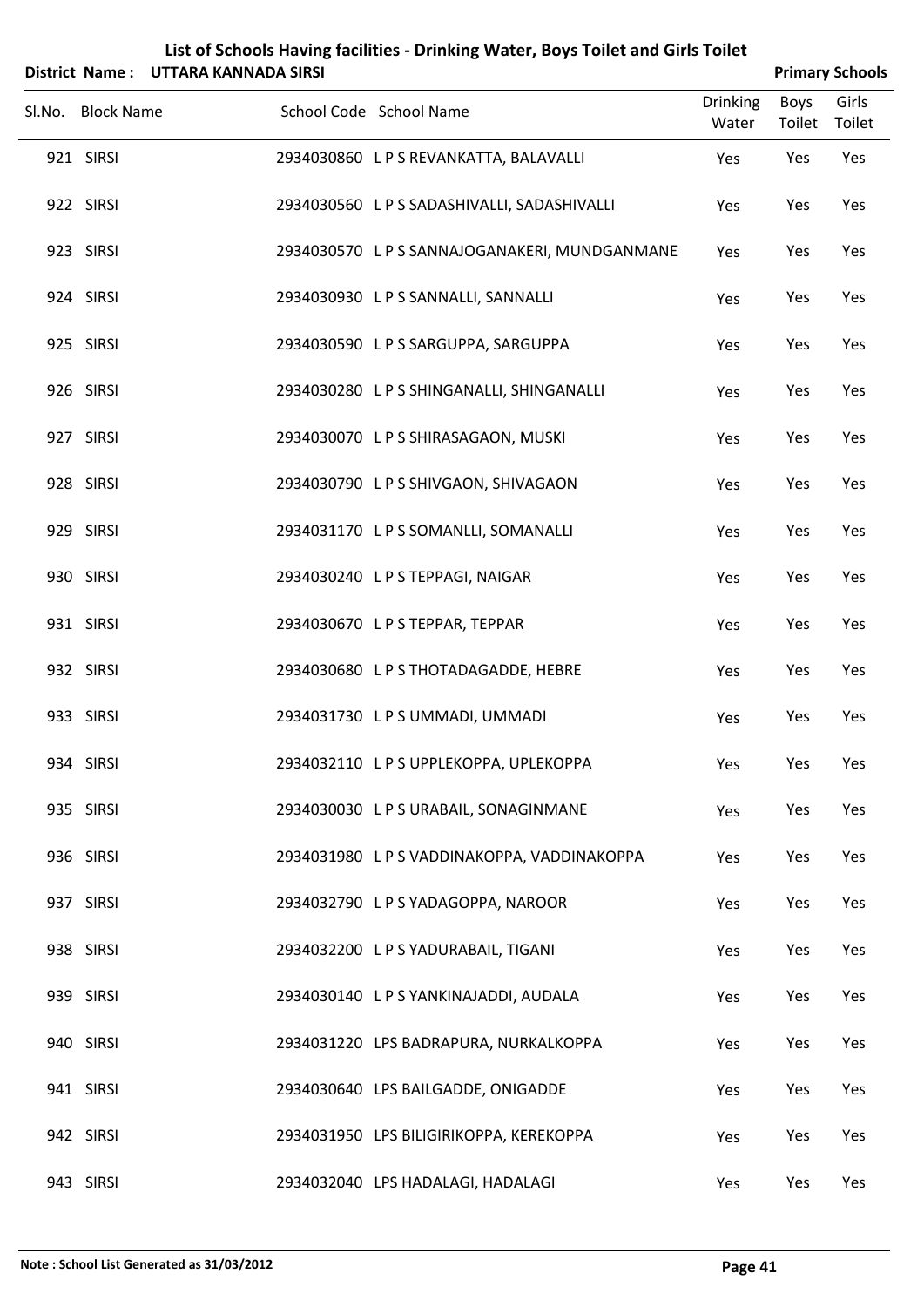| List of Schools Having facilities - Drinking Water, Boys Toilet and Girls Toilet |
|----------------------------------------------------------------------------------|
| District Name : UTTARA KANNADA SIRSI                                             |

| <b>Primary Schools</b> |
|------------------------|
|                        |

| DISTRICT INQUITE . OT LANA NAININADA SINSI |                                               |                          |                | <b>PHILIPS</b> SUIDUIS |
|--------------------------------------------|-----------------------------------------------|--------------------------|----------------|------------------------|
| Sl.No. Block Name                          | School Code School Name                       | <b>Drinking</b><br>Water | Boys<br>Toilet | Girls<br>Toilet        |
| 921 SIRSI                                  | 2934030860 L P S REVANKATTA, BALAVALLI        | Yes                      | Yes            | Yes                    |
| 922 SIRSI                                  | 2934030560 L P S SADASHIVALLI, SADASHIVALLI   | Yes                      | Yes            | Yes                    |
| 923 SIRSI                                  | 2934030570 L P S SANNAJOGANAKERI, MUNDGANMANE | Yes                      | Yes            | Yes                    |
| 924 SIRSI                                  | 2934030930 LPS SANNALLI, SANNALLI             | Yes                      | Yes            | Yes                    |
| 925 SIRSI                                  | 2934030590 LPS SARGUPPA, SARGUPPA             | Yes                      | Yes            | Yes                    |
| 926 SIRSI                                  | 2934030280 LPS SHINGANALLI, SHINGANALLI       | Yes                      | Yes            | Yes                    |
| 927 SIRSI                                  | 2934030070 LPS SHIRASAGAON, MUSKI             | Yes                      | Yes            | Yes                    |
| 928 SIRSI                                  | 2934030790 LPS SHIVGAON, SHIVAGAON            | Yes                      | Yes            | Yes                    |
| 929 SIRSI                                  | 2934031170 L P S SOMANLLI, SOMANALLI          | Yes                      | Yes            | Yes                    |
| 930 SIRSI                                  | 2934030240 LPS TEPPAGI, NAIGAR                | Yes                      | Yes            | Yes                    |
| 931 SIRSI                                  | 2934030670 LPS TEPPAR, TEPPAR                 | Yes                      | Yes            | Yes                    |
| 932 SIRSI                                  | 2934030680 LPSTHOTADAGADDE, HEBRE             | Yes                      | Yes            | Yes                    |
| 933 SIRSI                                  | 2934031730 LPS UMMADI, UMMADI                 | Yes                      | Yes            | Yes                    |
| 934 SIRSI                                  | 2934032110 LPS UPPLEKOPPA, UPLEKOPPA          | Yes                      | Yes            | Yes                    |
| 935 SIRSI                                  | 2934030030 LPS URABAIL, SONAGINMANE           | Yes                      | Yes            | Yes                    |
| 936 SIRSI                                  | 2934031980 LPS VADDINAKOPPA, VADDINAKOPPA     | Yes                      | Yes            | Yes                    |
| 937 SIRSI                                  | 2934032790 LPS YADAGOPPA, NAROOR              | Yes                      | Yes            | Yes                    |
| 938 SIRSI                                  | 2934032200 LPS YADURABAIL, TIGANI             | Yes                      | Yes            | Yes                    |
| 939 SIRSI                                  | 2934030140 LPS YANKINAJADDI, AUDALA           | Yes                      | Yes            | Yes                    |
| 940 SIRSI                                  | 2934031220 LPS BADRAPURA, NURKALKOPPA         | Yes                      | Yes            | Yes                    |
| 941 SIRSI                                  | 2934030640 LPS BAILGADDE, ONIGADDE            | Yes                      | Yes            | Yes                    |
| 942 SIRSI                                  | 2934031950 LPS BILIGIRIKOPPA, KEREKOPPA       | Yes                      | Yes            | Yes                    |
| 943 SIRSI                                  | 2934032040 LPS HADALAGI, HADALAGI             | Yes                      | Yes            | Yes                    |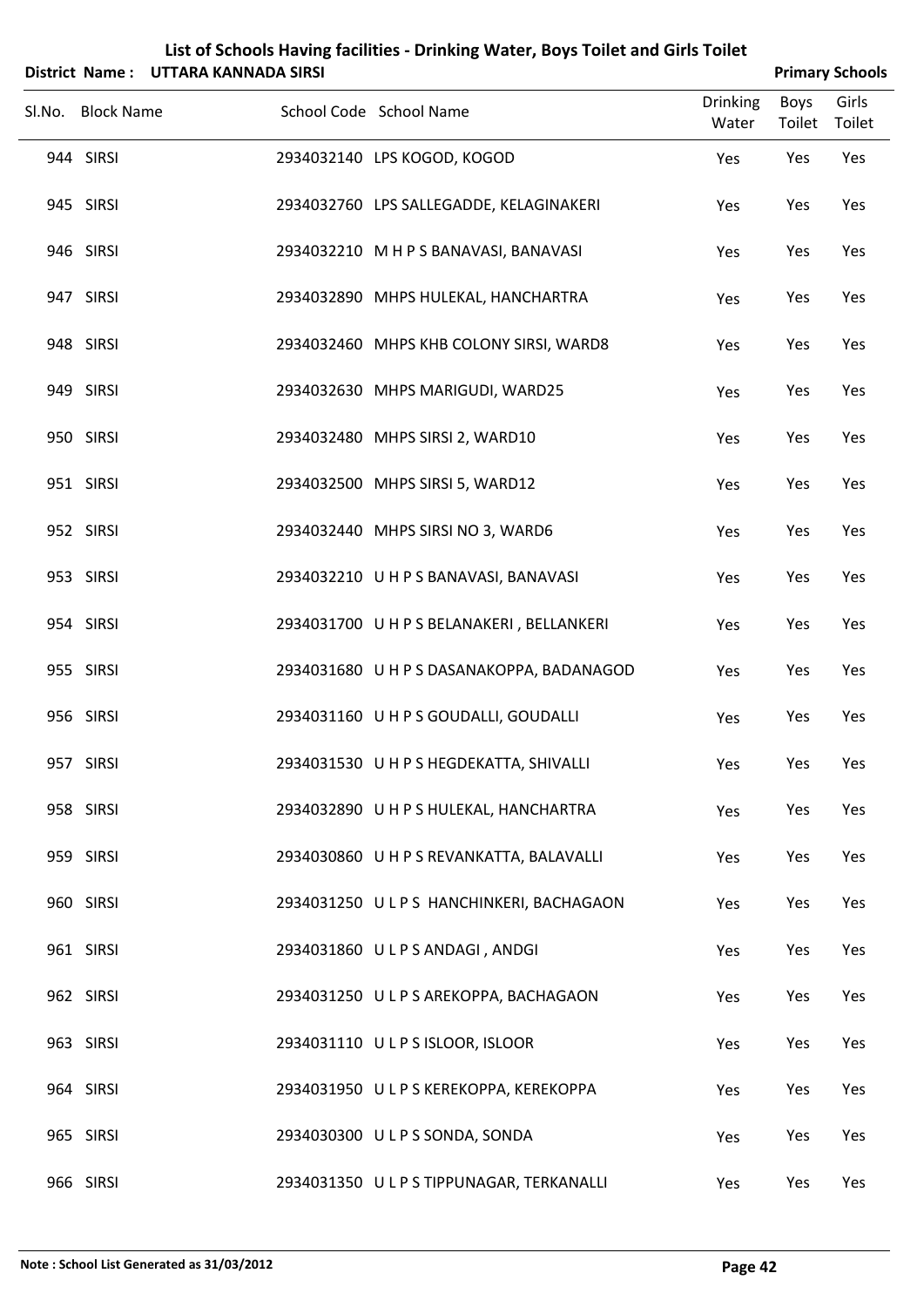|                   | District Name: UTTARA KANNADA SIRSI |                                           |                          |                | <b>Primary Schools</b> |
|-------------------|-------------------------------------|-------------------------------------------|--------------------------|----------------|------------------------|
| Sl.No. Block Name |                                     | School Code School Name                   | <b>Drinking</b><br>Water | Boys<br>Toilet | Girls<br>Toilet        |
| 944 SIRSI         |                                     | 2934032140 LPS KOGOD, KOGOD               | Yes                      | Yes            | Yes                    |
| 945 SIRSI         |                                     | 2934032760 LPS SALLEGADDE, KELAGINAKERI   | Yes                      | Yes            | Yes                    |
| 946 SIRSI         |                                     | 2934032210 M H P S BANAVASI, BANAVASI     | Yes                      | Yes            | Yes                    |
| 947 SIRSI         |                                     | 2934032890 MHPS HULEKAL, HANCHARTRA       | Yes                      | Yes            | Yes                    |
| 948 SIRSI         |                                     | 2934032460 MHPS KHB COLONY SIRSI, WARD8   | Yes                      | Yes            | Yes                    |
| 949 SIRSI         |                                     | 2934032630 MHPS MARIGUDI, WARD25          | Yes                      | Yes            | Yes                    |
| 950 SIRSI         |                                     | 2934032480 MHPS SIRSI 2, WARD10           | Yes                      | Yes            | Yes                    |
| 951 SIRSI         |                                     | 2934032500 MHPS SIRSI 5, WARD12           | Yes                      | Yes            | Yes                    |
| 952 SIRSI         |                                     | 2934032440 MHPS SIRSI NO 3, WARD6         | Yes                      | Yes            | Yes                    |
| 953 SIRSI         |                                     | 2934032210 UHPS BANAVASI, BANAVASI        | Yes                      | Yes            | Yes                    |
| 954 SIRSI         |                                     | 2934031700 UHPS BELANAKERI, BELLANKERI    | Yes                      | Yes            | Yes                    |
| 955 SIRSI         |                                     | 2934031680 U H P S DASANAKOPPA, BADANAGOD | Yes                      | Yes            | Yes                    |
| 956 SIRSI         |                                     | 2934031160 U H P S GOUDALLI, GOUDALLI     | Yes                      | Yes            | Yes                    |
| 957 SIRSI         |                                     | 2934031530 U H P S HEGDEKATTA, SHIVALLI   | Yes                      | Yes            | Yes                    |
| 958 SIRSI         |                                     | 2934032890 UHPS HULEKAL, HANCHARTRA       | Yes                      | Yes            | Yes                    |
| 959 SIRSI         |                                     | 2934030860 U H P S REVANKATTA, BALAVALLI  | Yes                      | Yes            | Yes                    |
| 960 SIRSI         |                                     | 2934031250 ULPS HANCHINKERI, BACHAGAON    | Yes                      | Yes            | Yes                    |
| 961 SIRSI         |                                     | 2934031860 ULPS ANDAGI, ANDGI             | Yes                      | Yes            | Yes                    |
| 962 SIRSI         |                                     | 2934031250 ULPS AREKOPPA, BACHAGAON       | Yes                      | Yes            | Yes                    |
| 963 SIRSI         |                                     | 2934031110 ULPS ISLOOR, ISLOOR            | Yes                      | Yes            | Yes                    |
| 964 SIRSI         |                                     | 2934031950 ULPS KEREKOPPA, KEREKOPPA      | Yes                      | Yes            | Yes                    |
| 965 SIRSI         |                                     | 2934030300 ULPS SONDA, SONDA              | Yes                      | Yes            | Yes                    |
| 966 SIRSI         |                                     | 2934031350 ULPS TIPPUNAGAR, TERKANALLI    | Yes                      | Yes            | Yes                    |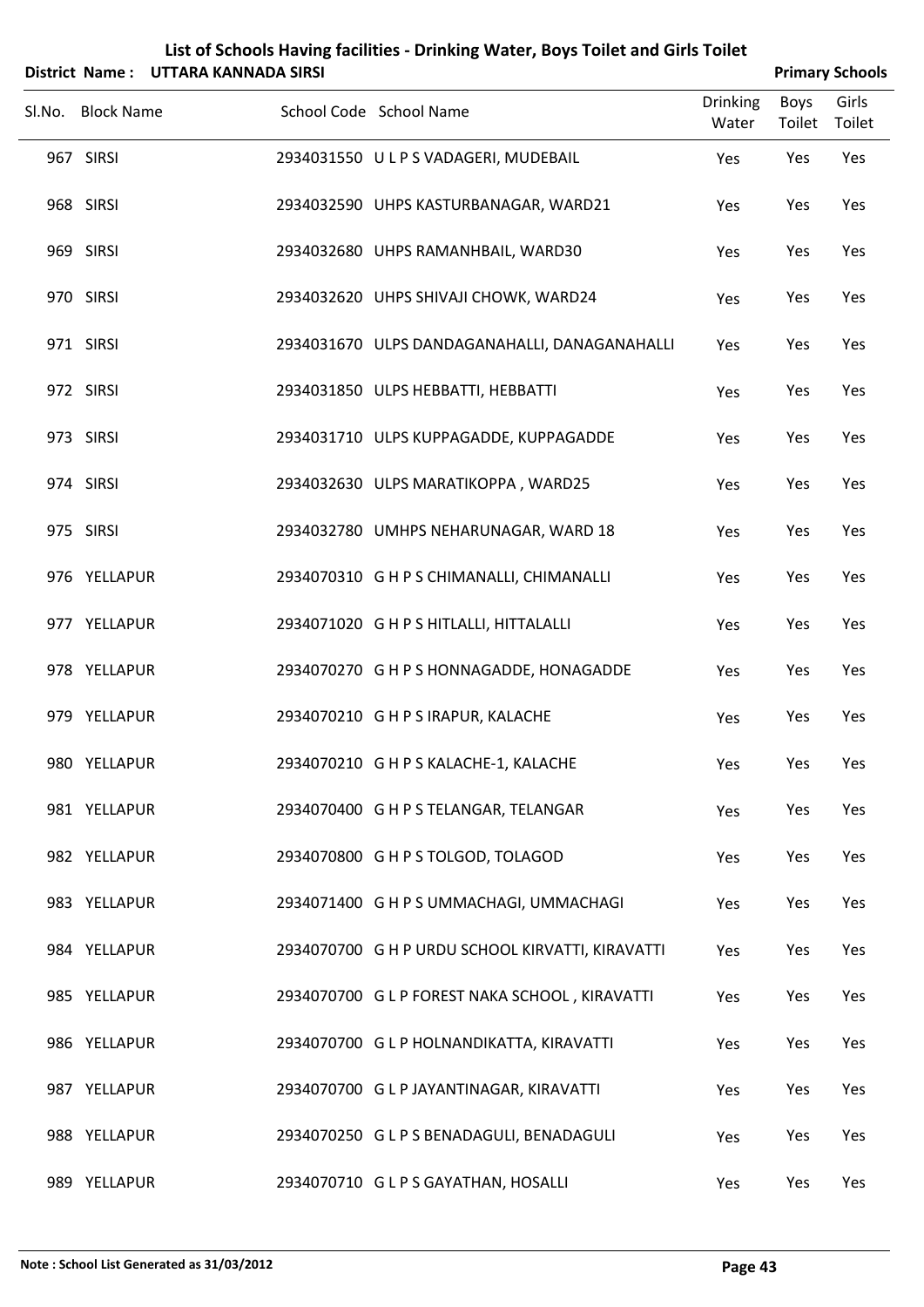|                   | District Name: UTTARA KANNADA SIRSI |                                                  |                          |                       | <b>Primary Schools</b> |
|-------------------|-------------------------------------|--------------------------------------------------|--------------------------|-----------------------|------------------------|
| Sl.No. Block Name |                                     | School Code School Name                          | <b>Drinking</b><br>Water | <b>Boys</b><br>Toilet | Girls<br>Toilet        |
| 967 SIRSI         |                                     | 2934031550 ULPS VADAGERI, MUDEBAIL               | Yes                      | Yes                   | Yes                    |
| 968 SIRSI         |                                     | 2934032590 UHPS KASTURBANAGAR, WARD21            | Yes                      | Yes                   | Yes                    |
| 969 SIRSI         |                                     | 2934032680 UHPS RAMANHBAIL, WARD30               | Yes                      | Yes                   | Yes                    |
| 970 SIRSI         |                                     | 2934032620 UHPS SHIVAJI CHOWK, WARD24            | Yes                      | Yes                   | Yes                    |
| 971 SIRSI         |                                     | 2934031670 ULPS DANDAGANAHALLI, DANAGANAHALLI    | Yes                      | Yes                   | Yes                    |
| 972 SIRSI         |                                     | 2934031850 ULPS HEBBATTI, HEBBATTI               | Yes                      | Yes                   | Yes                    |
| 973 SIRSI         |                                     | 2934031710 ULPS KUPPAGADDE, KUPPAGADDE           | Yes                      | Yes                   | Yes                    |
| 974 SIRSI         |                                     | 2934032630 ULPS MARATIKOPPA, WARD25              | Yes                      | Yes                   | Yes                    |
| 975 SIRSI         |                                     | 2934032780 UMHPS NEHARUNAGAR, WARD 18            | Yes                      | Yes                   | Yes                    |
| 976 YELLAPUR      |                                     | 2934070310 G H P S CHIMANALLI, CHIMANALLI        | Yes                      | Yes                   | Yes                    |
| 977 YELLAPUR      |                                     | 2934071020 G H P S HITLALLI, HITTALALLI          | Yes                      | Yes                   | Yes                    |
| 978 YELLAPUR      |                                     | 2934070270 G H P S HONNAGADDE, HONAGADDE         | Yes                      | Yes                   | Yes                    |
| 979 YELLAPUR      |                                     | 2934070210 G H P S IRAPUR, KALACHE               | Yes                      | Yes                   | Yes                    |
| 980 YELLAPUR      |                                     | 2934070210 G H P S KALACHE-1, KALACHE            | Yes                      | Yes                   | Yes                    |
| 981 YELLAPUR      |                                     | 2934070400 G H P S TELANGAR, TELANGAR            | Yes                      | Yes                   | Yes                    |
| 982 YELLAPUR      |                                     | 2934070800 G H P S TOLGOD, TOLAGOD               | Yes                      | Yes                   | Yes                    |
| 983 YELLAPUR      |                                     | 2934071400 G H P S UMMACHAGI, UMMACHAGI          | Yes                      | Yes                   | Yes                    |
| 984 YELLAPUR      |                                     | 2934070700 G H P URDU SCHOOL KIRVATTI, KIRAVATTI | Yes                      | Yes                   | Yes                    |
| 985 YELLAPUR      |                                     | 2934070700 G L P FOREST NAKA SCHOOL, KIRAVATTI   | Yes                      | Yes                   | Yes                    |
| 986 YELLAPUR      |                                     | 2934070700 G L P HOLNANDIKATTA, KIRAVATTI        | Yes                      | Yes                   | Yes                    |
| 987 YELLAPUR      |                                     | 2934070700 G L P JAYANTINAGAR, KIRAVATTI         | Yes                      | Yes                   | Yes                    |
| 988 YELLAPUR      |                                     | 2934070250 GLPS BENADAGULI, BENADAGULI           | Yes                      | Yes                   | Yes                    |
| 989 YELLAPUR      |                                     | 2934070710 G L P S GAYATHAN, HOSALLI             | Yes                      | Yes                   | Yes                    |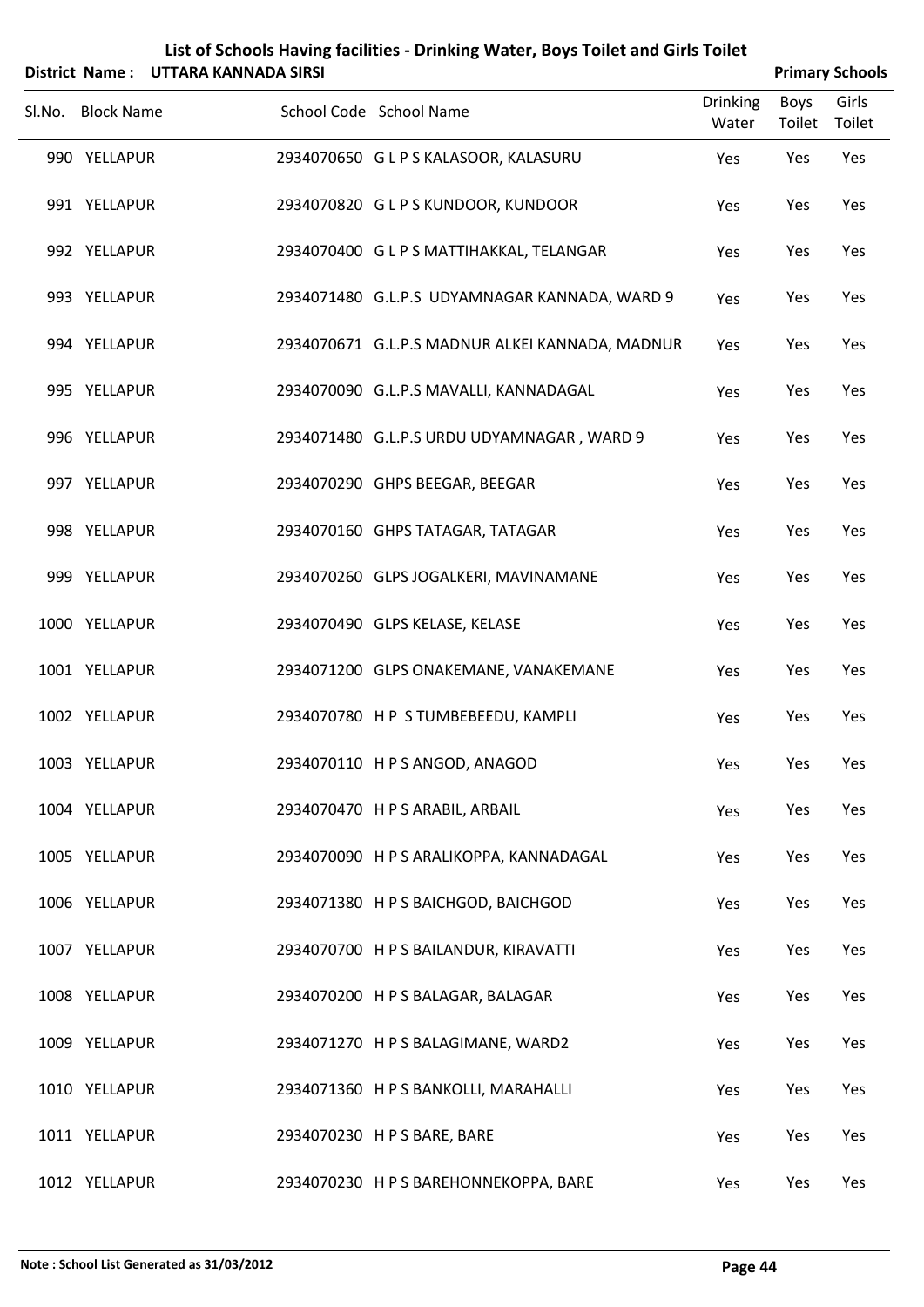|        |                   | District Name: UTTARA KANNADA SIRSI |                         |                                                 |                          | <b>Primary Schools</b> |                 |
|--------|-------------------|-------------------------------------|-------------------------|-------------------------------------------------|--------------------------|------------------------|-----------------|
| Sl.No. | <b>Block Name</b> |                                     | School Code School Name |                                                 | <b>Drinking</b><br>Water | Boys<br>Toilet         | Girls<br>Toilet |
|        | 990 YELLAPUR      |                                     |                         | 2934070650 G L P S KALASOOR, KALASURU           | Yes                      | Yes                    | Yes             |
|        | 991 YELLAPUR      |                                     |                         | 2934070820 GLPS KUNDOOR, KUNDOOR                | Yes                      | Yes                    | Yes             |
|        | 992 YELLAPUR      |                                     |                         | 2934070400 G L P S MATTIHAKKAL, TELANGAR        | Yes                      | Yes                    | Yes             |
|        | 993 YELLAPUR      |                                     |                         | 2934071480 G.L.P.S UDYAMNAGAR KANNADA, WARD 9   | Yes                      | Yes                    | Yes             |
|        | 994 YELLAPUR      |                                     |                         | 2934070671 G.L.P.S MADNUR ALKEI KANNADA, MADNUR | Yes                      | Yes                    | Yes             |
|        | 995 YELLAPUR      |                                     |                         | 2934070090 G.L.P.S MAVALLI, KANNADAGAL          | Yes                      | Yes                    | Yes             |
|        | 996 YELLAPUR      |                                     |                         | 2934071480 G.L.P.S URDU UDYAMNAGAR, WARD 9      | Yes                      | Yes                    | Yes             |
|        | 997 YELLAPUR      |                                     |                         | 2934070290 GHPS BEEGAR, BEEGAR                  | Yes                      | Yes                    | Yes             |
|        | 998 YELLAPUR      |                                     |                         | 2934070160 GHPS TATAGAR, TATAGAR                | Yes                      | Yes                    | Yes             |
|        | 999 YELLAPUR      |                                     |                         | 2934070260 GLPS JOGALKERI, MAVINAMANE           | Yes                      | Yes                    | Yes             |
|        | 1000 YELLAPUR     |                                     |                         | 2934070490 GLPS KELASE, KELASE                  | Yes                      | Yes                    | Yes             |
|        | 1001 YELLAPUR     |                                     |                         | 2934071200 GLPS ONAKEMANE, VANAKEMANE           | Yes                      | Yes                    | Yes             |
|        | 1002 YELLAPUR     |                                     |                         | 2934070780 HP STUMBEBEEDU, KAMPLI               | Yes                      | Yes                    | Yes             |
|        | 1003 YELLAPUR     |                                     |                         | 2934070110 HPS ANGOD, ANAGOD                    | Yes                      | Yes                    | Yes             |
|        | 1004 YELLAPUR     |                                     |                         | 2934070470 H P S ARABIL, ARBAIL                 | Yes                      | Yes                    | Yes             |
|        | 1005 YELLAPUR     |                                     |                         | 2934070090 H P S ARALIKOPPA, KANNADAGAL         | Yes                      | Yes                    | Yes             |
|        | 1006 YELLAPUR     |                                     |                         | 2934071380 H P S BAICHGOD, BAICHGOD             | Yes                      | Yes                    | Yes             |
|        | 1007 YELLAPUR     |                                     |                         | 2934070700 H P S BAILANDUR, KIRAVATTI           | Yes                      | Yes                    | Yes             |
|        | 1008 YELLAPUR     |                                     |                         | 2934070200 H P S BALAGAR, BALAGAR               | Yes                      | Yes                    | Yes             |
|        | 1009 YELLAPUR     |                                     |                         | 2934071270 H P S BALAGIMANE, WARD2              | Yes                      | Yes                    | Yes             |
|        | 1010 YELLAPUR     |                                     |                         | 2934071360 H P S BANKOLLI, MARAHALLI            | Yes                      | Yes                    | Yes             |
|        | 1011 YELLAPUR     |                                     |                         | 2934070230 H P S BARE, BARE                     | Yes                      | Yes                    | Yes             |

1012 YELLAPUR 2934070230 HPS BAREHONNEKOPPA, BARE Yes Yes Yes Yes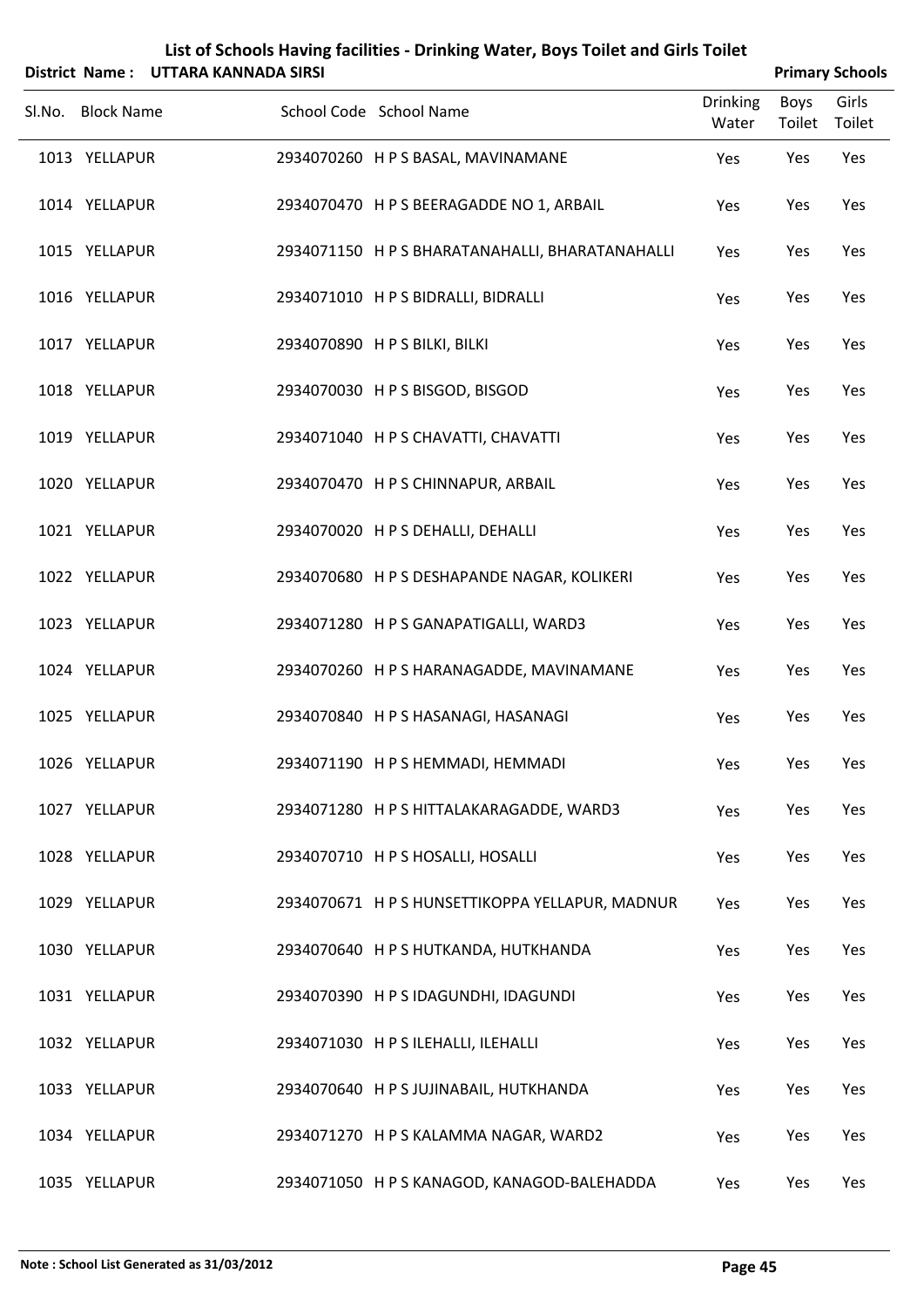|        |                   | District Name: UTTARA KANNADA SIRSI |                                                 |                          |                       | <b>Primary Schools</b> |
|--------|-------------------|-------------------------------------|-------------------------------------------------|--------------------------|-----------------------|------------------------|
| Sl.No. | <b>Block Name</b> |                                     | School Code School Name                         | <b>Drinking</b><br>Water | <b>Boys</b><br>Toilet | Girls<br>Toilet        |
|        | 1013 YELLAPUR     |                                     | 2934070260 H P S BASAL, MAVINAMANE              | Yes                      | Yes                   | Yes                    |
|        | 1014 YELLAPUR     |                                     | 2934070470 H P S BEERAGADDE NO 1, ARBAIL        | Yes                      | Yes                   | Yes                    |
|        | 1015 YELLAPUR     |                                     | 2934071150 H P S BHARATANAHALLI, BHARATANAHALLI | Yes                      | Yes                   | Yes                    |
|        | 1016 YELLAPUR     |                                     | 2934071010 H P S BIDRALLI, BIDRALLI             | Yes                      | Yes                   | Yes                    |
|        | 1017 YELLAPUR     |                                     | 2934070890 H P S BILKI, BILKI                   | Yes                      | Yes                   | Yes                    |
|        | 1018 YELLAPUR     |                                     | 2934070030 HPS BISGOD, BISGOD                   | Yes                      | Yes                   | Yes                    |
|        | 1019 YELLAPUR     |                                     | 2934071040 H P S CHAVATTI, CHAVATTI             | Yes                      | Yes                   | Yes                    |
|        | 1020 YELLAPUR     |                                     | 2934070470 H P S CHINNAPUR, ARBAIL              | Yes                      | Yes                   | Yes                    |
|        | 1021 YELLAPUR     |                                     | 2934070020 H P S DEHALLI, DEHALLI               | Yes                      | Yes                   | Yes                    |
|        | 1022 YELLAPUR     |                                     | 2934070680 H P S DESHAPANDE NAGAR, KOLIKERI     | Yes                      | Yes                   | Yes                    |
|        | 1023 YELLAPUR     |                                     | 2934071280 H P S GANAPATIGALLI, WARD3           | Yes                      | Yes                   | Yes                    |
|        | 1024 YELLAPUR     |                                     | 2934070260 H P S HARANAGADDE, MAVINAMANE        | Yes                      | Yes                   | Yes                    |
|        | 1025 YELLAPUR     |                                     | 2934070840 H P S HASANAGI, HASANAGI             | Yes                      | Yes                   | Yes                    |
|        | 1026 YELLAPUR     |                                     | 2934071190 H P S HEMMADI, HEMMADI               | Yes                      | Yes                   | Yes                    |
|        | 1027 YELLAPUR     |                                     | 2934071280 H P S HITTALAKARAGADDE, WARD3        | Yes                      | Yes                   | Yes                    |
|        | 1028 YELLAPUR     |                                     | 2934070710 H P S HOSALLI, HOSALLI               | Yes                      | Yes                   | Yes                    |
|        | 1029 YELLAPUR     |                                     | 2934070671 H P S HUNSETTIKOPPA YELLAPUR, MADNUR | Yes                      | Yes                   | Yes                    |
|        | 1030 YELLAPUR     |                                     | 2934070640 H P S HUTKANDA, HUTKHANDA            | Yes                      | Yes                   | Yes                    |
|        | 1031 YELLAPUR     |                                     | 2934070390 HPS IDAGUNDHI, IDAGUNDI              | Yes                      | Yes                   | Yes                    |
|        | 1032 YELLAPUR     |                                     | 2934071030 H P S ILEHALLI, ILEHALLI             | Yes                      | Yes                   | Yes                    |
|        | 1033 YELLAPUR     |                                     | 2934070640 H P S JUJINABAIL, HUTKHANDA          | Yes                      | Yes                   | Yes                    |
|        | 1034 YELLAPUR     |                                     | 2934071270 H P S KALAMMA NAGAR, WARD2           | Yes                      | Yes                   | Yes                    |
|        | 1035 YELLAPUR     |                                     | 2934071050 H P S KANAGOD, KANAGOD-BALEHADDA     | Yes                      | Yes                   | Yes                    |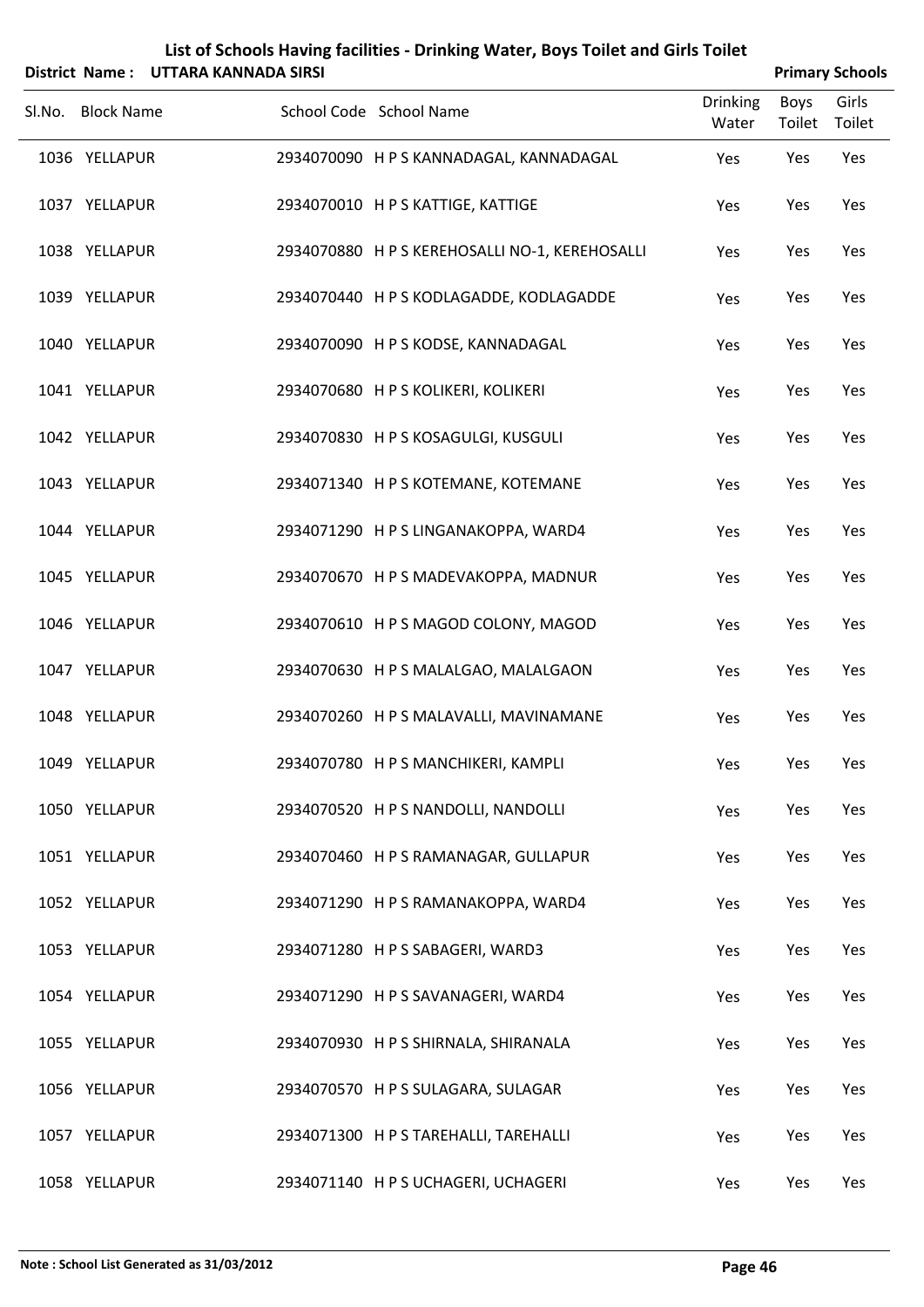|        |                                | District Name: UTTARA KANNADA SIRSI |                                                                            |                          | <b>Primary Schools</b> |                 |
|--------|--------------------------------|-------------------------------------|----------------------------------------------------------------------------|--------------------------|------------------------|-----------------|
| Sl.No. | <b>Block Name</b>              |                                     | School Code School Name                                                    | <b>Drinking</b><br>Water | Boys<br>Toilet         | Girls<br>Toilet |
|        | 1036 YELLAPUR                  |                                     | 2934070090 H P S KANNADAGAL, KANNADAGAL                                    | Yes                      | Yes                    | Yes             |
|        | 1037 YELLAPUR                  |                                     | 2934070010 HPS KATTIGE, KATTIGE                                            | Yes                      | Yes                    | Yes             |
|        | 1038 YELLAPUR                  |                                     | 2934070880 H P S KEREHOSALLI NO-1, KEREHOSALLI                             | Yes                      | Yes                    | Yes             |
|        | 1039 YELLAPUR                  |                                     | 2934070440 H P S KODLAGADDE, KODLAGADDE                                    | Yes                      | Yes                    | Yes             |
|        | 1040 YELLAPUR                  |                                     | 2934070090 H P S KODSE, KANNADAGAL                                         | Yes                      | Yes                    | Yes             |
|        | 1041 YELLAPUR                  |                                     | 2934070680 H P S KOLIKERI, KOLIKERI                                        | Yes                      | Yes                    | Yes             |
|        | 1042 YELLAPUR                  |                                     | 2934070830 HPS KOSAGULGI, KUSGULI                                          | Yes                      | Yes                    | Yes             |
|        | 1043 YELLAPUR                  |                                     | 2934071340 H P S KOTEMANE, KOTEMANE                                        | Yes                      | Yes                    | Yes             |
|        | 1044 YELLAPUR<br>1045 YELLAPUR |                                     | 2934071290 HPS LINGANAKOPPA, WARD4                                         | Yes                      | Yes                    | Yes             |
|        | 1046 YELLAPUR                  |                                     | 2934070670 H P S MADEVAKOPPA, MADNUR<br>2934070610 HPS MAGOD COLONY, MAGOD | Yes<br>Yes               | Yes<br>Yes             | Yes<br>Yes      |
|        | 1047 YELLAPUR                  |                                     | 2934070630 H P S MALALGAO, MALALGAON                                       | Yes                      | Yes                    | Yes             |
|        | 1048 YELLAPUR                  |                                     | 2934070260 H P S MALAVALLI, MAVINAMANE                                     | Yes                      | Yes                    | Yes             |
|        | 1049 YELLAPUR                  |                                     | 2934070780 H P S MANCHIKERI, KAMPLI                                        | Yes                      | Yes                    | Yes             |
|        | 1050 YELLAPUR                  |                                     | 2934070520 H P S NANDOLLI, NANDOLLI                                        | Yes                      | Yes                    | Yes             |
|        | 1051 YELLAPUR                  |                                     | 2934070460 HPS RAMANAGAR, GULLAPUR                                         | Yes                      | Yes                    | Yes             |
|        | 1052 YELLAPUR                  |                                     | 2934071290 HPS RAMANAKOPPA, WARD4                                          | Yes                      | Yes                    | Yes             |
|        | 1053 YELLAPUR                  |                                     | 2934071280 HPS SABAGERI, WARD3                                             | Yes                      | Yes                    | Yes             |
|        | 1054 YELLAPUR                  |                                     | 2934071290 HPS SAVANAGERI, WARD4                                           | Yes                      | Yes                    | Yes             |
|        | 1055 YELLAPUR                  |                                     | 2934070930 H P S SHIRNALA, SHIRANALA                                       | Yes                      | Yes                    | Yes             |
|        | 1056 YELLAPUR                  |                                     | 2934070570 H P S SULAGARA, SULAGAR                                         | Yes                      | Yes                    | Yes             |
|        | 1057 YELLAPUR                  |                                     | 2934071300 H P S TAREHALLI, TAREHALLI                                      | Yes                      | Yes                    | Yes             |
|        |                                |                                     |                                                                            |                          |                        |                 |

1058 YELLAPUR 2934071140 HPS UCHAGERI, UCHAGERI Yes Yes Yes Yes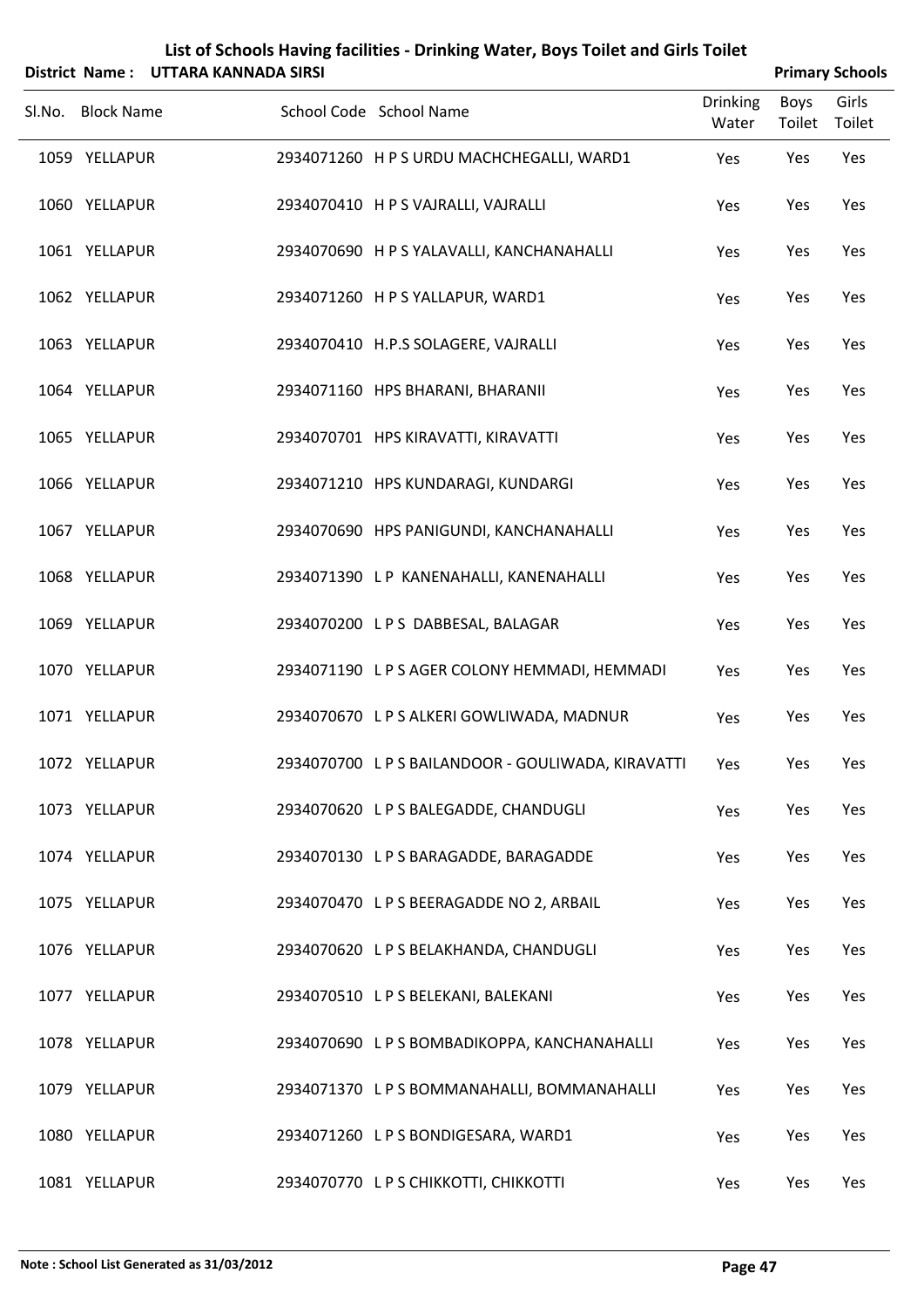|        |                   | District Name: UTTARA KANNADA SIRSI | List of Schools Having facilities - Drinking Water, Boys Toilet and Girls Toilet |                          |                | <b>Primary Schools</b> |
|--------|-------------------|-------------------------------------|----------------------------------------------------------------------------------|--------------------------|----------------|------------------------|
| Sl.No. | <b>Block Name</b> |                                     | School Code School Name                                                          | <b>Drinking</b><br>Water | Boys<br>Toilet | Girls<br>Toilet        |
|        | 1059 YELLAPUR     |                                     | 2934071260 H P S URDU MACHCHEGALLI, WARD1                                        | Yes                      | Yes            | Yes                    |
|        | 1060 YELLAPUR     |                                     | 2934070410 H P S VAJRALLI, VAJRALLI                                              | Yes                      | Yes            | Yes                    |
|        | 1061 YELLAPUR     |                                     | 2934070690 H P S YALAVALLI, KANCHANAHALLI                                        | Yes                      | Yes            | Yes                    |
|        | 1062 YELLAPUR     |                                     | 2934071260 HPS YALLAPUR, WARD1                                                   | Yes                      | Yes            | Yes                    |
|        | 1063 YELLAPUR     |                                     | 2934070410 H.P.S SOLAGERE, VAJRALLI                                              | Yes                      | Yes            | Yes                    |
|        | 1064 YELLAPUR     |                                     | 2934071160 HPS BHARANI, BHARANII                                                 | Yes                      | Yes            | Yes                    |
|        | 1065 YELLAPUR     |                                     | 2934070701 HPS KIRAVATTI, KIRAVATTI                                              | Yes                      | Yes            | Yes                    |
|        | 1066 YELLAPUR     |                                     | 2934071210 HPS KUNDARAGI, KUNDARGI                                               | Yes                      | Yes            | Yes                    |
|        | 1067 YELLAPUR     |                                     | 2934070690 HPS PANIGUNDI, KANCHANAHALLI                                          | Yes                      | Yes            | Yes                    |
|        | 1068 YELLAPUR     |                                     | 2934071390 LP KANENAHALLI, KANENAHALLI                                           | Yes                      | Yes            | Yes                    |
|        | 1069 YELLAPUR     |                                     | 2934070200 LPS DABBESAL, BALAGAR                                                 | Yes                      | Yes            | Yes                    |
|        | 1070 YELLAPUR     |                                     | 2934071190 L P S AGER COLONY HEMMADI, HEMMADI                                    | Yes                      | Yes            | Yes                    |
|        | 1071 YELLAPUR     |                                     | 2934070670 L P S ALKERI GOWLIWADA, MADNUR                                        | Yes                      | Yes            | Yes                    |
|        | 1072 YELLAPUR     |                                     | 2934070700 L P S BAILANDOOR - GOULIWADA, KIRAVATTI                               | Yes                      | Yes            | Yes                    |
|        | 1073 YELLAPUR     |                                     | 2934070620 LPS BALEGADDE, CHANDUGLI                                              | Yes                      | Yes            | Yes                    |
|        | 1074 YELLAPUR     |                                     | 2934070130 LPS BARAGADDE, BARAGADDE                                              | Yes                      | Yes            | Yes                    |
|        | 1075 YELLAPUR     |                                     | 2934070470 L P S BEERAGADDE NO 2, ARBAIL                                         | Yes                      | Yes            | Yes                    |
|        | 1076 YELLAPUR     |                                     | 2934070620 L P S BELAKHANDA, CHANDUGLI                                           | Yes                      | Yes            | Yes                    |
|        | 1077 YELLAPUR     |                                     | 2934070510 L P S BELEKANI, BALEKANI                                              | Yes                      | Yes            | Yes                    |
|        | 1078 YELLAPUR     |                                     | 2934070690 L P S BOMBADIKOPPA, KANCHANAHALLI                                     | Yes                      | Yes            | Yes                    |
|        | 1079 YELLAPUR     |                                     | 2934071370 L P S BOMMANAHALLI, BOMMANAHALLI                                      | Yes                      | Yes            | Yes                    |
|        | 1080 YELLAPUR     |                                     | 2934071260 LPS BONDIGESARA, WARD1                                                | Yes                      | Yes            | Yes                    |
|        | 1081 YELLAPUR     |                                     | 2934070770 LPS CHIKKOTTI, CHIKKOTTI                                              | Yes                      | Yes            | Yes                    |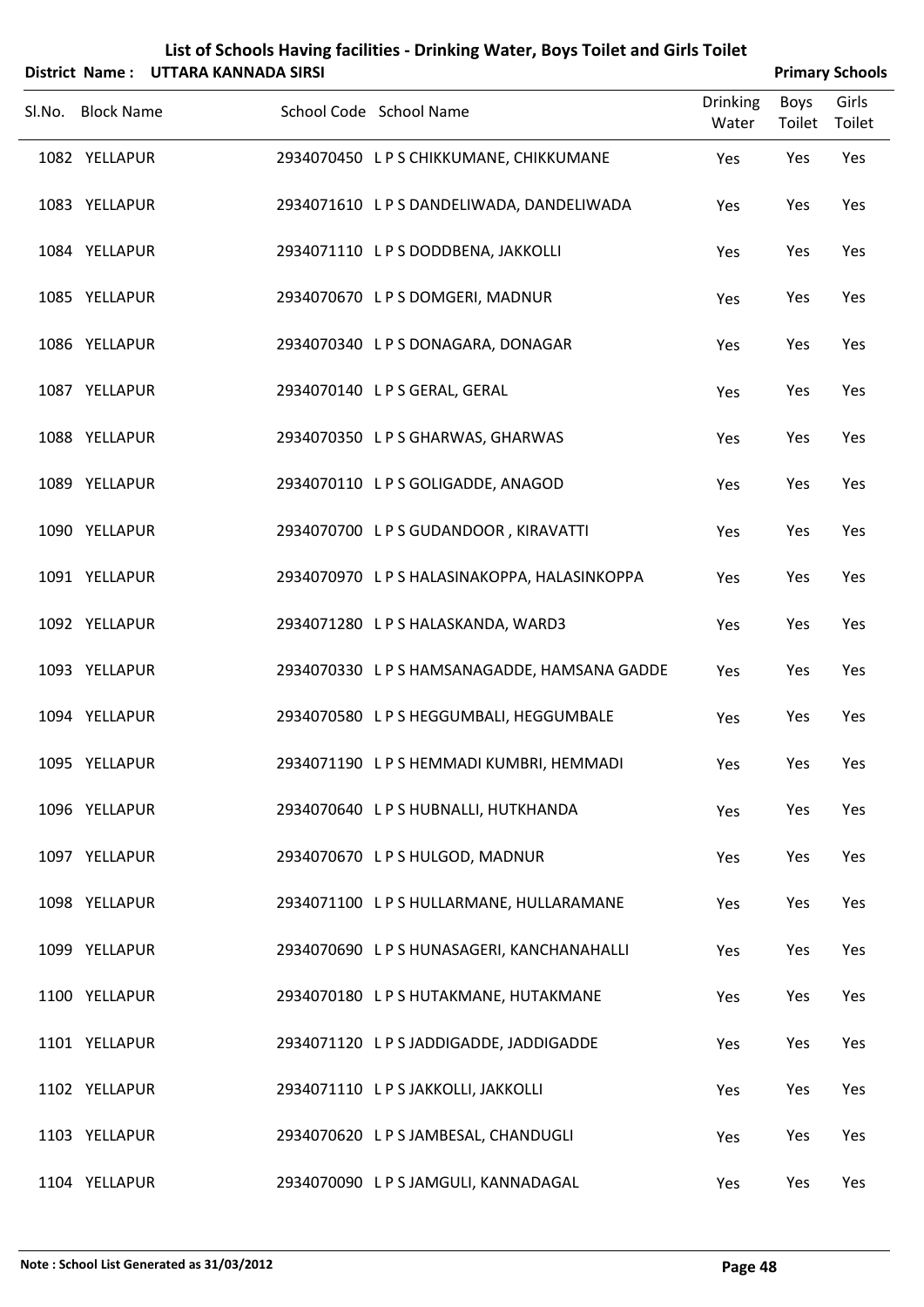|        |                   | District Name: UTTARA KANNADA SIRSI |                                              |                          |                       | <b>Primary Schools</b> |
|--------|-------------------|-------------------------------------|----------------------------------------------|--------------------------|-----------------------|------------------------|
| SI.No. | <b>Block Name</b> |                                     | School Code School Name                      | <b>Drinking</b><br>Water | <b>Boys</b><br>Toilet | Girls<br>Toilet        |
|        | 1082 YELLAPUR     |                                     | 2934070450 LPS CHIKKUMANE, CHIKKUMANE        | Yes                      | Yes                   | Yes                    |
|        | 1083 YELLAPUR     |                                     | 2934071610 L P S DANDELIWADA, DANDELIWADA    | Yes                      | Yes                   | Yes                    |
|        | 1084 YELLAPUR     |                                     | 2934071110 L P S DODDBENA, JAKKOLLI          | Yes                      | Yes                   | Yes                    |
|        | 1085 YELLAPUR     |                                     | 2934070670 LPS DOMGERI, MADNUR               | Yes                      | Yes                   | Yes                    |
|        | 1086 YELLAPUR     |                                     | 2934070340 LPSDONAGARA, DONAGAR              | Yes                      | Yes                   | Yes                    |
|        | 1087 YELLAPUR     |                                     | 2934070140 L P S GERAL, GERAL                | Yes                      | Yes                   | Yes                    |
|        | 1088 YELLAPUR     |                                     | 2934070350 LPS GHARWAS, GHARWAS              | Yes                      | Yes                   | Yes                    |
|        | 1089 YELLAPUR     |                                     | 2934070110 LPS GOLIGADDE, ANAGOD             | Yes                      | Yes                   | Yes                    |
|        | 1090 YELLAPUR     |                                     | 2934070700 LPS GUDANDOOR, KIRAVATTI          | Yes                      | Yes                   | Yes                    |
|        | 1091 YELLAPUR     |                                     | 2934070970 L P S HALASINAKOPPA, HALASINKOPPA | Yes                      | Yes                   | Yes                    |
|        | 1092 YELLAPUR     |                                     | 2934071280 LPS HALASKANDA, WARD3             | Yes                      | Yes                   | Yes                    |
|        | 1093 YELLAPUR     |                                     | 2934070330 L P S HAMSANAGADDE, HAMSANA GADDE | Yes                      | Yes                   | Yes                    |
|        | 1094 YELLAPUR     |                                     | 2934070580 LPS HEGGUMBALI, HEGGUMBALE        | Yes                      | Yes                   | Yes                    |
|        | 1095 YELLAPUR     |                                     | 2934071190 LPS HEMMADI KUMBRI, HEMMADI       | Yes                      | Yes                   | Yes                    |
|        | 1096 YELLAPUR     |                                     | 2934070640 L P S HUBNALLI, HUTKHANDA         | Yes                      | Yes                   | Yes                    |
|        | 1097 YELLAPUR     |                                     | 2934070670 LPS HULGOD, MADNUR                | Yes                      | Yes                   | Yes                    |
|        | 1098 YELLAPUR     |                                     | 2934071100 LPS HULLARMANE, HULLARAMANE       | Yes                      | Yes                   | Yes                    |
|        | 1099 YELLAPUR     |                                     | 2934070690 L P S HUNASAGERI, KANCHANAHALLI   | Yes                      | Yes                   | Yes                    |
|        | 1100 YELLAPUR     |                                     | 2934070180 LPS HUTAKMANE, HUTAKMANE          | Yes                      | Yes                   | Yes                    |
|        | 1101 YELLAPUR     |                                     | 2934071120 L P S JADDIGADDE, JADDIGADDE      | Yes                      | Yes                   | Yes                    |
|        | 1102 YELLAPUR     |                                     | 2934071110 LPS JAKKOLLI, JAKKOLLI            | Yes                      | Yes                   | Yes                    |
|        | 1103 YELLAPUR     |                                     | 2934070620 LPS JAMBESAL, CHANDUGLI           | Yes                      | Yes                   | Yes                    |
|        | 1104 YELLAPUR     |                                     | 2934070090 LPS JAMGULI, KANNADAGAL           | Yes                      | Yes                   | Yes                    |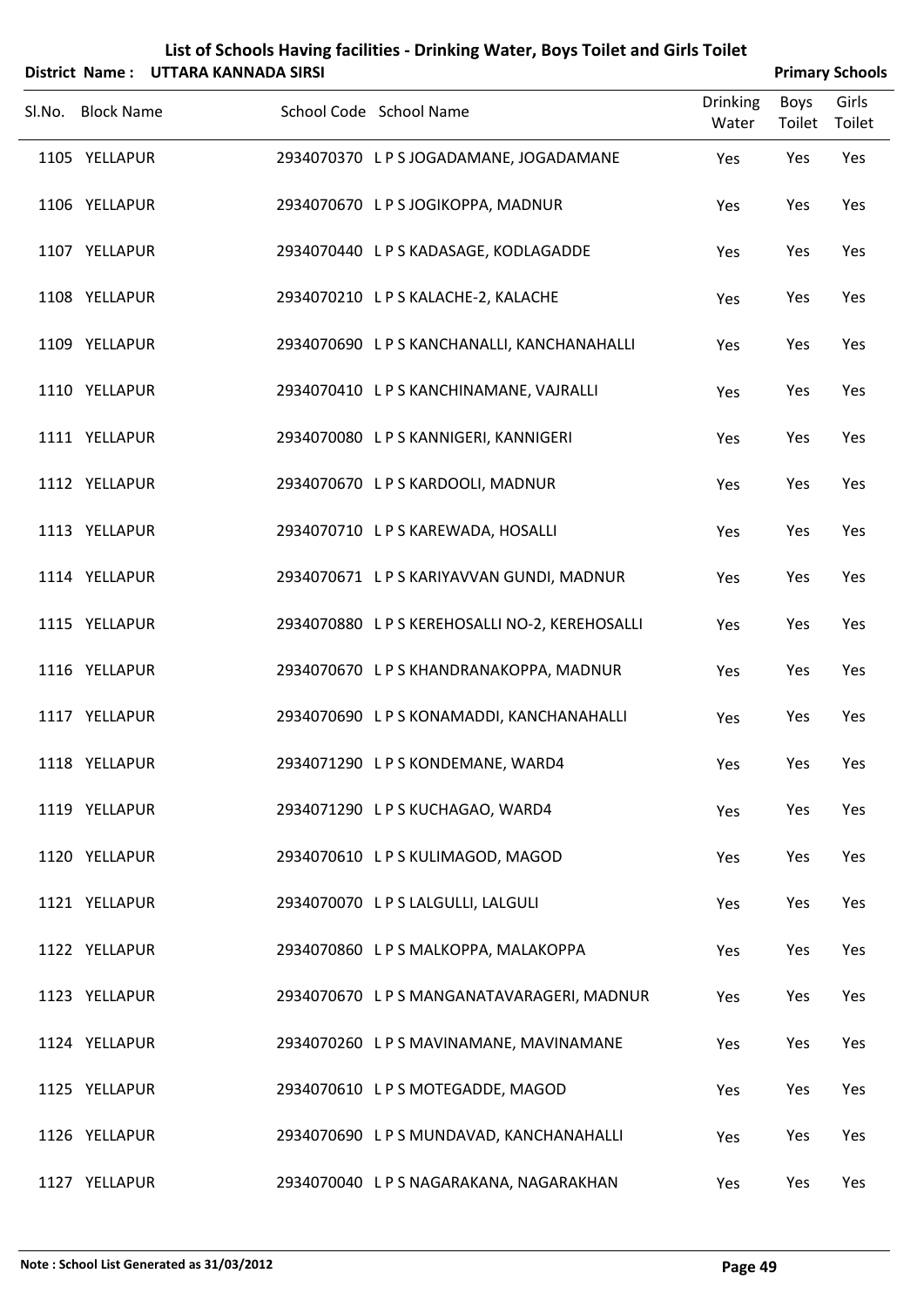|        | District Name:    | UTTARA KANNADA SIRSI | List of Schools Having facilities - Drinking Water, Boys Toilet and Girls Toilet |                          |                       | <b>Primary Schools</b> |
|--------|-------------------|----------------------|----------------------------------------------------------------------------------|--------------------------|-----------------------|------------------------|
| Sl.No. | <b>Block Name</b> |                      | School Code School Name                                                          | <b>Drinking</b><br>Water | <b>Boys</b><br>Toilet | Girls<br>Toilet        |
|        | 1105 YELLAPUR     |                      | 2934070370 LPSJOGADAMANE, JOGADAMANE                                             | Yes                      | Yes                   | Yes                    |
|        | 1106 YELLAPUR     |                      | 2934070670 LPS JOGIKOPPA, MADNUR                                                 | Yes                      | Yes                   | Yes                    |
|        | 1107 YELLAPUR     |                      | 2934070440 LPS KADASAGE, KODLAGADDE                                              | Yes                      | Yes                   | Yes                    |
|        | 1108 YELLAPUR     |                      | 2934070210 LPS KALACHE-2, KALACHE                                                | Yes                      | Yes                   | Yes                    |
|        | 1109 YELLAPUR     |                      | 2934070690 L P S KANCHANALLI, KANCHANAHALLI                                      | Yes                      | Yes                   | Yes                    |
|        | 1110 YELLAPUR     |                      | 2934070410 LPS KANCHINAMANE, VAJRALLI                                            | Yes                      | Yes                   | Yes                    |
|        | 1111 YELLAPUR     |                      | 2934070080 LPS KANNIGERI, KANNIGERI                                              | Yes                      | Yes                   | Yes                    |
|        | 1112 YELLAPUR     |                      | 2934070670 LPS KARDOOLI, MADNUR                                                  | Yes                      | Yes                   | Yes                    |
|        | 1113 YELLAPUR     |                      | 2934070710 LPS KAREWADA, HOSALLI                                                 | Yes                      | Yes                   | Yes                    |
|        | 1114 YELLAPUR     |                      | 2934070671 LPS KARIYAVVAN GUNDI, MADNUR                                          | Yes                      | Yes                   | Yes                    |
|        | 1115 YELLAPUR     |                      | 2934070880 L P S KEREHOSALLI NO-2, KEREHOSALLI                                   | Yes                      | Yes                   | Yes                    |
|        | 1116 YELLAPUR     |                      | 2934070670 L P S KHANDRANAKOPPA, MADNUR                                          | Yes                      | Yes                   | Yes                    |
|        | 1117 YELLAPUR     |                      | 2934070690 LPS KONAMADDI, KANCHANAHALLI                                          | Yes                      | Yes                   | Yes                    |
|        | 1118 YELLAPUR     |                      | 2934071290 LPS KONDEMANE, WARD4                                                  | Yes                      | Yes                   | Yes                    |
|        | 1119 YELLAPUR     |                      | 2934071290 LPS KUCHAGAO, WARD4                                                   | Yes                      | Yes                   | Yes                    |
|        | 1120 YELLAPUR     |                      | 2934070610 LPS KULIMAGOD, MAGOD                                                  | Yes                      | Yes                   | Yes                    |
|        | 1121 YELLAPUR     |                      | 2934070070 L P S LALGULLI, LALGULI                                               | Yes                      | Yes                   | Yes                    |
|        | 1122 YELLAPUR     |                      | 2934070860 LPS MALKOPPA, MALAKOPPA                                               | Yes                      | Yes                   | Yes                    |
|        | 1123 YELLAPUR     |                      | 2934070670 LPS MANGANATAVARAGERI, MADNUR                                         | Yes                      | Yes                   | Yes                    |
|        | 1124 YELLAPUR     |                      | 2934070260 LPS MAVINAMANE, MAVINAMANE                                            | Yes                      | Yes                   | Yes                    |
|        | 1125 YELLAPUR     |                      | 2934070610 LPS MOTEGADDE, MAGOD                                                  | Yes                      | Yes                   | Yes                    |
|        | 1126 YELLAPUR     |                      | 2934070690 LPS MUNDAVAD, KANCHANAHALLI                                           | Yes                      | Yes                   | Yes                    |
|        | 1127 YELLAPUR     |                      | 2934070040 L P S NAGARAKANA, NAGARAKHAN                                          | Yes                      | Yes                   | Yes                    |

#### **Note : School List Generated as 31/03/2012 Page 49**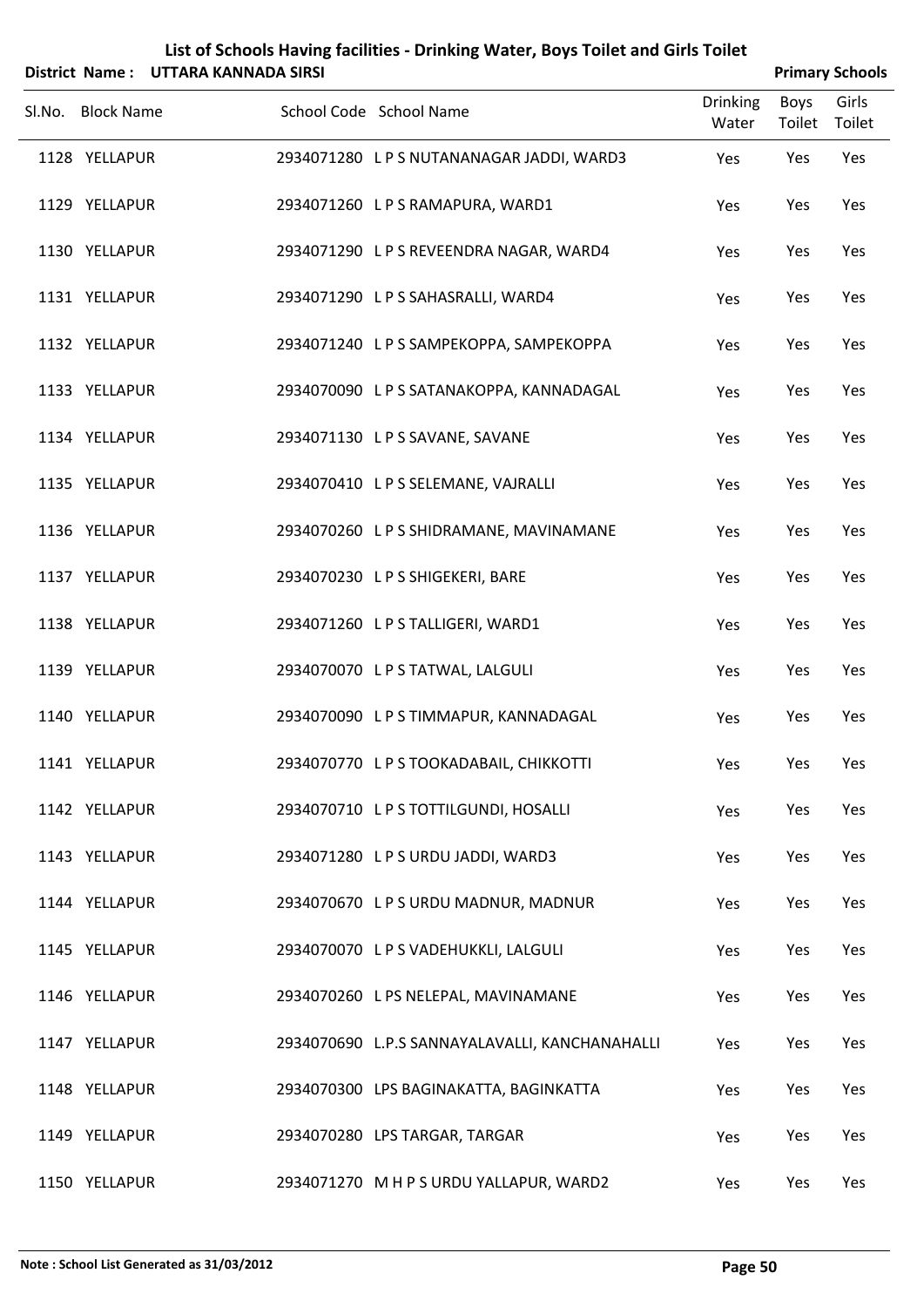|        |                   | District Name: UTTARA KANNADA SIRSI |                                                |                          |                | <b>Primary Schools</b> |
|--------|-------------------|-------------------------------------|------------------------------------------------|--------------------------|----------------|------------------------|
| Sl.No. | <b>Block Name</b> |                                     | School Code School Name                        | <b>Drinking</b><br>Water | Boys<br>Toilet | Girls<br>Toilet        |
|        | 1128 YELLAPUR     |                                     | 2934071280 LPS NUTANANAGAR JADDI, WARD3        | Yes                      | Yes            | Yes                    |
|        | 1129 YELLAPUR     |                                     | 2934071260 LPS RAMAPURA, WARD1                 | Yes                      | Yes            | Yes                    |
|        | 1130 YELLAPUR     |                                     | 2934071290 LPS REVEENDRA NAGAR, WARD4          | Yes                      | Yes            | Yes                    |
|        | 1131 YELLAPUR     |                                     | 2934071290 LPS SAHASRALLI, WARD4               | Yes                      | Yes            | Yes                    |
|        | 1132 YELLAPUR     |                                     | 2934071240 LPS SAMPEKOPPA, SAMPEKOPPA          | Yes                      | Yes            | Yes                    |
|        | 1133 YELLAPUR     |                                     | 2934070090 L P S SATANAKOPPA, KANNADAGAL       | Yes                      | Yes            | Yes                    |
|        | 1134 YELLAPUR     |                                     | 2934071130 L P S SAVANE, SAVANE                | Yes                      | Yes            | Yes                    |
|        | 1135 YELLAPUR     |                                     | 2934070410 L P S SELEMANE, VAJRALLI            | Yes                      | Yes            | Yes                    |
|        | 1136 YELLAPUR     |                                     | 2934070260 L P S SHIDRAMANE, MAVINAMANE        | Yes                      | Yes            | Yes                    |
|        | 1137 YELLAPUR     |                                     | 2934070230 LPS SHIGEKERI, BARE                 | Yes                      | Yes            | Yes                    |
|        | 1138 YELLAPUR     |                                     | 2934071260 LPS TALLIGERI, WARD1                | Yes                      | Yes            | Yes                    |
|        | 1139 YELLAPUR     |                                     | 2934070070 LPS TATWAL, LALGULI                 | Yes                      | Yes            | Yes                    |
|        | 1140 YELLAPUR     |                                     | 2934070090 LPS TIMMAPUR, KANNADAGAL            | Yes                      | Yes            | Yes                    |
|        | 1141 YELLAPUR     |                                     | 2934070770 L P S TOOKADABAIL, CHIKKOTTI        | Yes                      | Yes            | Yes                    |
|        | 1142 YELLAPUR     |                                     | 2934070710 LPS TOTTILGUNDI, HOSALLI            | Yes                      | Yes            | Yes                    |
|        | 1143 YELLAPUR     |                                     | 2934071280 LPS URDU JADDI, WARD3               | Yes                      | Yes            | Yes                    |
|        | 1144 YELLAPUR     |                                     | 2934070670 LPS URDU MADNUR, MADNUR             | Yes                      | Yes            | Yes                    |
|        | 1145 YELLAPUR     |                                     | 2934070070 L P S VADEHUKKLI, LALGULI           | Yes                      | Yes            | Yes                    |
|        | 1146 YELLAPUR     |                                     | 2934070260 L PS NELEPAL, MAVINAMANE            | Yes                      | Yes            | Yes                    |
|        | 1147 YELLAPUR     |                                     | 2934070690 L.P.S SANNAYALAVALLI, KANCHANAHALLI | Yes                      | Yes            | Yes                    |
|        | 1148 YELLAPUR     |                                     | 2934070300 LPS BAGINAKATTA, BAGINKATTA         | Yes                      | Yes            | Yes                    |
|        | 1149 YELLAPUR     |                                     | 2934070280 LPS TARGAR, TARGAR                  | Yes                      | Yes            | Yes                    |
|        | 1150 YELLAPUR     |                                     | 2934071270 M H P S URDU YALLAPUR, WARD2        | Yes                      | Yes            | Yes                    |